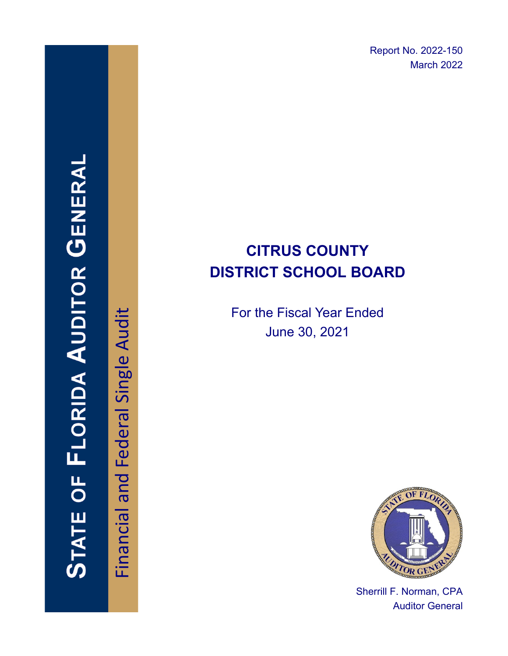Report No. 2022-150 March 2022

# **CITRUS COUNTY DISTRICT SCHOOL BOARD**

For the Fiscal Year Ended June 30, 2021



Sherrill F. Norman, CPA Auditor General

Financial and Federal Single Audit Financial and Federal Single Audit

STATE OF FLORIDA AUDITOR GENERAI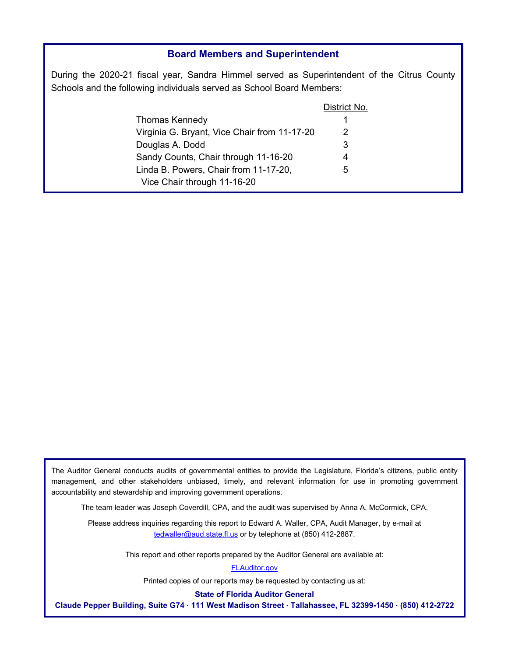#### **Board Members and Superintendent**

During the 2020-21 fiscal year, Sandra Himmel served as Superintendent of the Citrus County Schools and the following individuals served as School Board Members:

| District No. |  |
|--------------|--|
|              |  |
| 2            |  |
| 3            |  |
|              |  |
| 5            |  |
|              |  |
|              |  |

The Auditor General conducts audits of governmental entities to provide the Legislature, Florida's citizens, public entity management, and other stakeholders unbiased, timely, and relevant information for use in promoting government accountability and stewardship and improving government operations.

The team leader was Joseph Coverdill, CPA, and the audit was supervised by Anna A. McCormick, CPA.

Please address inquiries regarding this report to Edward A. Waller, CPA, Audit Manager, by e-mail at tedwaller@aud.state.fl.us or by telephone at (850) 412-2887.

This report and other reports prepared by the Auditor General are available at:

[FLAuditor.gov](http://flauditor.gov/)

Printed copies of our reports may be requested by contacting us at:

**State of Florida Auditor General** 

**Claude Pepper Building, Suite G74 · 111 West Madison Street · Tallahassee, FL 32399-1450 · (850) 412-2722**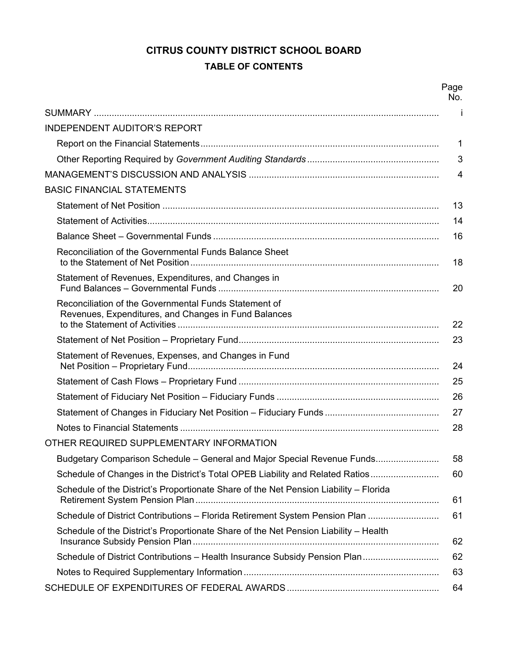### **CITRUS COUNTY DISTRICT SCHOOL BOARD TABLE OF CONTENTS**

|                                                                                                               | Page<br>No. |
|---------------------------------------------------------------------------------------------------------------|-------------|
|                                                                                                               | Ť           |
| <b>INDEPENDENT AUDITOR'S REPORT</b>                                                                           |             |
|                                                                                                               | $\mathbf 1$ |
|                                                                                                               | 3           |
|                                                                                                               | 4           |
| <b>BASIC FINANCIAL STATEMENTS</b>                                                                             |             |
|                                                                                                               | 13          |
|                                                                                                               | 14          |
|                                                                                                               | 16          |
| Reconciliation of the Governmental Funds Balance Sheet                                                        | 18          |
| Statement of Revenues, Expenditures, and Changes in                                                           | 20          |
| Reconciliation of the Governmental Funds Statement of<br>Revenues, Expenditures, and Changes in Fund Balances | 22          |
|                                                                                                               | 23          |
| Statement of Revenues, Expenses, and Changes in Fund                                                          | 24          |
|                                                                                                               | 25          |
|                                                                                                               | 26          |
|                                                                                                               | 27          |
|                                                                                                               | 28          |
| OTHER REQUIRED SUPPLEMENTARY INFORMATION                                                                      |             |
| Budgetary Comparison Schedule - General and Major Special Revenue Funds                                       | 58          |
| Schedule of Changes in the District's Total OPEB Liability and Related Ratios                                 | 60          |
| Schedule of the District's Proportionate Share of the Net Pension Liability - Florida                         | 61          |
| Schedule of District Contributions - Florida Retirement System Pension Plan                                   | 61          |
| Schedule of the District's Proportionate Share of the Net Pension Liability – Health                          | 62          |
| Schedule of District Contributions - Health Insurance Subsidy Pension Plan                                    | 62          |
|                                                                                                               | 63          |
|                                                                                                               | 64          |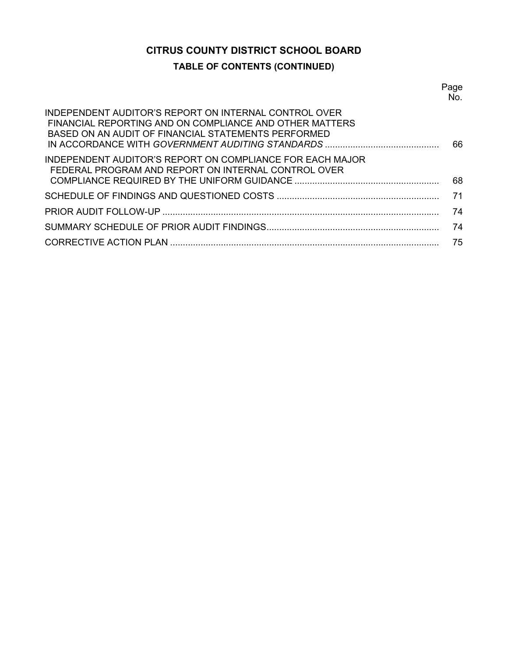### **CITRUS COUNTY DISTRICT SCHOOL BOARD**

### **TABLE OF CONTENTS (CONTINUED)**

Page No.

| INDEPENDENT AUDITOR'S REPORT ON INTERNAL CONTROL OVER<br>FINANCIAL REPORTING AND ON COMPLIANCE AND OTHER MATTERS<br>BASED ON AN AUDIT OF FINANCIAL STATEMENTS PERFORMED | 66 |
|-------------------------------------------------------------------------------------------------------------------------------------------------------------------------|----|
| INDEPENDENT AUDITOR'S REPORT ON COMPLIANCE FOR EACH MAJOR<br>FEDERAL PROGRAM AND REPORT ON INTERNAL CONTROL OVER                                                        | 68 |
|                                                                                                                                                                         | 71 |
|                                                                                                                                                                         | 74 |
|                                                                                                                                                                         | 74 |
|                                                                                                                                                                         | 75 |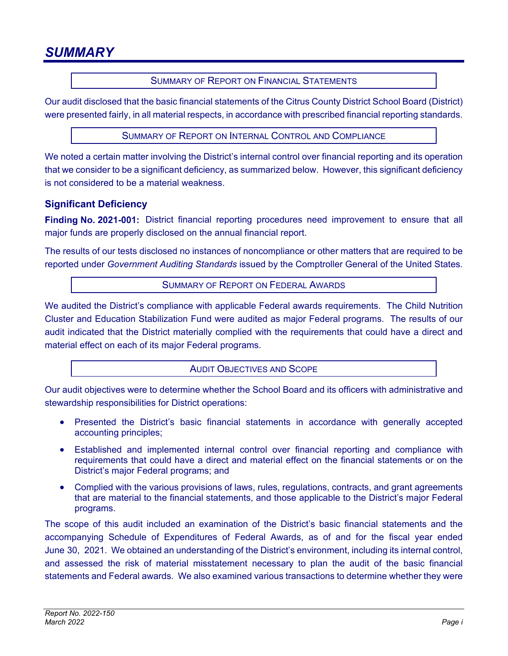#### SUMMARY OF REPORT ON FINANCIAL STATEMENTS

<span id="page-4-0"></span>Our audit disclosed that the basic financial statements of the Citrus County District School Board (District) were presented fairly, in all material respects, in accordance with prescribed financial reporting standards.

SUMMARY OF REPORT ON INTERNAL CONTROL AND COMPLIANCE

We noted a certain matter involving the District's internal control over financial reporting and its operation that we consider to be a significant deficiency, as summarized below. However, this significant deficiency is not considered to be a material weakness.

### **Significant Deficiency**

Finding No. 2021-001: District financial reporting procedures need improvement to ensure that all major funds are properly disclosed on the annual financial report.

The results of our tests disclosed no instances of noncompliance or other matters that are required to be reported under *Government Auditing Standards* issued by the Comptroller General of the United States*.*

#### SUMMARY OF REPORT ON FEDERAL AWARDS

We audited the District's compliance with applicable Federal awards requirements. The Child Nutrition Cluster and Education Stabilization Fund were audited as major Federal programs. The results of our audit indicated that the District materially complied with the requirements that could have a direct and material effect on each of its major Federal programs.

#### AUDIT OBJECTIVES AND SCOPE

Our audit objectives were to determine whether the School Board and its officers with administrative and stewardship responsibilities for District operations:

- Presented the District's basic financial statements in accordance with generally accepted accounting principles;
- Established and implemented internal control over financial reporting and compliance with requirements that could have a direct and material effect on the financial statements or on the District's major Federal programs; and
- Complied with the various provisions of laws, rules, regulations, contracts, and grant agreements that are material to the financial statements, and those applicable to the District's major Federal programs.

The scope of this audit included an examination of the District's basic financial statements and the accompanying Schedule of Expenditures of Federal Awards, as of and for the fiscal year ended June 30, 2021. We obtained an understanding of the District's environment, including its internal control, and assessed the risk of material misstatement necessary to plan the audit of the basic financial statements and Federal awards. We also examined various transactions to determine whether they were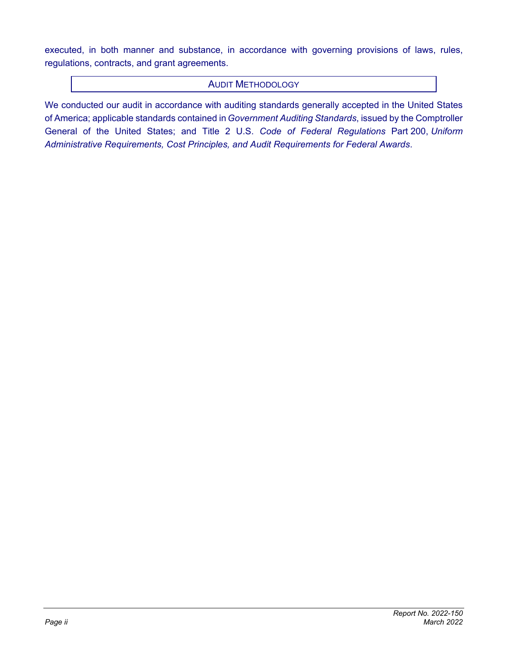executed, in both manner and substance, in accordance with governing provisions of laws, rules, regulations, contracts, and grant agreements.

#### AUDIT METHODOLOGY

We conducted our audit in accordance with auditing standards generally accepted in the United States of America; applicable standards contained in *Government Auditing Standards*, issued by the Comptroller General of the United States; and Title 2 U.S. *Code of Federal Regulations* Part 200, *Uniform Administrative Requirements, Cost Principles, and Audit Requirements for Federal Awards*.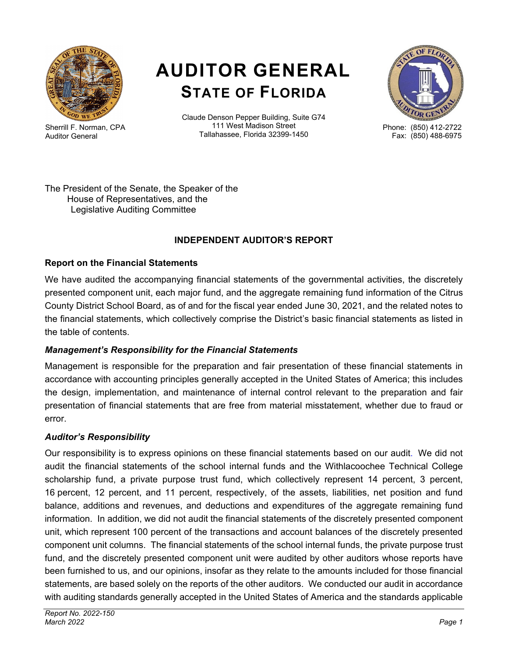<span id="page-6-0"></span>

Sherrill F. Norman, CPA Auditor General

# **AUDITOR GENERAL STATE OF FLORIDA**

Claude Denson Pepper Building, Suite G74 111 West Madison Street Tallahassee, Florida 32399-1450



Phone: (850) 412-2722 Fax: (850) 488-6975

The President of the Senate, the Speaker of the House of Representatives, and the Legislative Auditing Committee

### **INDEPENDENT AUDITOR'S REPORT**

#### **Report on the Financial Statements**

We have audited the accompanying financial statements of the governmental activities, the discretely presented component unit, each major fund, and the aggregate remaining fund information of the Citrus County District School Board, as of and for the fiscal year ended June 30, 2021, and the related notes to the financial statements, which collectively comprise the District's basic financial statements as listed in the table of contents.

#### *Management's Responsibility for the Financial Statements*

Management is responsible for the preparation and fair presentation of these financial statements in accordance with accounting principles generally accepted in the United States of America; this includes the design, implementation, and maintenance of internal control relevant to the preparation and fair presentation of financial statements that are free from material misstatement, whether due to fraud or error.

#### *Auditor's Responsibility*

Our responsibility is to express opinions on these financial statements based on our audit. We did not audit the financial statements of the school internal funds and the Withlacoochee Technical College scholarship fund, a private purpose trust fund, which collectively represent 14 percent, 3 percent, 16 percent, 12 percent, and 11 percent, respectively, of the assets, liabilities, net position and fund balance, additions and revenues, and deductions and expenditures of the aggregate remaining fund information. In addition, we did not audit the financial statements of the discretely presented component unit, which represent 100 percent of the transactions and account balances of the discretely presented component unit columns. The financial statements of the school internal funds, the private purpose trust fund, and the discretely presented component unit were audited by other auditors whose reports have been furnished to us, and our opinions, insofar as they relate to the amounts included for those financial statements, are based solely on the reports of the other auditors. We conducted our audit in accordance with auditing standards generally accepted in the United States of America and the standards applicable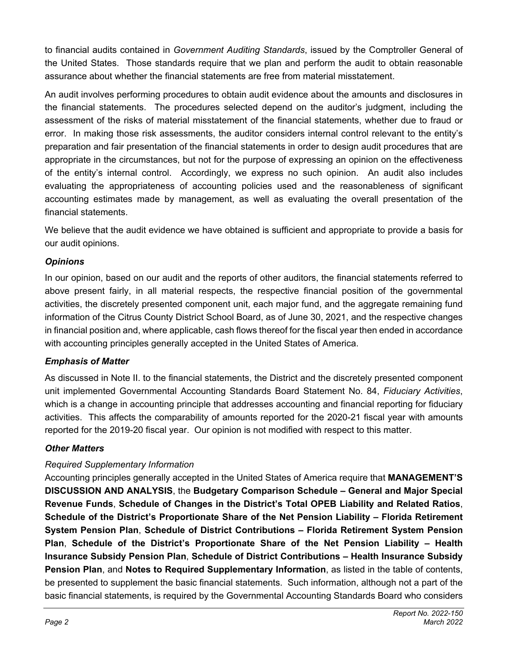to financial audits contained in *Government Auditing Standards*, issued by the Comptroller General of the United States. Those standards require that we plan and perform the audit to obtain reasonable assurance about whether the financial statements are free from material misstatement.

An audit involves performing procedures to obtain audit evidence about the amounts and disclosures in the financial statements. The procedures selected depend on the auditor's judgment, including the assessment of the risks of material misstatement of the financial statements, whether due to fraud or error. In making those risk assessments, the auditor considers internal control relevant to the entity's preparation and fair presentation of the financial statements in order to design audit procedures that are appropriate in the circumstances, but not for the purpose of expressing an opinion on the effectiveness of the entity's internal control. Accordingly, we express no such opinion. An audit also includes evaluating the appropriateness of accounting policies used and the reasonableness of significant accounting estimates made by management, as well as evaluating the overall presentation of the financial statements.

We believe that the audit evidence we have obtained is sufficient and appropriate to provide a basis for our audit opinions.

### *Opinions*

In our opinion, based on our audit and the reports of other auditors, the financial statements referred to above present fairly, in all material respects, the respective financial position of the governmental activities, the discretely presented component unit, each major fund, and the aggregate remaining fund information of the Citrus County District School Board, as of June 30, 2021, and the respective changes in financial position and, where applicable, cash flows thereof for the fiscal year then ended in accordance with accounting principles generally accepted in the United States of America.

### *Emphasis of Matter*

As discussed in Note II. to the financial statements, the District and the discretely presented component unit implemented Governmental Accounting Standards Board Statement No. 84, *Fiduciary Activities*, which is a change in accounting principle that addresses accounting and financial reporting for fiduciary activities. This affects the comparability of amounts reported for the 2020-21 fiscal year with amounts reported for the 2019-20 fiscal year. Our opinion is not modified with respect to this matter.

### *Other Matters*

### *Required Supplementary Information*

Accounting principles generally accepted in the United States of America require that **MANAGEMENT'S DISCUSSION AND ANALYSIS**, the **Budgetary Comparison Schedule – General and Major Special Revenue Funds**, **Schedule of Changes in the District's Total OPEB Liability and Related Ratios**, **Schedule of the District's Proportionate Share of the Net Pension Liability – Florida Retirement System Pension Plan**, **Schedule of District Contributions – Florida Retirement System Pension Plan**, **Schedule of the District's Proportionate Share of the Net Pension Liability – Health Insurance Subsidy Pension Plan**, **Schedule of District Contributions – Health Insurance Subsidy Pension Plan**, and **Notes to Required Supplementary Information**, as listed in the table of contents, be presented to supplement the basic financial statements. Such information, although not a part of the basic financial statements, is required by the Governmental Accounting Standards Board who considers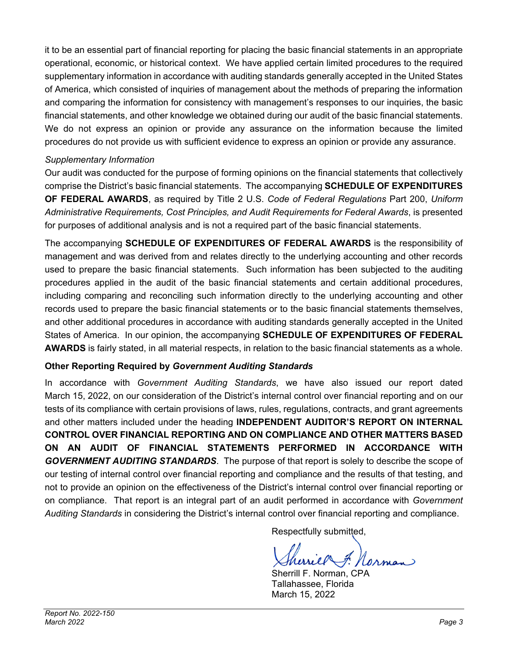<span id="page-8-0"></span>it to be an essential part of financial reporting for placing the basic financial statements in an appropriate operational, economic, or historical context. We have applied certain limited procedures to the required supplementary information in accordance with auditing standards generally accepted in the United States of America, which consisted of inquiries of management about the methods of preparing the information and comparing the information for consistency with management's responses to our inquiries, the basic financial statements, and other knowledge we obtained during our audit of the basic financial statements. We do not express an opinion or provide any assurance on the information because the limited procedures do not provide us with sufficient evidence to express an opinion or provide any assurance.

#### *Supplementary Information*

Our audit was conducted for the purpose of forming opinions on the financial statements that collectively comprise the District's basic financial statements. The accompanying **SCHEDULE OF EXPENDITURES OF FEDERAL AWARDS**, as required by Title 2 U.S. *Code of Federal Regulations* Part 200, *Uniform Administrative Requirements, Cost Principles, and Audit Requirements for Federal Awards*, is presented for purposes of additional analysis and is not a required part of the basic financial statements.

The accompanying **SCHEDULE OF EXPENDITURES OF FEDERAL AWARDS** is the responsibility of management and was derived from and relates directly to the underlying accounting and other records used to prepare the basic financial statements. Such information has been subjected to the auditing procedures applied in the audit of the basic financial statements and certain additional procedures, including comparing and reconciling such information directly to the underlying accounting and other records used to prepare the basic financial statements or to the basic financial statements themselves, and other additional procedures in accordance with auditing standards generally accepted in the United States of America. In our opinion, the accompanying **SCHEDULE OF EXPENDITURES OF FEDERAL AWARDS** is fairly stated, in all material respects, in relation to the basic financial statements as a whole.

#### **Other Reporting Required by** *Government Auditing Standards*

In accordance with *Government Auditing Standards*, we have also issued our report dated March 15, 2022, on our consideration of the District's internal control over financial reporting and on our tests of its compliance with certain provisions of laws, rules, regulations, contracts, and grant agreements and other matters included under the heading **INDEPENDENT AUDITOR'S REPORT ON INTERNAL CONTROL OVER FINANCIAL REPORTING AND ON COMPLIANCE AND OTHER MATTERS BASED ON AN AUDIT OF FINANCIAL STATEMENTS PERFORMED IN ACCORDANCE WITH**  *GOVERNMENT AUDITING STANDARDS*. The purpose of that report is solely to describe the scope of our testing of internal control over financial reporting and compliance and the results of that testing, and not to provide an opinion on the effectiveness of the District's internal control over financial reporting or on compliance. That report is an integral part of an audit performed in accordance with *Government Auditing Standards* in considering the District's internal control over financial reporting and compliance.

Respectfully submitted,

Sherrill F. Norman, CPA Tallahassee, Florida March 15, 2022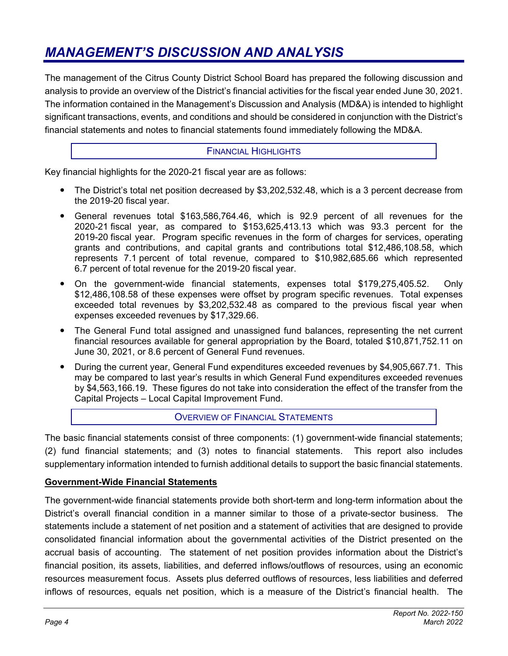## <span id="page-9-0"></span>*MANAGEMENT'S DISCUSSION AND ANALYSIS*

The management of the Citrus County District School Board has prepared the following discussion and analysis to provide an overview of the District's financial activities for the fiscal year ended June 30, 2021. The information contained in the Management's Discussion and Analysis (MD&A) is intended to highlight significant transactions, events, and conditions and should be considered in conjunction with the District's financial statements and notes to financial statements found immediately following the MD&A.

#### FINANCIAL HIGHLIGHTS

Key financial highlights for the 2020-21 fiscal year are as follows:

- The District's total net position decreased by \$3,202,532.48, which is a 3 percent decrease from the 2019-20 fiscal year.
- General revenues total \$163,586,764.46, which is 92.9 percent of all revenues for the 2020-21 fiscal year, as compared to \$153,625,413.13 which was 93.3 percent for the 2019-20 fiscal year. Program specific revenues in the form of charges for services, operating grants and contributions, and capital grants and contributions total \$12,486,108.58, which represents 7.1 percent of total revenue, compared to \$10,982,685.66 which represented 6.7 percent of total revenue for the 2019-20 fiscal year.
- On the government-wide financial statements, expenses total \$179,275,405.52. Only \$12,486,108.58 of these expenses were offset by program specific revenues. Total expenses exceeded total revenues by \$3,202,532.48 as compared to the previous fiscal year when expenses exceeded revenues by \$17,329.66.
- The General Fund total assigned and unassigned fund balances, representing the net current financial resources available for general appropriation by the Board, totaled \$10,871,752.11 on June 30, 2021, or 8.6 percent of General Fund revenues.
- During the current year, General Fund expenditures exceeded revenues by \$4,905,667.71. This may be compared to last year's results in which General Fund expenditures exceeded revenues by \$4,563,166.19. These figures do not take into consideration the effect of the transfer from the Capital Projects – Local Capital Improvement Fund.

#### OVERVIEW OF FINANCIAL STATEMENTS

The basic financial statements consist of three components: (1) government-wide financial statements; (2) fund financial statements; and (3) notes to financial statements. This report also includes supplementary information intended to furnish additional details to support the basic financial statements.

#### **Government-Wide Financial Statements**

The government-wide financial statements provide both short-term and long-term information about the District's overall financial condition in a manner similar to those of a private-sector business. The statements include a statement of net position and a statement of activities that are designed to provide consolidated financial information about the governmental activities of the District presented on the accrual basis of accounting. The statement of net position provides information about the District's financial position, its assets, liabilities, and deferred inflows/outflows of resources, using an economic resources measurement focus. Assets plus deferred outflows of resources, less liabilities and deferred inflows of resources, equals net position, which is a measure of the District's financial health. The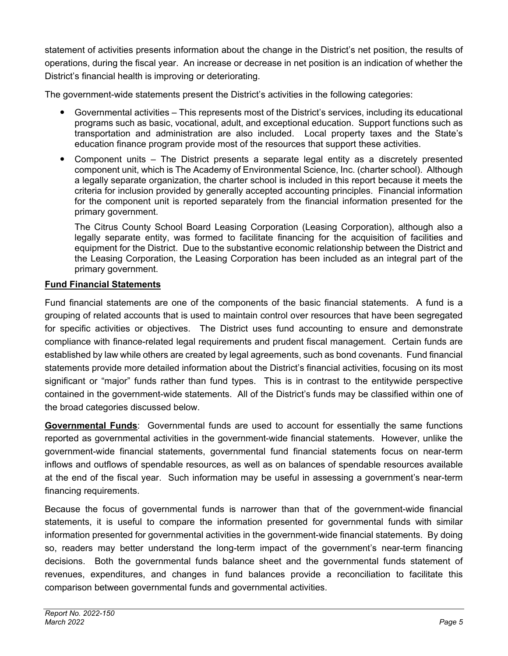statement of activities presents information about the change in the District's net position, the results of operations, during the fiscal year. An increase or decrease in net position is an indication of whether the District's financial health is improving or deteriorating.

The government-wide statements present the District's activities in the following categories:

- Governmental activities This represents most of the District's services, including its educational programs such as basic, vocational, adult, and exceptional education. Support functions such as transportation and administration are also included. Local property taxes and the State's education finance program provide most of the resources that support these activities.
- Component units The District presents a separate legal entity as a discretely presented component unit, which is The Academy of Environmental Science, Inc. (charter school). Although a legally separate organization, the charter school is included in this report because it meets the criteria for inclusion provided by generally accepted accounting principles. Financial information for the component unit is reported separately from the financial information presented for the primary government.

The Citrus County School Board Leasing Corporation (Leasing Corporation), although also a legally separate entity, was formed to facilitate financing for the acquisition of facilities and equipment for the District. Due to the substantive economic relationship between the District and the Leasing Corporation, the Leasing Corporation has been included as an integral part of the primary government.

### **Fund Financial Statements**

Fund financial statements are one of the components of the basic financial statements. A fund is a grouping of related accounts that is used to maintain control over resources that have been segregated for specific activities or objectives. The District uses fund accounting to ensure and demonstrate compliance with finance-related legal requirements and prudent fiscal management. Certain funds are established by law while others are created by legal agreements, such as bond covenants. Fund financial statements provide more detailed information about the District's financial activities, focusing on its most significant or "major" funds rather than fund types. This is in contrast to the entitywide perspective contained in the government-wide statements. All of the District's funds may be classified within one of the broad categories discussed below.

**Governmental Funds**: Governmental funds are used to account for essentially the same functions reported as governmental activities in the government-wide financial statements. However, unlike the government-wide financial statements, governmental fund financial statements focus on near-term inflows and outflows of spendable resources, as well as on balances of spendable resources available at the end of the fiscal year. Such information may be useful in assessing a government's near-term financing requirements.

Because the focus of governmental funds is narrower than that of the government-wide financial statements, it is useful to compare the information presented for governmental funds with similar information presented for governmental activities in the government-wide financial statements. By doing so, readers may better understand the long-term impact of the government's near-term financing decisions. Both the governmental funds balance sheet and the governmental funds statement of revenues, expenditures, and changes in fund balances provide a reconciliation to facilitate this comparison between governmental funds and governmental activities.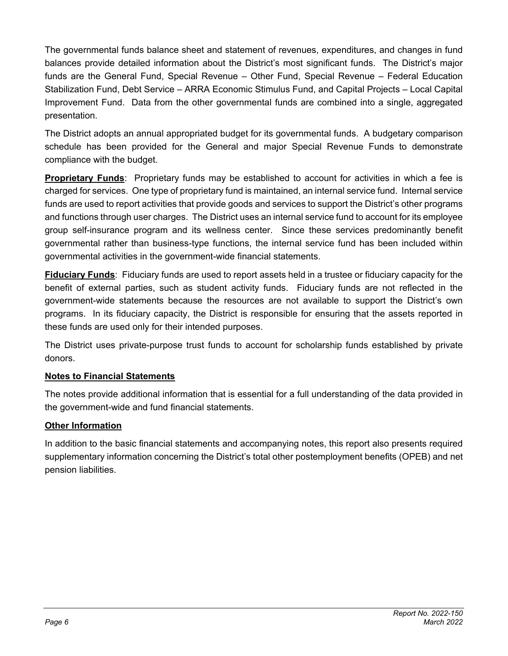The governmental funds balance sheet and statement of revenues, expenditures, and changes in fund balances provide detailed information about the District's most significant funds. The District's major funds are the General Fund, Special Revenue – Other Fund, Special Revenue – Federal Education Stabilization Fund, Debt Service – ARRA Economic Stimulus Fund, and Capital Projects – Local Capital Improvement Fund. Data from the other governmental funds are combined into a single, aggregated presentation.

The District adopts an annual appropriated budget for its governmental funds. A budgetary comparison schedule has been provided for the General and major Special Revenue Funds to demonstrate compliance with the budget.

**Proprietary Funds**: Proprietary funds may be established to account for activities in which a fee is charged for services. One type of proprietary fund is maintained, an internal service fund. Internal service funds are used to report activities that provide goods and services to support the District's other programs and functions through user charges. The District uses an internal service fund to account for its employee group self-insurance program and its wellness center. Since these services predominantly benefit governmental rather than business-type functions, the internal service fund has been included within governmental activities in the government-wide financial statements.

**Fiduciary Funds**: Fiduciary funds are used to report assets held in a trustee or fiduciary capacity for the benefit of external parties, such as student activity funds. Fiduciary funds are not reflected in the government-wide statements because the resources are not available to support the District's own programs. In its fiduciary capacity, the District is responsible for ensuring that the assets reported in these funds are used only for their intended purposes.

The District uses private-purpose trust funds to account for scholarship funds established by private donors.

#### **Notes to Financial Statements**

The notes provide additional information that is essential for a full understanding of the data provided in the government-wide and fund financial statements.

### **Other Information**

In addition to the basic financial statements and accompanying notes, this report also presents required supplementary information concerning the District's total other postemployment benefits (OPEB) and net pension liabilities.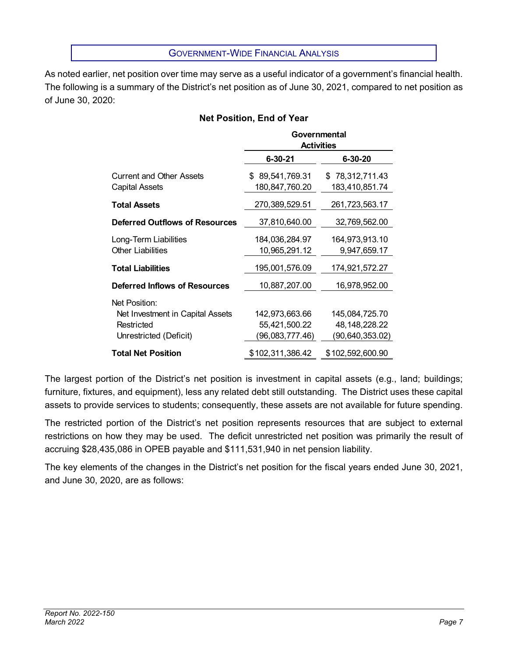#### GOVERNMENT-WIDE FINANCIAL ANALYSIS

As noted earlier, net position over time may serve as a useful indicator of a government's financial health. The following is a summary of the District's net position as of June 30, 2021, compared to net position as of June 30, 2020:

#### **Net Position, End of Year**

|                                                                                           | Governmental<br><b>Activities</b>                  |                                                         |  |  |  |  |  |
|-------------------------------------------------------------------------------------------|----------------------------------------------------|---------------------------------------------------------|--|--|--|--|--|
|                                                                                           | 6-30-21                                            | 6-30-20                                                 |  |  |  |  |  |
| <b>Current and Other Assets</b><br><b>Capital Assets</b>                                  | \$89,541,769.31<br>180,847,760.20                  | \$78,312,711.43<br>183,410,851.74                       |  |  |  |  |  |
| <b>Total Assets</b>                                                                       | 270,389,529.51                                     | 261,723,563.17                                          |  |  |  |  |  |
| <b>Deferred Outflows of Resources</b>                                                     | 37,810,640.00                                      | 32,769,562.00                                           |  |  |  |  |  |
| Long-Term Liabilities<br><b>Other Liabilities</b>                                         | 184,036,284.97<br>10,965,291.12                    | 164,973,913.10<br>9,947,659.17                          |  |  |  |  |  |
| <b>Total Liabilities</b>                                                                  | 195,001,576.09                                     | 174,921,572.27                                          |  |  |  |  |  |
| <b>Deferred Inflows of Resources</b>                                                      | 10,887,207.00                                      | 16,978,952.00                                           |  |  |  |  |  |
| Net Position:<br>Net Investment in Capital Assets<br>Restricted<br>Unrestricted (Deficit) | 142,973,663.66<br>55,421,500.22<br>(96,083,777.46) | 145,084,725.70<br>48, 148, 228. 22<br>(90, 640, 353.02) |  |  |  |  |  |
| <b>Total Net Position</b>                                                                 | \$102,311,386.42                                   | \$102,592,600.90                                        |  |  |  |  |  |

The largest portion of the District's net position is investment in capital assets (e.g., land; buildings; furniture, fixtures, and equipment), less any related debt still outstanding. The District uses these capital assets to provide services to students; consequently, these assets are not available for future spending.

The restricted portion of the District's net position represents resources that are subject to external restrictions on how they may be used. The deficit unrestricted net position was primarily the result of accruing \$28,435,086 in OPEB payable and \$111,531,940 in net pension liability.

The key elements of the changes in the District's net position for the fiscal years ended June 30, 2021, and June 30, 2020, are as follows: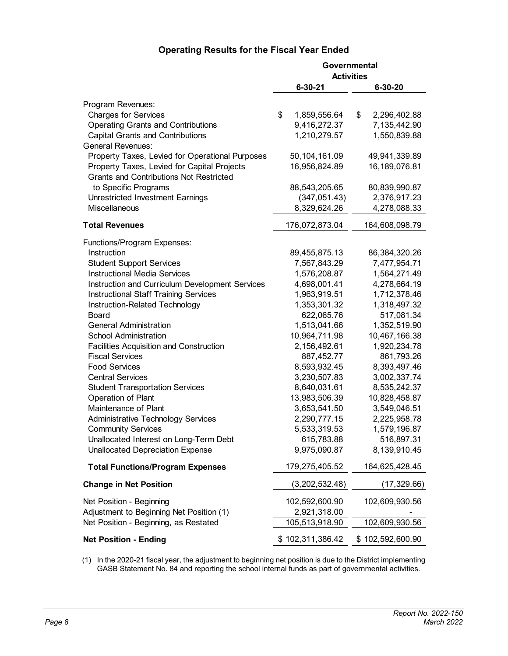#### **Operating Results for the Fiscal Year Ended**

|                                                 | Governmental       |                    |  |  |
|-------------------------------------------------|--------------------|--------------------|--|--|
|                                                 | <b>Activities</b>  |                    |  |  |
|                                                 | 6-30-21            | 6-30-20            |  |  |
| Program Revenues:                               |                    |                    |  |  |
| <b>Charges for Services</b>                     | \$<br>1,859,556.64 | \$<br>2,296,402.88 |  |  |
| <b>Operating Grants and Contributions</b>       | 9,416,272.37       | 7,135,442.90       |  |  |
| <b>Capital Grants and Contributions</b>         | 1,210,279.57       | 1,550,839.88       |  |  |
| <b>General Revenues:</b>                        |                    |                    |  |  |
| Property Taxes, Levied for Operational Purposes | 50,104,161.09      | 49,941,339.89      |  |  |
| Property Taxes, Levied for Capital Projects     | 16,956,824.89      | 16,189,076.81      |  |  |
| <b>Grants and Contributions Not Restricted</b>  |                    |                    |  |  |
| to Specific Programs                            | 88,543,205.65      | 80,839,990.87      |  |  |
| Unrestricted Investment Earnings                | (347, 051.43)      | 2,376,917.23       |  |  |
| Miscellaneous                                   | 8,329,624.26       | 4,278,088.33       |  |  |
|                                                 |                    |                    |  |  |
| <b>Total Revenues</b>                           | 176,072,873.04     | 164,608,098.79     |  |  |
| Functions/Program Expenses:                     |                    |                    |  |  |
| Instruction                                     | 89,455,875.13      | 86,384,320.26      |  |  |
| <b>Student Support Services</b>                 | 7,567,843.29       | 7,477,954.71       |  |  |
| <b>Instructional Media Services</b>             | 1,576,208.87       | 1,564,271.49       |  |  |
| Instruction and Curriculum Development Services | 4,698,001.41       | 4,278,664.19       |  |  |
| <b>Instructional Staff Training Services</b>    | 1,963,919.51       | 1,712,378.46       |  |  |
| Instruction-Related Technology                  | 1,353,301.32       | 1,318,497.32       |  |  |
| Board                                           | 622,065.76         | 517,081.34         |  |  |
| <b>General Administration</b>                   | 1,513,041.66       | 1,352,519.90       |  |  |
| <b>School Administration</b>                    | 10,964,711.98      | 10,467,166.38      |  |  |
| <b>Facilities Acquisition and Construction</b>  | 2,156,492.61       | 1,920,234.78       |  |  |
| <b>Fiscal Services</b>                          | 887,452.77         | 861,793.26         |  |  |
| <b>Food Services</b>                            | 8,593,932.45       | 8,393,497.46       |  |  |
| <b>Central Services</b>                         | 3,230,507.83       | 3,002,337.74       |  |  |
| <b>Student Transportation Services</b>          | 8,640,031.61       | 8,535,242.37       |  |  |
| Operation of Plant                              | 13,983,506.39      | 10,828,458.87      |  |  |
| Maintenance of Plant                            | 3,653,541.50       | 3,549,046.51       |  |  |
| Administrative Technology Services              | 2,290,777.15       | 2,225,958.78       |  |  |
| <b>Community Services</b>                       | 5,533,319.53       | 1,579,196.87       |  |  |
| Unallocated Interest on Long-Term Debt          | 615,783.88         | 516,897.31         |  |  |
| <b>Unallocated Depreciation Expense</b>         | 9,975,090.87       | 8,139,910.45       |  |  |
| <b>Total Functions/Program Expenses</b>         | 179,275,405.52     | 164,625,428.45     |  |  |
| <b>Change in Net Position</b>                   | (3,202,532.48)     | (17, 329.66)       |  |  |
| Net Position - Beginning                        | 102,592,600.90     | 102,609,930.56     |  |  |
| Adjustment to Beginning Net Position (1)        | 2,921,318.00       |                    |  |  |
| Net Position - Beginning, as Restated           | 105,513,918.90     | 102,609,930.56     |  |  |
| <b>Net Position - Ending</b>                    | \$102,311,386.42   | \$102,592,600.90   |  |  |

(1) In the 2020-21 fiscal year, the adjustment to beginning net position is due to the District implementing GASB Statement No. 84 and reporting the school internal funds as part of governmental activities.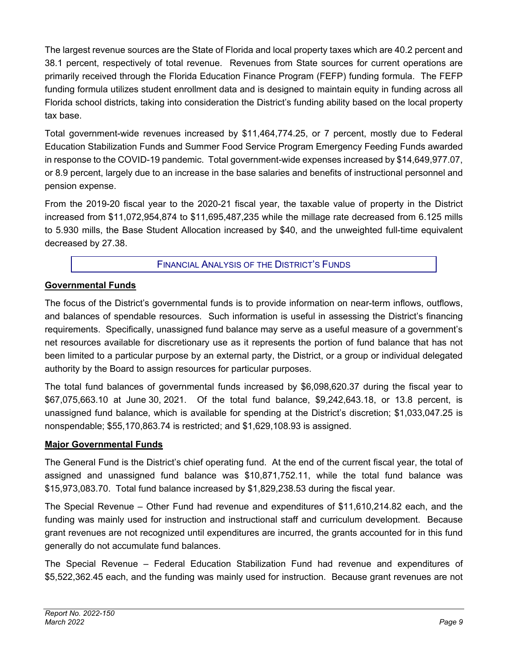The largest revenue sources are the State of Florida and local property taxes which are 40.2 percent and 38.1 percent, respectively of total revenue. Revenues from State sources for current operations are primarily received through the Florida Education Finance Program (FEFP) funding formula. The FEFP funding formula utilizes student enrollment data and is designed to maintain equity in funding across all Florida school districts, taking into consideration the District's funding ability based on the local property tax base.

Total government-wide revenues increased by \$11,464,774.25, or 7 percent, mostly due to Federal Education Stabilization Funds and Summer Food Service Program Emergency Feeding Funds awarded in response to the COVID-19 pandemic. Total government-wide expenses increased by \$14,649,977.07, or 8.9 percent, largely due to an increase in the base salaries and benefits of instructional personnel and pension expense.

From the 2019-20 fiscal year to the 2020-21 fiscal year, the taxable value of property in the District increased from \$11,072,954,874 to \$11,695,487,235 while the millage rate decreased from 6.125 mills to 5.930 mills, the Base Student Allocation increased by \$40, and the unweighted full-time equivalent decreased by 27.38.

FINANCIAL ANALYSIS OF THE DISTRICT'S FUNDS

### **Governmental Funds**

The focus of the District's governmental funds is to provide information on near-term inflows, outflows, and balances of spendable resources. Such information is useful in assessing the District's financing requirements. Specifically, unassigned fund balance may serve as a useful measure of a government's net resources available for discretionary use as it represents the portion of fund balance that has not been limited to a particular purpose by an external party, the District, or a group or individual delegated authority by the Board to assign resources for particular purposes.

The total fund balances of governmental funds increased by \$6,098,620.37 during the fiscal year to \$67,075,663.10 at June 30, 2021. Of the total fund balance, \$9,242,643.18, or 13.8 percent, is unassigned fund balance, which is available for spending at the District's discretion; \$1,033,047.25 is nonspendable; \$55,170,863.74 is restricted; and \$1,629,108.93 is assigned.

### **Major Governmental Funds**

The General Fund is the District's chief operating fund. At the end of the current fiscal year, the total of assigned and unassigned fund balance was \$10,871,752.11, while the total fund balance was \$15,973,083.70. Total fund balance increased by \$1,829,238.53 during the fiscal year.

The Special Revenue – Other Fund had revenue and expenditures of \$11,610,214.82 each, and the funding was mainly used for instruction and instructional staff and curriculum development. Because grant revenues are not recognized until expenditures are incurred, the grants accounted for in this fund generally do not accumulate fund balances.

The Special Revenue – Federal Education Stabilization Fund had revenue and expenditures of \$5,522,362.45 each, and the funding was mainly used for instruction. Because grant revenues are not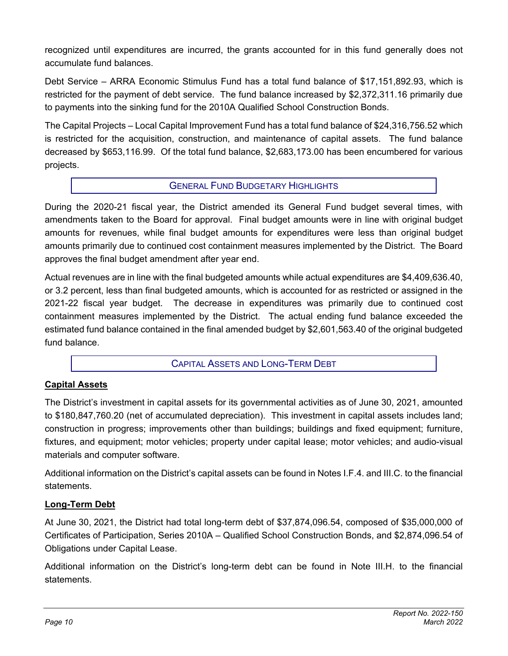recognized until expenditures are incurred, the grants accounted for in this fund generally does not accumulate fund balances.

Debt Service – ARRA Economic Stimulus Fund has a total fund balance of \$17,151,892.93, which is restricted for the payment of debt service. The fund balance increased by \$2,372,311.16 primarily due to payments into the sinking fund for the 2010A Qualified School Construction Bonds.

The Capital Projects – Local Capital Improvement Fund has a total fund balance of \$24,316,756.52 which is restricted for the acquisition, construction, and maintenance of capital assets. The fund balance decreased by \$653,116.99. Of the total fund balance, \$2,683,173.00 has been encumbered for various projects.

### **GENERAL FUND BUDGETARY HIGHLIGHTS**

During the 2020-21 fiscal year, the District amended its General Fund budget several times, with amendments taken to the Board for approval. Final budget amounts were in line with original budget amounts for revenues, while final budget amounts for expenditures were less than original budget amounts primarily due to continued cost containment measures implemented by the District. The Board approves the final budget amendment after year end.

Actual revenues are in line with the final budgeted amounts while actual expenditures are \$4,409,636.40, or 3.2 percent, less than final budgeted amounts, which is accounted for as restricted or assigned in the 2021-22 fiscal year budget. The decrease in expenditures was primarily due to continued cost containment measures implemented by the District. The actual ending fund balance exceeded the estimated fund balance contained in the final amended budget by \$2,601,563.40 of the original budgeted fund balance.

CAPITAL ASSETS AND LONG-TERM DEBT

### **Capital Assets**

The District's investment in capital assets for its governmental activities as of June 30, 2021, amounted to \$180,847,760.20 (net of accumulated depreciation). This investment in capital assets includes land; construction in progress; improvements other than buildings; buildings and fixed equipment; furniture, fixtures, and equipment; motor vehicles; property under capital lease; motor vehicles; and audio-visual materials and computer software.

Additional information on the District's capital assets can be found in Notes I.F.4. and III.C. to the financial statements.

### **Long-Term Debt**

At June 30, 2021, the District had total long-term debt of \$37,874,096.54, composed of \$35,000,000 of Certificates of Participation, Series 2010A – Qualified School Construction Bonds, and \$2,874,096.54 of Obligations under Capital Lease.

Additional information on the District's long-term debt can be found in Note III.H. to the financial statements.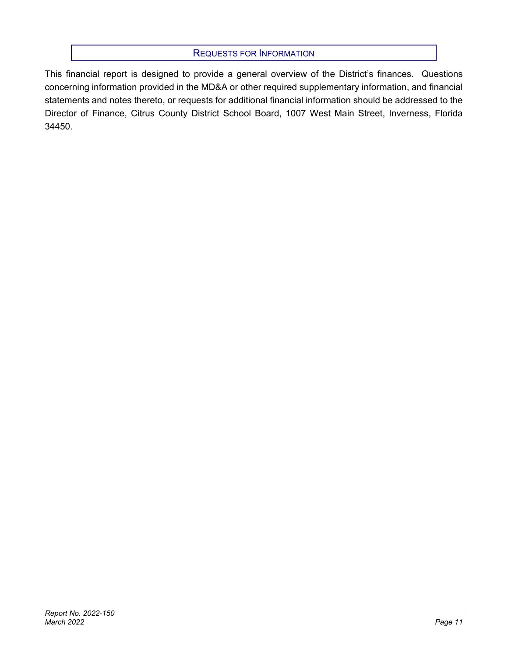#### REQUESTS FOR INFORMATION

This financial report is designed to provide a general overview of the District's finances. Questions concerning information provided in the MD&A or other required supplementary information, and financial statements and notes thereto, or requests for additional financial information should be addressed to the Director of Finance, Citrus County District School Board, 1007 West Main Street, Inverness, Florida 34450.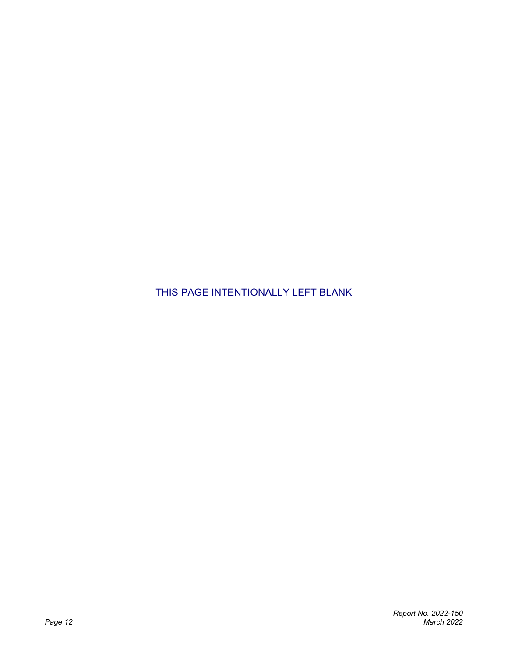THIS PAGE INTENTIONALLY LEFT BLANK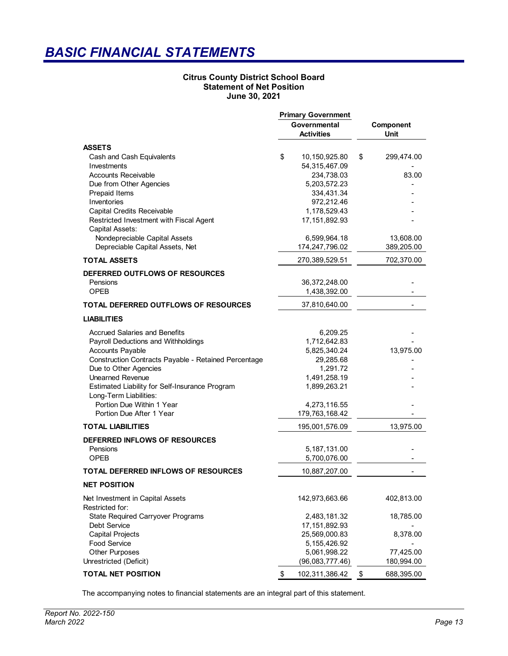## <span id="page-18-0"></span>*BASIC FINANCIAL STATEMENTS*

#### **Citrus County District School Board Statement of Net Position June 30, 2021**

|                                                                          | <b>Primary Government</b>            |                   |
|--------------------------------------------------------------------------|--------------------------------------|-------------------|
|                                                                          | Governmental<br><b>Activities</b>    | Component<br>Unit |
| <b>ASSETS</b>                                                            |                                      |                   |
| Cash and Cash Equivalents<br>Investments                                 | \$<br>10,150,925.80<br>54,315,467.09 | \$<br>299,474.00  |
| <b>Accounts Receivable</b>                                               | 234,738.03                           | 83.00             |
| Due from Other Agencies                                                  | 5,203,572.23                         |                   |
| Prepaid Items                                                            | 334,431.34                           |                   |
| Inventories                                                              | 972,212.46                           |                   |
| Capital Credits Receivable                                               | 1,178,529.43                         |                   |
| Restricted Investment with Fiscal Agent<br>Capital Assets:               | 17, 151, 892. 93                     |                   |
| Nondepreciable Capital Assets                                            | 6,599,964.18                         | 13,608.00         |
| Depreciable Capital Assets, Net                                          | 174,247,796.02                       | 389,205.00        |
| <b>TOTAL ASSETS</b>                                                      | 270,389,529.51                       | 702,370.00        |
| <b>DEFERRED OUTFLOWS OF RESOURCES</b>                                    |                                      |                   |
| Pensions                                                                 | 36,372,248.00                        |                   |
| <b>OPEB</b>                                                              | 1,438,392.00                         |                   |
| TOTAL DEFERRED OUTFLOWS OF RESOURCES                                     | 37,810,640.00                        |                   |
| <b>LIABILITIES</b>                                                       |                                      |                   |
| <b>Accrued Salaries and Benefits</b>                                     | 6,209.25                             |                   |
| Payroll Deductions and Withholdings                                      | 1,712,642.83                         |                   |
| <b>Accounts Payable</b>                                                  | 5,825,340.24                         | 13,975.00         |
| Construction Contracts Payable - Retained Percentage                     | 29,285.68                            |                   |
| Due to Other Agencies                                                    | 1,291.72                             |                   |
| <b>Unearned Revenue</b>                                                  | 1,491,258.19                         |                   |
| Estimated Liability for Self-Insurance Program<br>Long-Term Liabilities: | 1,899,263.21                         |                   |
| Portion Due Within 1 Year                                                | 4,273,116.55                         |                   |
| Portion Due After 1 Year                                                 | 179,763,168.42                       |                   |
| <b>TOTAL LIABILITIES</b>                                                 | 195,001,576.09                       | 13,975.00         |
| DEFERRED INFLOWS OF RESOURCES                                            |                                      |                   |
| Pensions                                                                 | 5,187,131.00                         |                   |
| <b>OPEB</b>                                                              | 5,700,076.00                         |                   |
| TOTAL DEFERRED INFLOWS OF RESOURCES                                      | 10,887,207.00                        |                   |
| <b>NET POSITION</b>                                                      |                                      |                   |
| Net Investment in Capital Assets<br>Restricted for:                      | 142,973,663.66                       | 402,813.00        |
| <b>State Required Carryover Programs</b>                                 | 2,483,181.32                         | 18,785.00         |
| Debt Service                                                             | 17, 151, 892. 93                     |                   |
| <b>Capital Projects</b>                                                  | 25,569,000.83                        | 8,378.00          |
| Food Service                                                             | 5,155,426.92                         |                   |
| Other Purposes                                                           | 5,061,998.22                         | 77,425.00         |
| Unrestricted (Deficit)                                                   | (96,083,777.46)                      | 180,994.00        |
| <b>TOTAL NET POSITION</b>                                                | \$<br>102,311,386.42                 | \$<br>688,395.00  |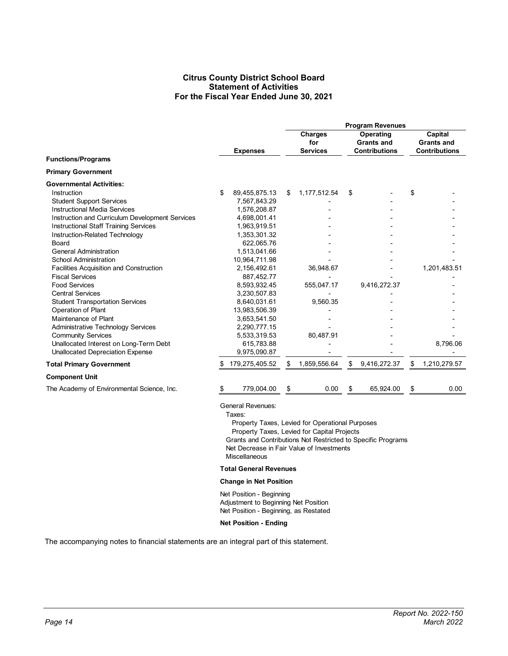#### **Citrus County District School Board Statement of Activities For the Fiscal Year Ended June 30, 2021**

<span id="page-19-0"></span>

|                                                 |    | <b>Program Revenues</b>  |                                          |              |                                                        |              |    |                                                      |  |
|-------------------------------------------------|----|--------------------------|------------------------------------------|--------------|--------------------------------------------------------|--------------|----|------------------------------------------------------|--|
|                                                 |    | <b>Expenses</b>          | <b>Charges</b><br>for<br><b>Services</b> |              | Operating<br><b>Grants and</b><br><b>Contributions</b> |              |    | Capital<br><b>Grants and</b><br><b>Contributions</b> |  |
| <b>Functions/Programs</b>                       |    |                          |                                          |              |                                                        |              |    |                                                      |  |
| <b>Primary Government</b>                       |    |                          |                                          |              |                                                        |              |    |                                                      |  |
| <b>Governmental Activities:</b>                 |    |                          |                                          |              |                                                        |              |    |                                                      |  |
| Instruction                                     | \$ | 89,455,875.13            | \$                                       | 1,177,512.54 | \$                                                     |              | \$ |                                                      |  |
| <b>Student Support Services</b>                 |    | 7,567,843.29             |                                          |              |                                                        |              |    |                                                      |  |
| <b>Instructional Media Services</b>             |    | 1,576,208.87             |                                          |              |                                                        |              |    |                                                      |  |
| Instruction and Curriculum Development Services |    | 4,698,001.41             |                                          |              |                                                        |              |    |                                                      |  |
| <b>Instructional Staff Training Services</b>    |    | 1,963,919.51             |                                          |              |                                                        |              |    |                                                      |  |
| <b>Instruction-Related Technology</b>           |    | 1,353,301.32             |                                          |              |                                                        |              |    |                                                      |  |
| Board                                           |    | 622,065.76               |                                          |              |                                                        |              |    |                                                      |  |
| <b>General Administration</b>                   |    | 1,513,041.66             |                                          |              |                                                        |              |    |                                                      |  |
| <b>School Administration</b>                    |    | 10,964,711.98            |                                          |              |                                                        |              |    |                                                      |  |
| <b>Facilities Acquisition and Construction</b>  |    | 2,156,492.61             |                                          | 36,948.67    |                                                        |              |    | 1,201,483.51                                         |  |
| <b>Fiscal Services</b>                          |    | 887,452.77               |                                          |              |                                                        |              |    |                                                      |  |
| <b>Food Services</b>                            |    | 8,593,932.45             |                                          | 555,047.17   |                                                        | 9,416,272.37 |    |                                                      |  |
| <b>Central Services</b>                         |    | 3,230,507.83             |                                          |              |                                                        |              |    |                                                      |  |
| <b>Student Transportation Services</b>          |    | 8,640,031.61             |                                          | 9,560.35     |                                                        |              |    |                                                      |  |
| Operation of Plant                              |    | 13,983,506.39            |                                          |              |                                                        |              |    |                                                      |  |
| Maintenance of Plant                            |    | 3,653,541.50             |                                          |              |                                                        |              |    |                                                      |  |
| <b>Administrative Technology Services</b>       |    | 2,290,777.15             |                                          |              |                                                        |              |    |                                                      |  |
| <b>Community Services</b>                       |    | 5,533,319.53             |                                          | 80,487.91    |                                                        |              |    |                                                      |  |
| Unallocated Interest on Long-Term Debt          |    | 615,783.88               |                                          |              |                                                        |              |    | 8,796.06                                             |  |
| <b>Unallocated Depreciation Expense</b>         |    | 9,975,090.87             |                                          |              |                                                        |              |    |                                                      |  |
| <b>Total Primary Government</b>                 |    | 179,275,405.52           | \$                                       | 1,859,556.64 | \$                                                     | 9,416,272.37 | \$ | 1,210,279.57                                         |  |
| <b>Component Unit</b>                           |    |                          |                                          |              |                                                        |              |    |                                                      |  |
| The Academy of Environmental Science, Inc.      | \$ | 779,004.00               | \$                                       | 0.00         | \$                                                     | 65,924.00    | \$ | 0.00                                                 |  |
|                                                 |    | <b>General Revenues:</b> |                                          |              |                                                        |              |    |                                                      |  |

Taxes: Property Taxes, Levied for Operational Purposes

Property Taxes, Levied for Capital Projects

Grants and Contributions Not Restricted to Specific Programs

Net Decrease in Fair Value of Investments

Miscellaneous

#### **Total General Revenues**

#### **Change in Net Position**

Net Position - Beginning Adjustment to Beginning Net Position Net Position - Beginning, as Restated

#### **Net Position - Ending**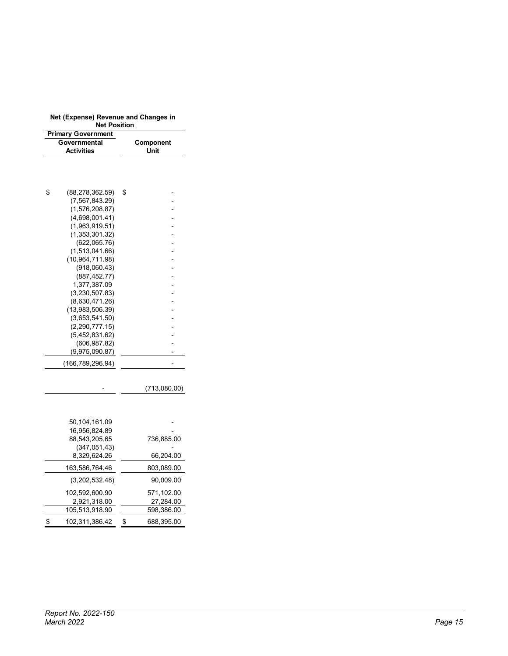| Net (Expense) Revenue and Changes in<br><b>Net Position</b> |    |                   |  |  |  |  |  |  |
|-------------------------------------------------------------|----|-------------------|--|--|--|--|--|--|
| <b>Primary Government</b><br>Governmental<br>Activities     |    | Component<br>Unit |  |  |  |  |  |  |
|                                                             |    |                   |  |  |  |  |  |  |
| \$<br>(88, 278, 362.59)                                     | \$ |                   |  |  |  |  |  |  |
| (7, 567, 843.29)                                            |    |                   |  |  |  |  |  |  |
| (1,576,208.87)                                              |    |                   |  |  |  |  |  |  |
| (4,698,001.41)                                              |    |                   |  |  |  |  |  |  |
| (1,963,919.51)                                              |    |                   |  |  |  |  |  |  |
| (1,353,301.32)                                              |    |                   |  |  |  |  |  |  |
| (622,065.76)                                                |    |                   |  |  |  |  |  |  |
| (1,513,041.66)<br>(10, 964, 711.98)                         |    |                   |  |  |  |  |  |  |
| (918,060.43)                                                |    |                   |  |  |  |  |  |  |
| (887, 452.77)                                               |    |                   |  |  |  |  |  |  |
| 1,377,387.09                                                |    |                   |  |  |  |  |  |  |
| (3,230,507.83)                                              |    |                   |  |  |  |  |  |  |
| (8,630,471.26)                                              |    |                   |  |  |  |  |  |  |
| (13,983,506.39)                                             |    |                   |  |  |  |  |  |  |
| (3,653,541.50)                                              |    |                   |  |  |  |  |  |  |
| (2,290,777.15)                                              |    |                   |  |  |  |  |  |  |
| (5,452,831.62)                                              |    |                   |  |  |  |  |  |  |
| (606,987.82)                                                |    |                   |  |  |  |  |  |  |
| (9,975,090.87)                                              |    |                   |  |  |  |  |  |  |
| (166,789,296.94)                                            |    |                   |  |  |  |  |  |  |
|                                                             |    | (713,080.00)      |  |  |  |  |  |  |
| 50,104,161.09                                               |    |                   |  |  |  |  |  |  |
| 16,956,824.89                                               |    |                   |  |  |  |  |  |  |
| 88,543,205.65                                               |    | 736,885.00        |  |  |  |  |  |  |
| (347, 051.43)                                               |    |                   |  |  |  |  |  |  |
| 8,329,624.26                                                |    | 66,204.00         |  |  |  |  |  |  |
| 163,586,764.46                                              |    | 803,089.00        |  |  |  |  |  |  |
| (3,202,532.48)                                              |    | 90,009.00         |  |  |  |  |  |  |
| 102,592,600.90                                              |    | 571,102.00        |  |  |  |  |  |  |
| 2,921,318.00                                                |    | 27,284.00         |  |  |  |  |  |  |
| 105,513,918.90                                              |    | 598,386.00        |  |  |  |  |  |  |
| \$<br>102,311,386.42                                        | \$ | 688,395.00        |  |  |  |  |  |  |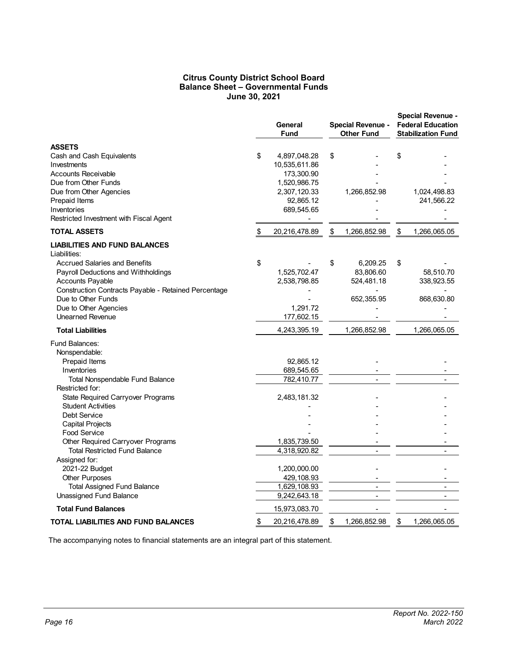#### **Citrus County District School Board Balance Sheet – Governmental Funds June 30, 2021**

<span id="page-21-0"></span>

|                                                      |    | General<br><b>Fund</b> | <b>Special Revenue -</b><br><b>Other Fund</b> | <b>Special Revenue -</b><br><b>Federal Education</b><br><b>Stabilization Fund</b> |                |  |
|------------------------------------------------------|----|------------------------|-----------------------------------------------|-----------------------------------------------------------------------------------|----------------|--|
| <b>ASSETS</b>                                        |    |                        |                                               |                                                                                   |                |  |
| Cash and Cash Equivalents                            | \$ | 4,897,048.28           | \$                                            | \$                                                                                |                |  |
| Investments                                          |    | 10,535,611.86          |                                               |                                                                                   |                |  |
| <b>Accounts Receivable</b>                           |    | 173,300.90             |                                               |                                                                                   |                |  |
| Due from Other Funds                                 |    | 1,520,986.75           |                                               |                                                                                   |                |  |
| Due from Other Agencies                              |    | 2,307,120.33           | 1,266,852.98                                  |                                                                                   | 1,024,498.83   |  |
| Prepaid Items                                        |    | 92,865.12              |                                               |                                                                                   | 241,566.22     |  |
| Inventories                                          |    | 689,545.65             |                                               |                                                                                   |                |  |
| Restricted Investment with Fiscal Agent              |    |                        |                                               |                                                                                   |                |  |
| <b>TOTAL ASSETS</b>                                  | \$ | 20,216,478.89          | \$<br>1,266,852.98                            | \$                                                                                | 1,266,065.05   |  |
| <b>LIABILITIES AND FUND BALANCES</b><br>Liabilities: |    |                        |                                               |                                                                                   |                |  |
| <b>Accrued Salaries and Benefits</b>                 | \$ |                        | \$<br>6,209.25                                | \$                                                                                |                |  |
| Payroll Deductions and Withholdings                  |    | 1,525,702.47           | 83,806.60                                     |                                                                                   | 58,510.70      |  |
| <b>Accounts Payable</b>                              |    | 2,538,798.85           | 524,481.18                                    |                                                                                   | 338,923.55     |  |
| Construction Contracts Payable - Retained Percentage |    |                        |                                               |                                                                                   |                |  |
| Due to Other Funds                                   |    |                        | 652,355.95                                    |                                                                                   | 868,630.80     |  |
| Due to Other Agencies                                |    | 1,291.72               |                                               |                                                                                   |                |  |
| <b>Unearned Revenue</b>                              |    | 177,602.15             |                                               |                                                                                   |                |  |
| <b>Total Liabilities</b>                             |    | 4,243,395.19           | 1,266,852.98                                  |                                                                                   | 1,266,065.05   |  |
| <b>Fund Balances:</b>                                |    |                        |                                               |                                                                                   |                |  |
| Nonspendable:                                        |    |                        |                                               |                                                                                   |                |  |
| Prepaid Items                                        |    | 92,865.12              |                                               |                                                                                   |                |  |
| Inventories                                          |    | 689,545.65             |                                               |                                                                                   |                |  |
| <b>Total Nonspendable Fund Balance</b>               |    | 782,410.77             |                                               |                                                                                   |                |  |
| Restricted for:                                      |    |                        |                                               |                                                                                   |                |  |
| State Required Carryover Programs                    |    | 2,483,181.32           |                                               |                                                                                   |                |  |
| <b>Student Activities</b>                            |    |                        |                                               |                                                                                   |                |  |
| Debt Service                                         |    |                        |                                               |                                                                                   |                |  |
| Capital Projects                                     |    |                        |                                               |                                                                                   |                |  |
| <b>Food Service</b>                                  |    |                        |                                               |                                                                                   |                |  |
| Other Required Carryover Programs                    |    | 1,835,739.50           |                                               |                                                                                   |                |  |
| <b>Total Restricted Fund Balance</b>                 |    | 4,318,920.82           |                                               |                                                                                   |                |  |
| Assigned for:                                        |    |                        |                                               |                                                                                   |                |  |
| 2021-22 Budget                                       |    | 1,200,000.00           |                                               |                                                                                   |                |  |
| <b>Other Purposes</b>                                |    | 429,108.93             |                                               |                                                                                   |                |  |
| <b>Total Assigned Fund Balance</b>                   |    | 1,629,108.93           |                                               |                                                                                   |                |  |
| <b>Unassigned Fund Balance</b>                       |    | 9,242,643.18           | $\blacksquare$                                |                                                                                   | $\blacksquare$ |  |
| <b>Total Fund Balances</b>                           |    | 15,973,083.70          |                                               |                                                                                   |                |  |
| TOTAL LIABILITIES AND FUND BALANCES                  | \$ | 20,216,478.89          | \$<br>1,266,852.98                            | \$                                                                                | 1,266,065.05   |  |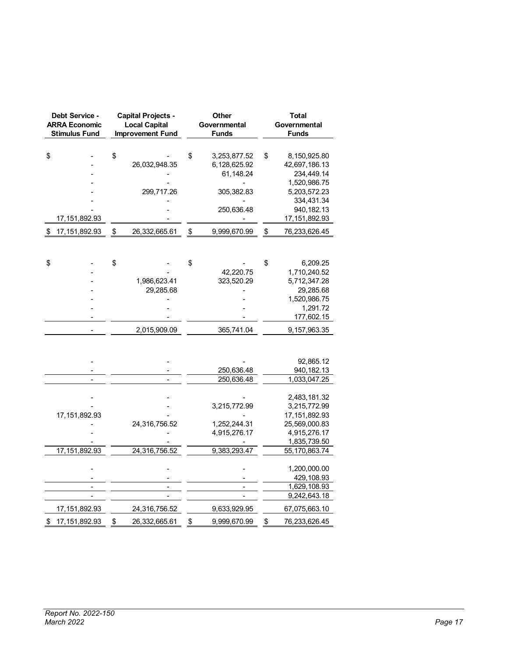| Debt Service -<br><b>ARRA Economic</b><br><b>Stimulus Fund</b> | <b>Capital Projects -</b><br><b>Local Capital</b><br><b>Improvement Fund</b> | Other<br>Governmental<br><b>Funds</b> | <b>Total</b><br>Governmental<br><b>Funds</b> |
|----------------------------------------------------------------|------------------------------------------------------------------------------|---------------------------------------|----------------------------------------------|
| \$                                                             | \$                                                                           | \$<br>3,253,877.52                    | \$<br>8,150,925.80                           |
|                                                                | 26,032,948.35                                                                | 6,128,625.92                          | 42,697,186.13                                |
|                                                                |                                                                              | 61,148.24                             | 234,449.14                                   |
|                                                                |                                                                              |                                       | 1,520,986.75                                 |
|                                                                | 299,717.26                                                                   | 305,382.83                            | 5,203,572.23                                 |
|                                                                |                                                                              |                                       | 334,431.34                                   |
|                                                                |                                                                              | 250,636.48                            | 940, 182. 13                                 |
| 17,151,892.93                                                  |                                                                              |                                       | 17, 151, 892. 93                             |
| \$<br>17, 151, 892. 93                                         | \$<br>26,332,665.61                                                          | \$<br>9,999,670.99                    | \$<br>76,233,626.45                          |
|                                                                |                                                                              |                                       |                                              |
| \$                                                             | \$                                                                           | \$                                    | \$<br>6,209.25                               |
|                                                                |                                                                              | 42,220.75                             | 1,710,240.52                                 |
|                                                                | 1,986,623.41                                                                 | 323,520.29                            | 5,712,347.28                                 |
|                                                                | 29,285.68                                                                    |                                       | 29,285.68                                    |
|                                                                |                                                                              |                                       | 1,520,986.75                                 |
|                                                                |                                                                              |                                       | 1,291.72                                     |
|                                                                |                                                                              |                                       | 177,602.15                                   |
|                                                                | 2,015,909.09                                                                 | 365,741.04                            | 9, 157, 963. 35                              |
|                                                                |                                                                              |                                       |                                              |
|                                                                |                                                                              |                                       | 92,865.12                                    |
|                                                                |                                                                              | 250,636.48                            | 940, 182. 13                                 |
|                                                                |                                                                              | 250,636.48                            | 1,033,047.25                                 |
|                                                                |                                                                              |                                       | 2,483,181.32                                 |
|                                                                |                                                                              | 3,215,772.99                          | 3,215,772.99                                 |
| 17, 151, 892. 93                                               |                                                                              |                                       | 17, 151, 892. 93                             |
|                                                                | 24,316,756.52                                                                | 1,252,244.31                          | 25,569,000.83                                |
|                                                                |                                                                              | 4,915,276.17                          | 4,915,276.17                                 |
|                                                                |                                                                              |                                       | 1,835,739.50                                 |
| 17, 151, 892. 93                                               | 24,316,756.52                                                                | 9,383,293.47                          | 55,170,863.74                                |
|                                                                |                                                                              |                                       | 1,200,000.00                                 |
|                                                                |                                                                              |                                       | 429,108.93                                   |
|                                                                |                                                                              |                                       | 1,629,108.93                                 |
|                                                                |                                                                              | $\blacksquare$                        | 9,242,643.18                                 |
| 17, 151, 892. 93                                               | 24,316,756.52                                                                | 9,633,929.95                          | 67,075,663.10                                |
| \$<br>17, 151, 892. 93                                         | \$<br>26,332,665.61                                                          | \$<br>9,999,670.99                    | \$<br>76,233,626.45                          |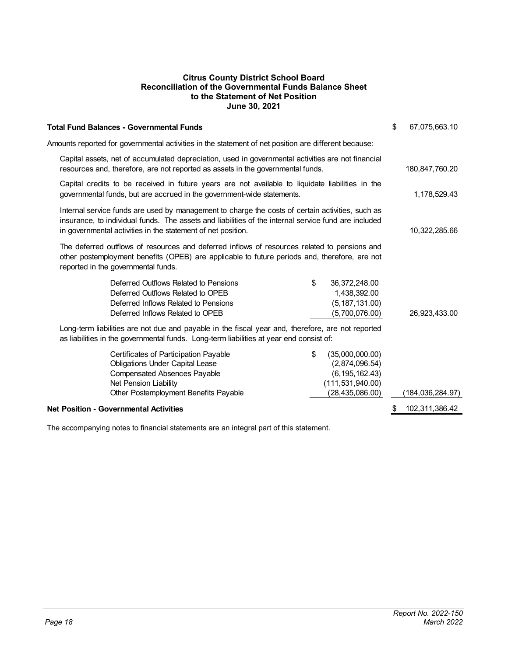#### **Citrus County District School Board Reconciliation of the Governmental Funds Balance Sheet to the Statement of Net Position June 30, 2021**

<span id="page-23-0"></span>

| <b>Total Fund Balances - Governmental Funds</b>                                                                                                                                                                                                                          |                                                                                                        | \$<br>67,075,663.10  |
|--------------------------------------------------------------------------------------------------------------------------------------------------------------------------------------------------------------------------------------------------------------------------|--------------------------------------------------------------------------------------------------------|----------------------|
| Amounts reported for governmental activities in the statement of net position are different because:                                                                                                                                                                     |                                                                                                        |                      |
| Capital assets, net of accumulated depreciation, used in governmental activities are not financial<br>resources and, therefore, are not reported as assets in the governmental funds.                                                                                    | 180,847,760.20                                                                                         |                      |
| Capital credits to be received in future years are not available to liquidate liabilities in the<br>governmental funds, but are accrued in the government-wide statements.                                                                                               | 1,178,529.43                                                                                           |                      |
| Internal service funds are used by management to charge the costs of certain activities, such as<br>insurance, to individual funds. The assets and liabilities of the internal service fund are included<br>in governmental activities in the statement of net position. |                                                                                                        | 10,322,285.66        |
| The deferred outflows of resources and deferred inflows of resources related to pensions and<br>other postemployment benefits (OPEB) are applicable to future periods and, therefore, are not<br>reported in the governmental funds.                                     |                                                                                                        |                      |
| Deferred Outflows Related to Pensions<br>Deferred Outflows Related to OPEB<br>Deferred Inflows Related to Pensions<br>Deferred Inflows Related to OPEB                                                                                                                   | \$<br>36,372,248.00<br>1,438,392.00<br>(5, 187, 131.00)<br>(5,700,076.00)                              | 26,923,433.00        |
| Long-term liabilities are not due and payable in the fiscal year and, therefore, are not reported<br>as liabilities in the governmental funds. Long-term liabilities at year end consist of:                                                                             |                                                                                                        |                      |
| Certificates of Participation Payable<br><b>Obligations Under Capital Lease</b><br><b>Compensated Absences Payable</b><br>Net Pension Liability<br>Other Postemployment Benefits Payable                                                                                 | (35,000,000.00)<br>\$<br>(2,874,096.54)<br>(6, 195, 162.43)<br>(111, 531, 940.00)<br>(28, 435, 086.00) | (184,036,284.97)     |
| <b>Net Position - Governmental Activities</b>                                                                                                                                                                                                                            |                                                                                                        | \$<br>102,311,386.42 |
|                                                                                                                                                                                                                                                                          |                                                                                                        |                      |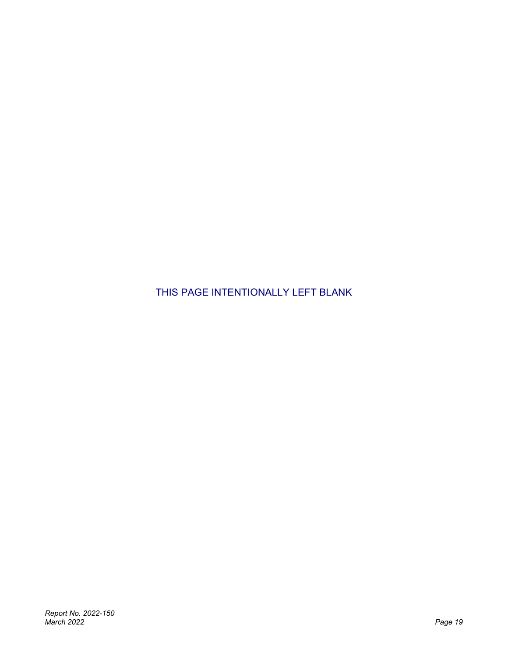THIS PAGE INTENTIONALLY LEFT BLANK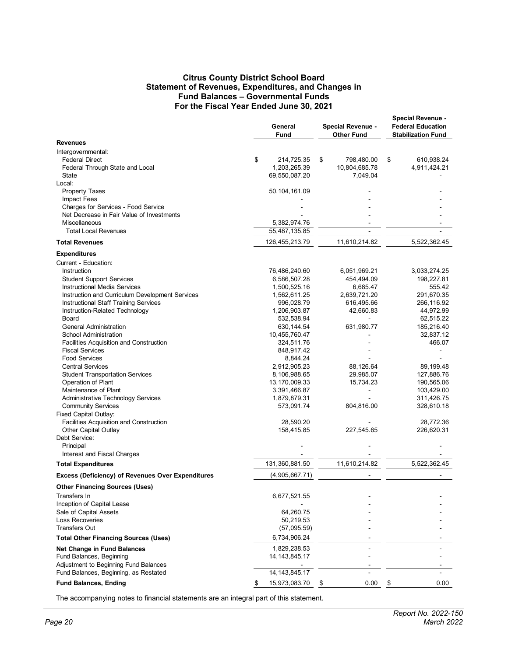#### **Citrus County District School Board Statement of Revenues, Expenditures, and Changes in Fund Balances – Governmental Funds For the Fiscal Year Ended June 30, 2021**

<span id="page-25-0"></span>

|                                                          | General<br>Fund |                  | Special Revenue -<br><b>Other Fund</b> | Special Revenue -<br><b>Federal Education</b><br><b>Stabilization Fund</b> |              |  |
|----------------------------------------------------------|-----------------|------------------|----------------------------------------|----------------------------------------------------------------------------|--------------|--|
| <b>Revenues</b>                                          |                 |                  |                                        |                                                                            |              |  |
| Intergovernmental:                                       |                 |                  |                                        |                                                                            |              |  |
| <b>Federal Direct</b>                                    | \$              | 214,725.35       | \$<br>798,480.00                       | \$                                                                         | 610,938.24   |  |
| Federal Through State and Local                          |                 | 1,203,265.39     | 10,804,685.78                          |                                                                            | 4,911,424.21 |  |
| <b>State</b>                                             |                 | 69,550,087.20    | 7,049.04                               |                                                                            |              |  |
| Local:                                                   |                 |                  |                                        |                                                                            |              |  |
| <b>Property Taxes</b>                                    |                 | 50,104,161.09    |                                        |                                                                            |              |  |
| <b>Impact Fees</b>                                       |                 |                  |                                        |                                                                            |              |  |
| Charges for Services - Food Service                      |                 |                  |                                        |                                                                            |              |  |
| Net Decrease in Fair Value of Investments                |                 |                  |                                        |                                                                            |              |  |
| Miscellaneous                                            |                 | 5,382,974.76     |                                        |                                                                            |              |  |
| <b>Total Local Revenues</b>                              |                 | 55,487,135.85    | $\overline{a}$                         |                                                                            |              |  |
| <b>Total Revenues</b>                                    |                 | 126,455,213.79   | 11,610,214.82                          |                                                                            | 5,522,362.45 |  |
| <b>Expenditures</b>                                      |                 |                  |                                        |                                                                            |              |  |
| Current - Education:                                     |                 |                  |                                        |                                                                            |              |  |
| Instruction                                              |                 | 76,486,240.60    | 6,051,969.21                           |                                                                            | 3,033,274.25 |  |
| <b>Student Support Services</b>                          |                 | 6,586,507.28     | 454,494.09                             |                                                                            | 198,227.81   |  |
| <b>Instructional Media Services</b>                      |                 | 1,500,525.16     | 6,685.47                               |                                                                            | 555.42       |  |
| Instruction and Curriculum Development Services          |                 | 1,562,611.25     | 2,639,721.20                           |                                                                            | 291,670.35   |  |
| <b>Instructional Staff Training Services</b>             |                 | 996,028.79       | 616,495.66                             |                                                                            | 266,116.92   |  |
| Instruction-Related Technology                           |                 | 1,206,903.87     | 42,660.83                              |                                                                            | 44,972.99    |  |
| Board                                                    |                 | 532,538.94       |                                        |                                                                            | 62,515.22    |  |
| <b>General Administration</b>                            |                 | 630,144.54       | 631,980.77                             |                                                                            | 185,216.40   |  |
| <b>School Administration</b>                             |                 | 10,455,760.47    |                                        |                                                                            | 32,837.12    |  |
| Facilities Acquisition and Construction                  |                 | 324,511.76       |                                        |                                                                            | 466.07       |  |
| <b>Fiscal Services</b>                                   |                 | 848,917.42       |                                        |                                                                            |              |  |
| <b>Food Services</b>                                     |                 | 8,844.24         |                                        |                                                                            |              |  |
| <b>Central Services</b>                                  |                 | 2,912,905.23     | 88,126.64                              |                                                                            | 89,199.48    |  |
| <b>Student Transportation Services</b>                   |                 | 8,106,988.65     | 29,985.07                              |                                                                            | 127,886.76   |  |
| Operation of Plant                                       |                 | 13,170,009.33    | 15,734.23                              |                                                                            | 190,565.06   |  |
| Maintenance of Plant                                     |                 | 3,391,466.87     |                                        |                                                                            | 103,429.00   |  |
| Administrative Technology Services                       |                 | 1,879,879.31     |                                        |                                                                            | 311,426.75   |  |
| <b>Community Services</b>                                |                 | 573,091.74       | 804,816.00                             |                                                                            | 328,610.18   |  |
| Fixed Capital Outlay:                                    |                 |                  |                                        |                                                                            |              |  |
| Facilities Acquisition and Construction                  |                 | 28,590.20        |                                        |                                                                            | 28,772.36    |  |
| <b>Other Capital Outlay</b>                              |                 | 158,415.85       | 227,545.65                             |                                                                            | 226,620.31   |  |
| Debt Service:                                            |                 |                  |                                        |                                                                            |              |  |
| Principal                                                |                 |                  |                                        |                                                                            |              |  |
| Interest and Fiscal Charges                              |                 | 131,360,881.50   |                                        |                                                                            |              |  |
| <b>Total Expenditures</b>                                |                 |                  | 11,610,214.82                          |                                                                            | 5,522,362.45 |  |
| <b>Excess (Deficiency) of Revenues Over Expenditures</b> |                 | (4,905,667.71)   |                                        |                                                                            |              |  |
| <b>Other Financing Sources (Uses)</b>                    |                 |                  |                                        |                                                                            |              |  |
| Transfers In                                             |                 | 6,677,521.55     |                                        |                                                                            |              |  |
| Inception of Capital Lease                               |                 |                  |                                        |                                                                            |              |  |
| Sale of Capital Assets                                   |                 | 64,260.75        |                                        |                                                                            |              |  |
| Loss Recoveries                                          |                 | 50,219.53        |                                        |                                                                            |              |  |
| <b>Transfers Out</b>                                     |                 | (57,095.59)      |                                        |                                                                            |              |  |
| <b>Total Other Financing Sources (Uses)</b>              |                 | 6,734,906.24     |                                        |                                                                            |              |  |
| <b>Net Change in Fund Balances</b>                       |                 | 1,829,238.53     |                                        |                                                                            |              |  |
| Fund Balances, Beginning                                 |                 | 14, 143, 845. 17 |                                        |                                                                            |              |  |
| Adjustment to Beginning Fund Balances                    |                 |                  |                                        |                                                                            |              |  |
| Fund Balances, Beginning, as Restated                    |                 | 14, 143, 845. 17 | $\blacksquare$                         |                                                                            |              |  |
| <b>Fund Balances, Ending</b>                             | \$              | 15,973,083.70    | \$<br>0.00                             | \$                                                                         | 0.00         |  |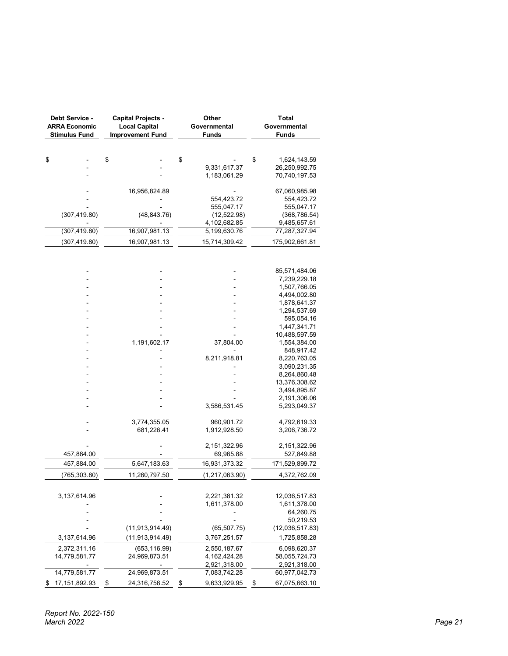| Debt Service -<br><b>ARRA Economic</b><br><b>Stimulus Fund</b> | <b>Capital Projects -</b><br><b>Local Capital</b><br><b>Improvement Fund</b> | Other<br>Governmental<br><b>Funds</b> | Total<br>Governmental<br><b>Funds</b> |
|----------------------------------------------------------------|------------------------------------------------------------------------------|---------------------------------------|---------------------------------------|
|                                                                |                                                                              |                                       |                                       |
| \$                                                             | \$                                                                           | \$                                    | \$<br>1,624,143.59                    |
|                                                                |                                                                              | 9,331,617.37                          | 26,250,992.75                         |
|                                                                |                                                                              | 1,183,061.29                          | 70,740,197.53                         |
|                                                                |                                                                              |                                       |                                       |
|                                                                | 16,956,824.89                                                                |                                       | 67,060,985.98                         |
|                                                                |                                                                              | 554,423.72                            | 554,423.72                            |
|                                                                |                                                                              | 555,047.17                            | 555,047.17                            |
| (307, 419.80)                                                  | (48, 843.76)                                                                 | (12, 522.98)                          | (368, 786.54)                         |
| (307,419.80)                                                   | 16,907,981.13                                                                | 4,102,682.85<br>5,199,630.76          | 9,485,657.61<br>77,287,327.94         |
|                                                                |                                                                              |                                       |                                       |
| (307, 419.80)                                                  | 16,907,981.13                                                                | 15,714,309.42                         | 175,902,661.81                        |
|                                                                |                                                                              |                                       |                                       |
|                                                                |                                                                              |                                       | 85,571,484.06                         |
|                                                                |                                                                              |                                       | 7,239,229.18                          |
|                                                                |                                                                              |                                       | 1,507,766.05                          |
|                                                                |                                                                              |                                       | 4,494,002.80                          |
|                                                                |                                                                              |                                       | 1,878,641.37                          |
|                                                                |                                                                              |                                       | 1,294,537.69                          |
|                                                                |                                                                              |                                       | 595,054.16                            |
|                                                                |                                                                              |                                       | 1,447,341.71                          |
|                                                                | 1,191,602.17                                                                 | 37,804.00                             | 10,488,597.59<br>1,554,384.00         |
|                                                                |                                                                              |                                       | 848,917.42                            |
|                                                                |                                                                              | 8,211,918.81                          | 8,220,763.05                          |
|                                                                |                                                                              |                                       | 3,090,231.35                          |
|                                                                |                                                                              |                                       | 8,264,860.48                          |
|                                                                |                                                                              |                                       | 13,376,308.62                         |
|                                                                |                                                                              |                                       | 3,494,895.87                          |
|                                                                |                                                                              |                                       | 2,191,306.06                          |
|                                                                |                                                                              | 3,586,531.45                          | 5,293,049.37                          |
|                                                                | 3,774,355.05                                                                 | 960,901.72                            | 4,792,619.33                          |
|                                                                | 681,226.41                                                                   | 1,912,928.50                          | 3,206,736.72                          |
|                                                                |                                                                              |                                       |                                       |
|                                                                |                                                                              | 2,151,322.96                          | 2,151,322.96                          |
| 457,884.00                                                     |                                                                              | 69,965.88                             | 527,849.88                            |
| 457,884.00                                                     | 5,647,183.63                                                                 | 16,931,373.32                         | 171,529,899.72                        |
| (765,303.80)                                                   | 11,260,797.50                                                                | (1,217,063.90)                        | 4,372,762.09                          |
|                                                                |                                                                              |                                       |                                       |
| 3,137,614.96                                                   |                                                                              | 2,221,381.32                          | 12,036,517.83                         |
|                                                                |                                                                              | 1,611,378.00                          | 1,611,378.00                          |
|                                                                |                                                                              |                                       | 64,260.75                             |
|                                                                |                                                                              |                                       | 50,219.53                             |
|                                                                | (11,913,914.49)                                                              | (65, 507.75)                          | (12,036,517.83)                       |
| 3,137,614.96                                                   | (11,913,914.49)                                                              | 3,767,251.57                          | 1,725,858.28                          |
| 2,372,311.16                                                   | (653, 116.99)                                                                | 2,550,187.67                          | 6,098,620.37                          |
| 14,779,581.77                                                  | 24,969,873.51                                                                | 4, 162, 424. 28                       | 58,055,724.73                         |
|                                                                |                                                                              | 2,921,318.00                          | 2,921,318.00                          |
| 14,779,581.77                                                  | 24,969,873.51                                                                | 7,083,742.28                          | 60,977,042.73                         |
| \$<br>17, 151, 892. 93                                         | \$<br>24,316,756.52                                                          | \$<br>9,633,929.95                    | \$<br>67,075,663.10                   |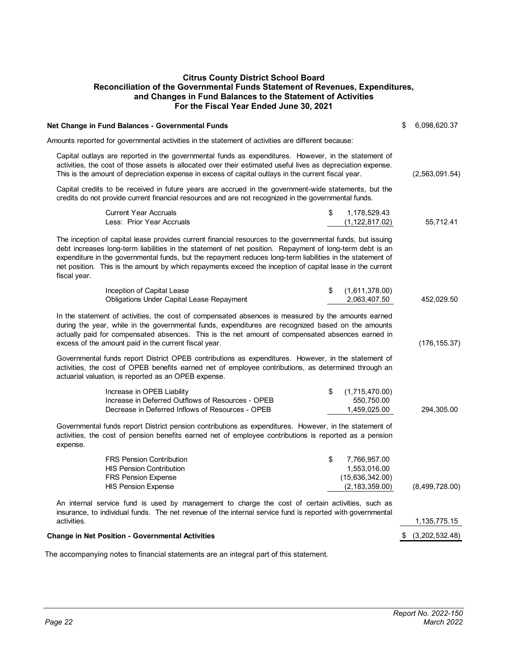#### <span id="page-27-0"></span>**Citrus County District School Board Reconciliation of the Governmental Funds Statement of Revenues, Expenditures, and Changes in Fund Balances to the Statement of Activities For the Fiscal Year Ended June 30, 2021**

| Net Change in Fund Balances - Governmental Funds                                                                                                                                                                                                                                                                                                                                                                                                                  | \$<br>6,098,620.37   |
|-------------------------------------------------------------------------------------------------------------------------------------------------------------------------------------------------------------------------------------------------------------------------------------------------------------------------------------------------------------------------------------------------------------------------------------------------------------------|----------------------|
| Amounts reported for governmental activities in the statement of activities are different because:                                                                                                                                                                                                                                                                                                                                                                |                      |
| Capital outlays are reported in the governmental funds as expenditures. However, in the statement of<br>activities, the cost of those assets is allocated over their estimated useful lives as depreciation expense.<br>This is the amount of depreciation expense in excess of capital outlays in the current fiscal year.                                                                                                                                       | (2,563,091.54)       |
| Capital credits to be received in future years are accrued in the government-wide statements, but the<br>credits do not provide current financial resources and are not recognized in the governmental funds.                                                                                                                                                                                                                                                     |                      |
| <b>Current Year Accruals</b><br>\$<br>1,178,529.43<br>Less: Prior Year Accruals<br>(1, 122, 817.02)                                                                                                                                                                                                                                                                                                                                                               | 55,712.41            |
| The inception of capital lease provides current financial resources to the governmental funds, but issuing<br>debt increases long-term liabilities in the statement of net position. Repayment of long-term debt is an<br>expenditure in the governmental funds, but the repayment reduces long-term liabilities in the statement of<br>net position. This is the amount by which repayments exceed the inception of capital lease in the current<br>fiscal year. |                      |
| Inception of Capital Lease<br>(1,611,378.00)<br>\$<br><b>Obligations Under Capital Lease Repayment</b><br>2,063,407.50                                                                                                                                                                                                                                                                                                                                            | 452,029.50           |
| In the statement of activities, the cost of compensated absences is measured by the amounts earned<br>during the year, while in the governmental funds, expenditures are recognized based on the amounts<br>actually paid for compensated absences. This is the net amount of compensated absences earned in<br>excess of the amount paid in the current fiscal year.                                                                                             | (176, 155.37)        |
| Governmental funds report District OPEB contributions as expenditures. However, in the statement of<br>activities, the cost of OPEB benefits earned net of employee contributions, as determined through an<br>actuarial valuation, is reported as an OPEB expense.                                                                                                                                                                                               |                      |
| Increase in OPEB Liability<br>\$<br>(1,715,470.00)<br>Increase in Deferred Outflows of Resources - OPEB<br>550,750.00<br>Decrease in Deferred Inflows of Resources - OPEB<br>1,459,025.00                                                                                                                                                                                                                                                                         | 294,305.00           |
| Governmental funds report District pension contributions as expenditures. However, in the statement of<br>activities, the cost of pension benefits earned net of employee contributions is reported as a pension<br>expense.                                                                                                                                                                                                                                      |                      |
| \$<br><b>FRS Pension Contribution</b><br>7,766,957.00<br><b>HIS Pension Contribution</b><br>1,553,016.00<br>(15,636,342.00)<br><b>FRS Pension Expense</b><br>(2, 183, 359.00)<br><b>HIS Pension Expense</b>                                                                                                                                                                                                                                                       | (8,499,728.00)       |
| An internal service fund is used by management to charge the cost of certain activities, such as<br>insurance, to individual funds. The net revenue of the internal service fund is reported with governmental<br>activities.                                                                                                                                                                                                                                     | 1,135,775.15         |
| <b>Change in Net Position - Governmental Activities</b>                                                                                                                                                                                                                                                                                                                                                                                                           | \$<br>(3,202,532.48) |
|                                                                                                                                                                                                                                                                                                                                                                                                                                                                   |                      |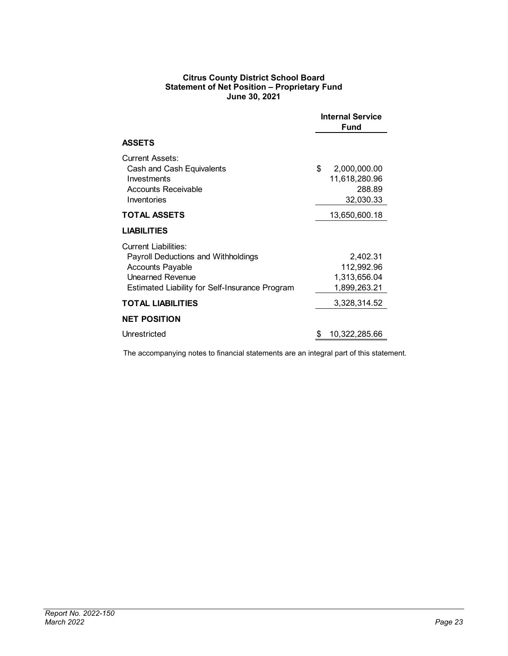#### **Citrus County District School Board Statement of Net Position – Proprietary Fund June 30, 2021**

<span id="page-28-0"></span>

|                                                                                                                                                                            | <b>Internal Service</b><br><b>Fund</b> |                                                        |
|----------------------------------------------------------------------------------------------------------------------------------------------------------------------------|----------------------------------------|--------------------------------------------------------|
| <b>ASSETS</b>                                                                                                                                                              |                                        |                                                        |
| <b>Current Assets:</b><br>Cash and Cash Equivalents<br>Investments<br>Accounts Receivable<br>Inventories                                                                   | \$                                     | 2,000,000.00<br>11,618,280.96<br>288.89<br>32,030.33   |
| <b>TOTAL ASSETS</b>                                                                                                                                                        |                                        | 13,650,600.18                                          |
| <b>LIABILITIES</b>                                                                                                                                                         |                                        |                                                        |
| <b>Current Liabilities:</b><br>Payroll Deductions and Withholdings<br><b>Accounts Payable</b><br>Unearned Revenue<br><b>Estimated Liability for Self-Insurance Program</b> |                                        | 2,402.31<br>112,992.96<br>1,313,656.04<br>1,899,263.21 |
| <b>TOTAL LIABILITIES</b>                                                                                                                                                   |                                        | 3,328,314.52                                           |
| <b>NET POSITION</b>                                                                                                                                                        |                                        |                                                        |
| Unrestricted                                                                                                                                                               |                                        | 10,322,285.66                                          |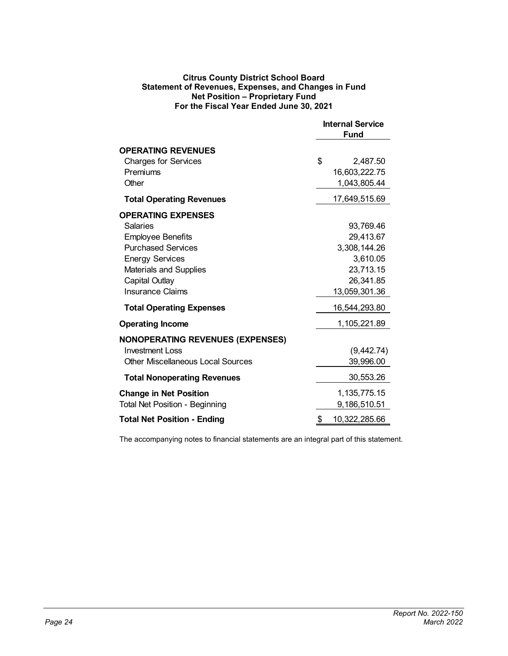#### <span id="page-29-0"></span>**Citrus County District School Board Statement of Revenues, Expenses, and Changes in Fund Net Position – Proprietary Fund For the Fiscal Year Ended June 30, 2021**

|                                          | <b>Internal Service</b><br><b>Fund</b> |                 |
|------------------------------------------|----------------------------------------|-----------------|
| <b>OPERATING REVENUES</b>                |                                        |                 |
| <b>Charges for Services</b>              | \$                                     | 2,487.50        |
| Premiums                                 |                                        | 16,603,222.75   |
| Other                                    |                                        | 1,043,805.44    |
| <b>Total Operating Revenues</b>          |                                        | 17,649,515.69   |
| <b>OPERATING EXPENSES</b>                |                                        |                 |
| <b>Salaries</b>                          |                                        | 93,769.46       |
| <b>Employee Benefits</b>                 |                                        | 29,413.67       |
| <b>Purchased Services</b>                |                                        | 3,308,144.26    |
| <b>Energy Services</b>                   |                                        | 3,610.05        |
| Materials and Supplies                   |                                        | 23,713.15       |
| Capital Outlay                           |                                        | 26,341.85       |
| <b>Insurance Claims</b>                  |                                        | 13,059,301.36   |
| <b>Total Operating Expenses</b>          |                                        | 16,544,293.80   |
| <b>Operating Income</b>                  |                                        | 1,105,221.89    |
| <b>NONOPERATING REVENUES (EXPENSES)</b>  |                                        |                 |
| <b>Investment Loss</b>                   |                                        | (9, 442.74)     |
| <b>Other Miscellaneous Local Sources</b> |                                        | 39,996.00       |
| <b>Total Nonoperating Revenues</b>       |                                        | 30,553.26       |
| <b>Change in Net Position</b>            |                                        | 1, 135, 775. 15 |
| <b>Total Net Position - Beginning</b>    |                                        | 9,186,510.51    |
| <b>Total Net Position - Ending</b>       | \$                                     | 10,322,285.66   |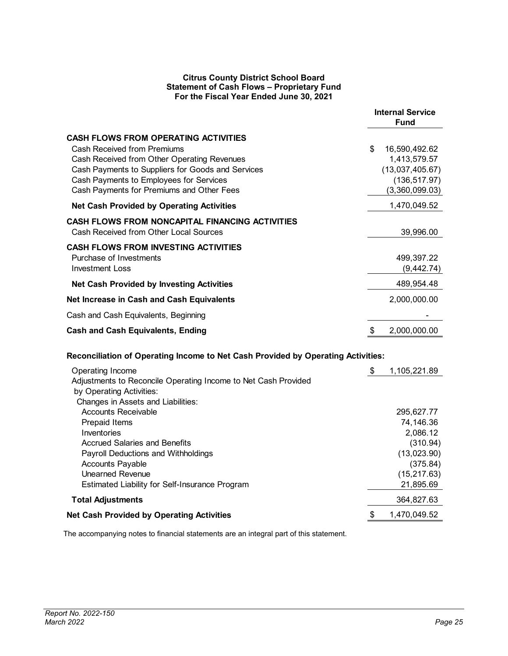#### **Citrus County District School Board Statement of Cash Flows – Proprietary Fund For the Fiscal Year Ended June 30, 2021**

<span id="page-30-0"></span>

|                                                                                                                                                                                                                                                                               | <b>Internal Service</b><br><b>Fund</b>                                                    |
|-------------------------------------------------------------------------------------------------------------------------------------------------------------------------------------------------------------------------------------------------------------------------------|-------------------------------------------------------------------------------------------|
| <b>CASH FLOWS FROM OPERATING ACTIVITIES</b><br><b>Cash Received from Premiums</b><br>Cash Received from Other Operating Revenues<br>Cash Payments to Suppliers for Goods and Services<br>Cash Payments to Employees for Services<br>Cash Payments for Premiums and Other Fees | \$<br>16,590,492.62<br>1,413,579.57<br>(13,037,405.67)<br>(136, 517.97)<br>(3,360,099.03) |
| <b>Net Cash Provided by Operating Activities</b>                                                                                                                                                                                                                              | 1,470,049.52                                                                              |
| <b>CASH FLOWS FROM NONCAPITAL FINANCING ACTIVITIES</b><br>Cash Received from Other Local Sources                                                                                                                                                                              | 39,996.00                                                                                 |
| <b>CASH FLOWS FROM INVESTING ACTIVITIES</b><br>Purchase of Investments<br><b>Investment Loss</b>                                                                                                                                                                              | 499,397.22<br>(9,442.74)                                                                  |
| <b>Net Cash Provided by Investing Activities</b>                                                                                                                                                                                                                              | 489,954.48                                                                                |
| Net Increase in Cash and Cash Equivalents                                                                                                                                                                                                                                     | 2,000,000.00                                                                              |
| Cash and Cash Equivalents, Beginning                                                                                                                                                                                                                                          |                                                                                           |
| <b>Cash and Cash Equivalents, Ending</b>                                                                                                                                                                                                                                      | \$<br>2,000,000.00                                                                        |
| Reconciliation of Operating Income to Net Cash Provided by Operating Activities:                                                                                                                                                                                              |                                                                                           |
| Operating Income<br>Adjustments to Reconcile Operating Income to Net Cash Provided<br>by Operating Activities:<br>Changes in Assets and Liabilities:                                                                                                                          | \$<br>1,105,221.89                                                                        |
| <b>Accounts Receivable</b><br><b>Prepaid Items</b><br>Inventories<br><b>Accrued Salaries and Benefits</b><br>Payroll Deductions and Withholdings<br><b>Accounts Payable</b>                                                                                                   | 295,627.77<br>74,146.36<br>2,086.12<br>(310.94)<br>(13,023.90)<br>(375.84)                |
| <b>Unearned Revenue</b><br>Estimated Liability for Self-Insurance Program                                                                                                                                                                                                     | (15, 217.63)<br>21,895.69                                                                 |
| <b>Total Adjustments</b>                                                                                                                                                                                                                                                      | 364,827.63                                                                                |
| <b>Net Cash Provided by Operating Activities</b>                                                                                                                                                                                                                              | \$<br>1,470,049.52                                                                        |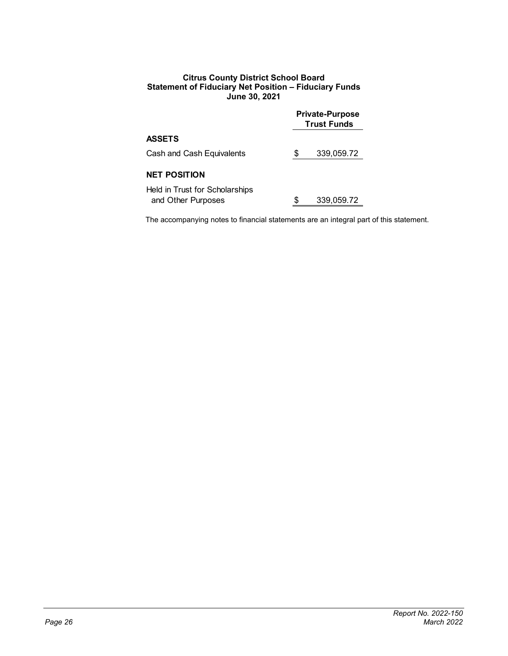#### <span id="page-31-0"></span>**Citrus County District School Board Statement of Fiduciary Net Position – Fiduciary Funds June 30, 2021**

|                                                      | <b>Private-Purpose</b><br><b>Trust Funds</b> |            |
|------------------------------------------------------|----------------------------------------------|------------|
| <b>ASSETS</b>                                        |                                              |            |
| Cash and Cash Equivalents                            | S                                            | 339,059.72 |
| <b>NET POSITION</b>                                  |                                              |            |
| Held in Trust for Scholarships<br>and Other Purposes | \$.                                          | 339,059.72 |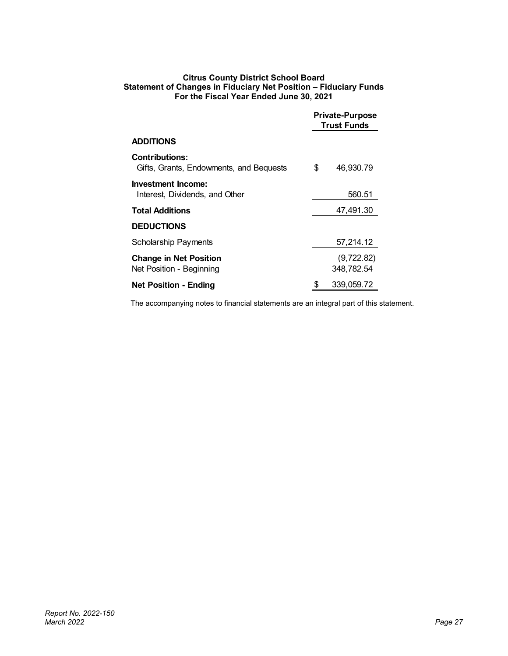#### <span id="page-32-0"></span>**Citrus County District School Board Statement of Changes in Fiduciary Net Position – Fiduciary Funds For the Fiscal Year Ended June 30, 2021**

|                                                                  | <b>Private-Purpose</b><br><b>Trust Funds</b> |                          |
|------------------------------------------------------------------|----------------------------------------------|--------------------------|
| <b>ADDITIONS</b>                                                 |                                              |                          |
| <b>Contributions:</b><br>Gifts, Grants, Endowments, and Bequests | \$                                           | 46,930.79                |
| Investment Income:<br>Interest, Dividends, and Other             |                                              | 560.51                   |
| <b>Total Additions</b>                                           |                                              | 47,491.30                |
| <b>DEDUCTIONS</b>                                                |                                              |                          |
| <b>Scholarship Payments</b>                                      |                                              | 57,214.12                |
| <b>Change in Net Position</b><br>Net Position - Beginning        |                                              | (9,722.82)<br>348,782.54 |
| <b>Net Position - Ending</b>                                     | \$                                           | 339,059.72               |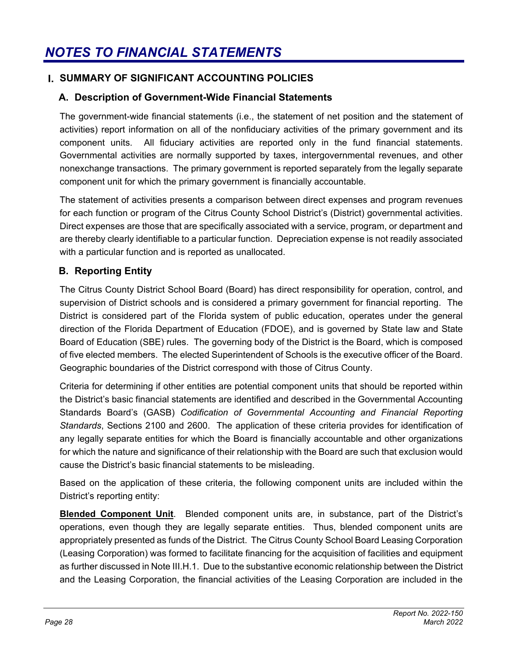### <span id="page-33-0"></span> **SUMMARY OF SIGNIFICANT ACCOUNTING POLICIES**

### **A. Description of Government-Wide Financial Statements**

The government-wide financial statements (i.e., the statement of net position and the statement of activities) report information on all of the nonfiduciary activities of the primary government and its component units. All fiduciary activities are reported only in the fund financial statements. Governmental activities are normally supported by taxes, intergovernmental revenues, and other nonexchange transactions. The primary government is reported separately from the legally separate component unit for which the primary government is financially accountable.

The statement of activities presents a comparison between direct expenses and program revenues for each function or program of the Citrus County School District's (District) governmental activities. Direct expenses are those that are specifically associated with a service, program, or department and are thereby clearly identifiable to a particular function. Depreciation expense is not readily associated with a particular function and is reported as unallocated.

### **B. Reporting Entity**

The Citrus County District School Board (Board) has direct responsibility for operation, control, and supervision of District schools and is considered a primary government for financial reporting. The District is considered part of the Florida system of public education, operates under the general direction of the Florida Department of Education (FDOE), and is governed by State law and State Board of Education (SBE) rules. The governing body of the District is the Board, which is composed of five elected members. The elected Superintendent of Schools is the executive officer of the Board. Geographic boundaries of the District correspond with those of Citrus County.

Criteria for determining if other entities are potential component units that should be reported within the District's basic financial statements are identified and described in the Governmental Accounting Standards Board's (GASB) *Codification of Governmental Accounting and Financial Reporting Standards*, Sections 2100 and 2600. The application of these criteria provides for identification of any legally separate entities for which the Board is financially accountable and other organizations for which the nature and significance of their relationship with the Board are such that exclusion would cause the District's basic financial statements to be misleading.

Based on the application of these criteria, the following component units are included within the District's reporting entity:

**Blended Component Unit**. Blended component units are, in substance, part of the District's operations, even though they are legally separate entities. Thus, blended component units are appropriately presented as funds of the District. The Citrus County School Board Leasing Corporation (Leasing Corporation) was formed to facilitate financing for the acquisition of facilities and equipment as further discussed in Note III.H.1. Due to the substantive economic relationship between the District and the Leasing Corporation, the financial activities of the Leasing Corporation are included in the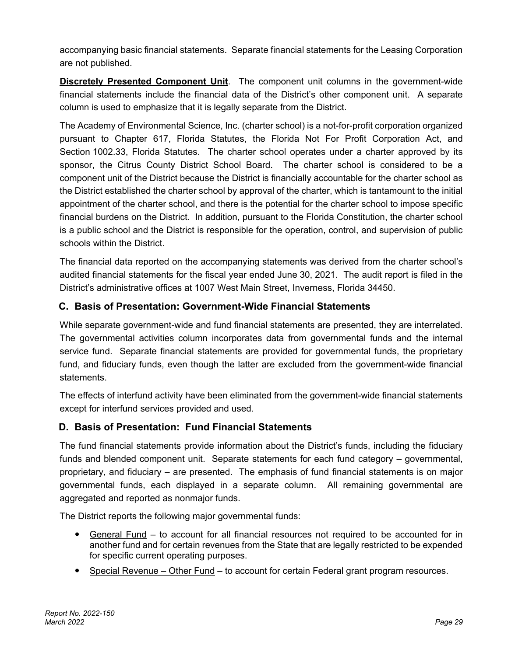accompanying basic financial statements. Separate financial statements for the Leasing Corporation are not published.

**Discretely Presented Component Unit**. The component unit columns in the government-wide financial statements include the financial data of the District's other component unit. A separate column is used to emphasize that it is legally separate from the District.

The Academy of Environmental Science, Inc. (charter school) is a not-for-profit corporation organized pursuant to Chapter 617, Florida Statutes, the Florida Not For Profit Corporation Act, and Section 1002.33, Florida Statutes. The charter school operates under a charter approved by its sponsor, the Citrus County District School Board. The charter school is considered to be a component unit of the District because the District is financially accountable for the charter school as the District established the charter school by approval of the charter, which is tantamount to the initial appointment of the charter school, and there is the potential for the charter school to impose specific financial burdens on the District. In addition, pursuant to the Florida Constitution, the charter school is a public school and the District is responsible for the operation, control, and supervision of public schools within the District.

The financial data reported on the accompanying statements was derived from the charter school's audited financial statements for the fiscal year ended June 30, 2021. The audit report is filed in the District's administrative offices at 1007 West Main Street, Inverness, Florida 34450.

### **C. Basis of Presentation: Government-Wide Financial Statements**

While separate government-wide and fund financial statements are presented, they are interrelated. The governmental activities column incorporates data from governmental funds and the internal service fund. Separate financial statements are provided for governmental funds, the proprietary fund, and fiduciary funds, even though the latter are excluded from the government-wide financial statements.

The effects of interfund activity have been eliminated from the government-wide financial statements except for interfund services provided and used.

### **D. Basis of Presentation: Fund Financial Statements**

The fund financial statements provide information about the District's funds, including the fiduciary funds and blended component unit. Separate statements for each fund category – governmental, proprietary, and fiduciary – are presented. The emphasis of fund financial statements is on major governmental funds, each displayed in a separate column. All remaining governmental are aggregated and reported as nonmajor funds.

The District reports the following major governmental funds:

- General Fund to account for all financial resources not required to be accounted for in another fund and for certain revenues from the State that are legally restricted to be expended for specific current operating purposes.
- Special Revenue Other Fund to account for certain Federal grant program resources.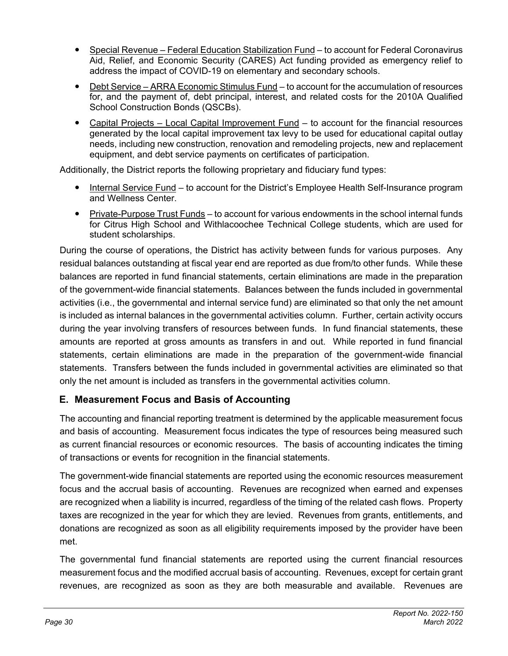- Special Revenue Federal Education Stabilization Fund to account for Federal Coronavirus Aid, Relief, and Economic Security (CARES) Act funding provided as emergency relief to address the impact of COVID-19 on elementary and secondary schools.
- Debt Service ARRA Economic Stimulus Fund to account for the accumulation of resources for, and the payment of, debt principal, interest, and related costs for the 2010A Qualified School Construction Bonds (QSCBs).
- Capital Projects Local Capital Improvement Fund to account for the financial resources generated by the local capital improvement tax levy to be used for educational capital outlay needs, including new construction, renovation and remodeling projects, new and replacement equipment, and debt service payments on certificates of participation.

Additionally, the District reports the following proprietary and fiduciary fund types:

- Internal Service Fund to account for the District's Employee Health Self-Insurance program and Wellness Center.
- Private-Purpose Trust Funds to account for various endowments in the school internal funds for Citrus High School and Withlacoochee Technical College students, which are used for student scholarships.

During the course of operations, the District has activity between funds for various purposes. Any residual balances outstanding at fiscal year end are reported as due from/to other funds. While these balances are reported in fund financial statements, certain eliminations are made in the preparation of the government-wide financial statements. Balances between the funds included in governmental activities (i.e., the governmental and internal service fund) are eliminated so that only the net amount is included as internal balances in the governmental activities column. Further, certain activity occurs during the year involving transfers of resources between funds. In fund financial statements, these amounts are reported at gross amounts as transfers in and out. While reported in fund financial statements, certain eliminations are made in the preparation of the government-wide financial statements. Transfers between the funds included in governmental activities are eliminated so that only the net amount is included as transfers in the governmental activities column.

### **E. Measurement Focus and Basis of Accounting**

The accounting and financial reporting treatment is determined by the applicable measurement focus and basis of accounting. Measurement focus indicates the type of resources being measured such as current financial resources or economic resources. The basis of accounting indicates the timing of transactions or events for recognition in the financial statements.

The government-wide financial statements are reported using the economic resources measurement focus and the accrual basis of accounting. Revenues are recognized when earned and expenses are recognized when a liability is incurred, regardless of the timing of the related cash flows. Property taxes are recognized in the year for which they are levied. Revenues from grants, entitlements, and donations are recognized as soon as all eligibility requirements imposed by the provider have been met.

The governmental fund financial statements are reported using the current financial resources measurement focus and the modified accrual basis of accounting. Revenues, except for certain grant revenues, are recognized as soon as they are both measurable and available. Revenues are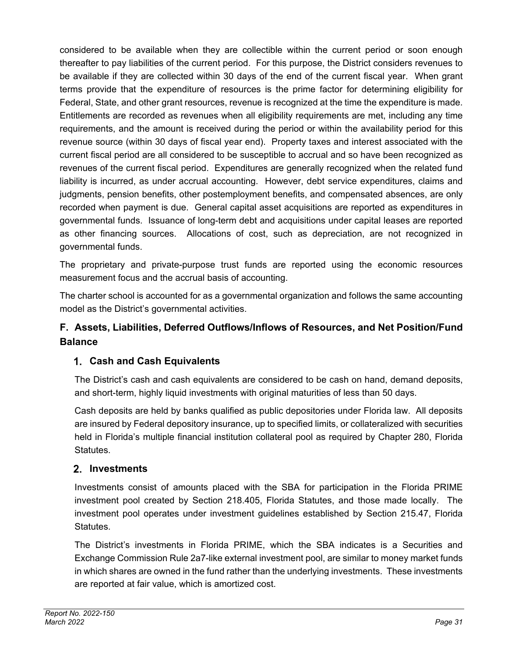considered to be available when they are collectible within the current period or soon enough thereafter to pay liabilities of the current period. For this purpose, the District considers revenues to be available if they are collected within 30 days of the end of the current fiscal year. When grant terms provide that the expenditure of resources is the prime factor for determining eligibility for Federal, State, and other grant resources, revenue is recognized at the time the expenditure is made. Entitlements are recorded as revenues when all eligibility requirements are met, including any time requirements, and the amount is received during the period or within the availability period for this revenue source (within 30 days of fiscal year end). Property taxes and interest associated with the current fiscal period are all considered to be susceptible to accrual and so have been recognized as revenues of the current fiscal period. Expenditures are generally recognized when the related fund liability is incurred, as under accrual accounting. However, debt service expenditures, claims and judgments, pension benefits, other postemployment benefits, and compensated absences, are only recorded when payment is due. General capital asset acquisitions are reported as expenditures in governmental funds. Issuance of long-term debt and acquisitions under capital leases are reported as other financing sources. Allocations of cost, such as depreciation, are not recognized in governmental funds.

The proprietary and private-purpose trust funds are reported using the economic resources measurement focus and the accrual basis of accounting.

The charter school is accounted for as a governmental organization and follows the same accounting model as the District's governmental activities.

## **F. Assets, Liabilities, Deferred Outflows/Inflows of Resources, and Net Position/Fund Balance**

## **Cash and Cash Equivalents**

The District's cash and cash equivalents are considered to be cash on hand, demand deposits, and short-term, highly liquid investments with original maturities of less than 50 days.

Cash deposits are held by banks qualified as public depositories under Florida law. All deposits are insured by Federal depository insurance, up to specified limits, or collateralized with securities held in Florida's multiple financial institution collateral pool as required by Chapter 280, Florida Statutes.

## **Investments**

Investments consist of amounts placed with the SBA for participation in the Florida PRIME investment pool created by Section 218.405, Florida Statutes, and those made locally. The investment pool operates under investment guidelines established by Section 215.47, Florida Statutes.

The District's investments in Florida PRIME, which the SBA indicates is a Securities and Exchange Commission Rule 2a7-like external investment pool, are similar to money market funds in which shares are owned in the fund rather than the underlying investments. These investments are reported at fair value, which is amortized cost.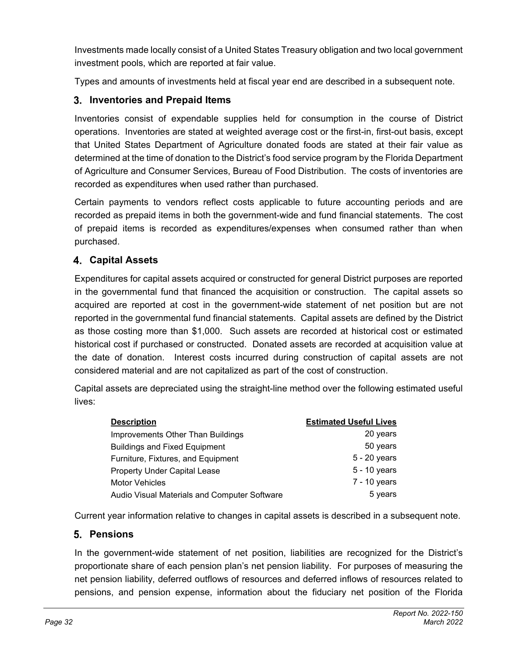Investments made locally consist of a United States Treasury obligation and two local government investment pools, which are reported at fair value.

Types and amounts of investments held at fiscal year end are described in a subsequent note.

## **Inventories and Prepaid Items**

Inventories consist of expendable supplies held for consumption in the course of District operations. Inventories are stated at weighted average cost or the first-in, first-out basis, except that United States Department of Agriculture donated foods are stated at their fair value as determined at the time of donation to the District's food service program by the Florida Department of Agriculture and Consumer Services, Bureau of Food Distribution. The costs of inventories are recorded as expenditures when used rather than purchased.

Certain payments to vendors reflect costs applicable to future accounting periods and are recorded as prepaid items in both the government-wide and fund financial statements. The cost of prepaid items is recorded as expenditures/expenses when consumed rather than when purchased.

## **Capital Assets**

Expenditures for capital assets acquired or constructed for general District purposes are reported in the governmental fund that financed the acquisition or construction. The capital assets so acquired are reported at cost in the government-wide statement of net position but are not reported in the governmental fund financial statements. Capital assets are defined by the District as those costing more than \$1,000. Such assets are recorded at historical cost or estimated historical cost if purchased or constructed. Donated assets are recorded at acquisition value at the date of donation. Interest costs incurred during construction of capital assets are not considered material and are not capitalized as part of the cost of construction.

Capital assets are depreciated using the straight-line method over the following estimated useful lives:

| <b>Description</b>                           | <b>Estimated Useful Lives</b> |
|----------------------------------------------|-------------------------------|
| Improvements Other Than Buildings            | 20 years                      |
| <b>Buildings and Fixed Equipment</b>         | 50 years                      |
| Furniture, Fixtures, and Equipment           | $5 - 20$ years                |
| <b>Property Under Capital Lease</b>          | $5 - 10$ years                |
| <b>Motor Vehicles</b>                        | 7 - 10 years                  |
| Audio Visual Materials and Computer Software | 5 years                       |

Current year information relative to changes in capital assets is described in a subsequent note.

## **Pensions**

In the government-wide statement of net position, liabilities are recognized for the District's proportionate share of each pension plan's net pension liability. For purposes of measuring the net pension liability, deferred outflows of resources and deferred inflows of resources related to pensions, and pension expense, information about the fiduciary net position of the Florida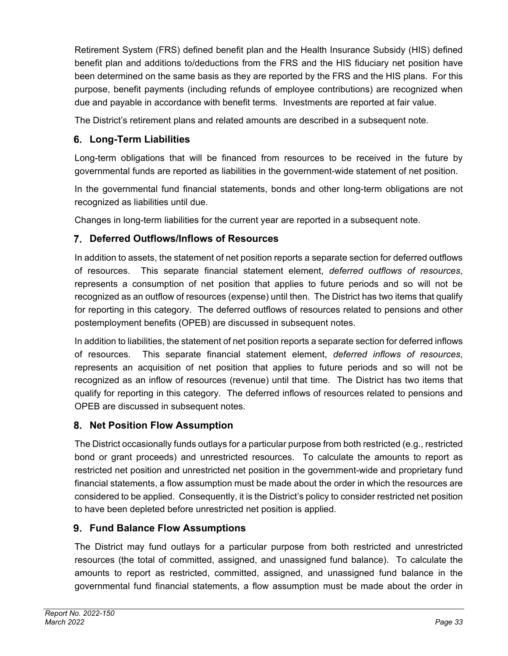Retirement System (FRS) defined benefit plan and the Health Insurance Subsidy (HIS) defined benefit plan and additions to/deductions from the FRS and the HIS fiduciary net position have been determined on the same basis as they are reported by the FRS and the HIS plans. For this purpose, benefit payments (including refunds of employee contributions) are recognized when due and payable in accordance with benefit terms. Investments are reported at fair value.

The District's retirement plans and related amounts are described in a subsequent note.

## **Long-Term Liabilities**

Long-term obligations that will be financed from resources to be received in the future by governmental funds are reported as liabilities in the government-wide statement of net position.

In the governmental fund financial statements, bonds and other long-term obligations are not recognized as liabilities until due.

Changes in long-term liabilities for the current year are reported in a subsequent note.

## **Deferred Outflows/Inflows of Resources**

In addition to assets, the statement of net position reports a separate section for deferred outflows of resources. This separate financial statement element, *deferred outflows of resources*, represents a consumption of net position that applies to future periods and so will not be recognized as an outflow of resources (expense) until then. The District has two items that qualify for reporting in this category. The deferred outflows of resources related to pensions and other postemployment benefits (OPEB) are discussed in subsequent notes.

In addition to liabilities, the statement of net position reports a separate section for deferred inflows of resources. This separate financial statement element, *deferred inflows of resources*, represents an acquisition of net position that applies to future periods and so will not be recognized as an inflow of resources (revenue) until that time. The District has two items that qualify for reporting in this category. The deferred inflows of resources related to pensions and OPEB are discussed in subsequent notes.

## **Net Position Flow Assumption**

The District occasionally funds outlays for a particular purpose from both restricted (e.g., restricted bond or grant proceeds) and unrestricted resources. To calculate the amounts to report as restricted net position and unrestricted net position in the government-wide and proprietary fund financial statements, a flow assumption must be made about the order in which the resources are considered to be applied. Consequently, it is the District's policy to consider restricted net position to have been depleted before unrestricted net position is applied.

## **Fund Balance Flow Assumptions**

The District may fund outlays for a particular purpose from both restricted and unrestricted resources (the total of committed, assigned, and unassigned fund balance). To calculate the amounts to report as restricted, committed, assigned, and unassigned fund balance in the governmental fund financial statements, a flow assumption must be made about the order in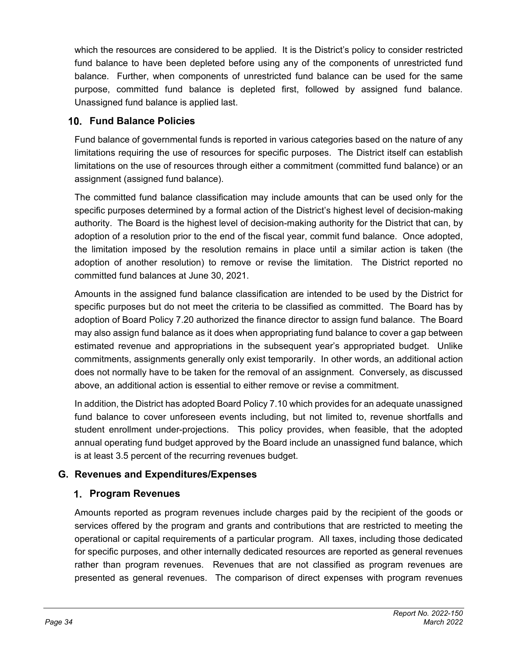which the resources are considered to be applied. It is the District's policy to consider restricted fund balance to have been depleted before using any of the components of unrestricted fund balance. Further, when components of unrestricted fund balance can be used for the same purpose, committed fund balance is depleted first, followed by assigned fund balance. Unassigned fund balance is applied last.

## **Fund Balance Policies**

Fund balance of governmental funds is reported in various categories based on the nature of any limitations requiring the use of resources for specific purposes. The District itself can establish limitations on the use of resources through either a commitment (committed fund balance) or an assignment (assigned fund balance).

The committed fund balance classification may include amounts that can be used only for the specific purposes determined by a formal action of the District's highest level of decision-making authority. The Board is the highest level of decision-making authority for the District that can, by adoption of a resolution prior to the end of the fiscal year, commit fund balance. Once adopted, the limitation imposed by the resolution remains in place until a similar action is taken (the adoption of another resolution) to remove or revise the limitation. The District reported no committed fund balances at June 30, 2021.

Amounts in the assigned fund balance classification are intended to be used by the District for specific purposes but do not meet the criteria to be classified as committed. The Board has by adoption of Board Policy 7.20 authorized the finance director to assign fund balance. The Board may also assign fund balance as it does when appropriating fund balance to cover a gap between estimated revenue and appropriations in the subsequent year's appropriated budget. Unlike commitments, assignments generally only exist temporarily. In other words, an additional action does not normally have to be taken for the removal of an assignment. Conversely, as discussed above, an additional action is essential to either remove or revise a commitment.

In addition, the District has adopted Board Policy 7.10 which provides for an adequate unassigned fund balance to cover unforeseen events including, but not limited to, revenue shortfalls and student enrollment under-projections. This policy provides, when feasible, that the adopted annual operating fund budget approved by the Board include an unassigned fund balance, which is at least 3.5 percent of the recurring revenues budget.

## **G. Revenues and Expenditures/Expenses**

## **Program Revenues**

Amounts reported as program revenues include charges paid by the recipient of the goods or services offered by the program and grants and contributions that are restricted to meeting the operational or capital requirements of a particular program. All taxes, including those dedicated for specific purposes, and other internally dedicated resources are reported as general revenues rather than program revenues. Revenues that are not classified as program revenues are presented as general revenues. The comparison of direct expenses with program revenues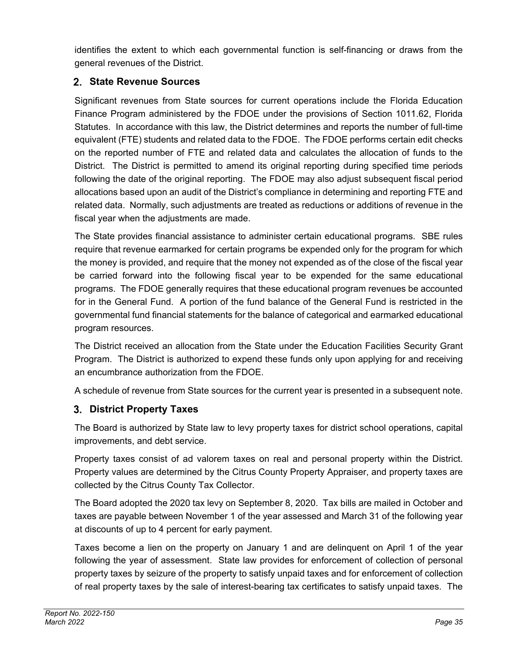identifies the extent to which each governmental function is self-financing or draws from the general revenues of the District.

## **State Revenue Sources**

Significant revenues from State sources for current operations include the Florida Education Finance Program administered by the FDOE under the provisions of Section 1011.62, Florida Statutes. In accordance with this law, the District determines and reports the number of full-time equivalent (FTE) students and related data to the FDOE. The FDOE performs certain edit checks on the reported number of FTE and related data and calculates the allocation of funds to the District. The District is permitted to amend its original reporting during specified time periods following the date of the original reporting. The FDOE may also adjust subsequent fiscal period allocations based upon an audit of the District's compliance in determining and reporting FTE and related data. Normally, such adjustments are treated as reductions or additions of revenue in the fiscal year when the adjustments are made.

The State provides financial assistance to administer certain educational programs. SBE rules require that revenue earmarked for certain programs be expended only for the program for which the money is provided, and require that the money not expended as of the close of the fiscal year be carried forward into the following fiscal year to be expended for the same educational programs. The FDOE generally requires that these educational program revenues be accounted for in the General Fund. A portion of the fund balance of the General Fund is restricted in the governmental fund financial statements for the balance of categorical and earmarked educational program resources.

The District received an allocation from the State under the Education Facilities Security Grant Program. The District is authorized to expend these funds only upon applying for and receiving an encumbrance authorization from the FDOE.

A schedule of revenue from State sources for the current year is presented in a subsequent note.

## **District Property Taxes**

The Board is authorized by State law to levy property taxes for district school operations, capital improvements, and debt service.

Property taxes consist of ad valorem taxes on real and personal property within the District. Property values are determined by the Citrus County Property Appraiser, and property taxes are collected by the Citrus County Tax Collector.

The Board adopted the 2020 tax levy on September 8, 2020. Tax bills are mailed in October and taxes are payable between November 1 of the year assessed and March 31 of the following year at discounts of up to 4 percent for early payment.

Taxes become a lien on the property on January 1 and are delinquent on April 1 of the year following the year of assessment. State law provides for enforcement of collection of personal property taxes by seizure of the property to satisfy unpaid taxes and for enforcement of collection of real property taxes by the sale of interest-bearing tax certificates to satisfy unpaid taxes. The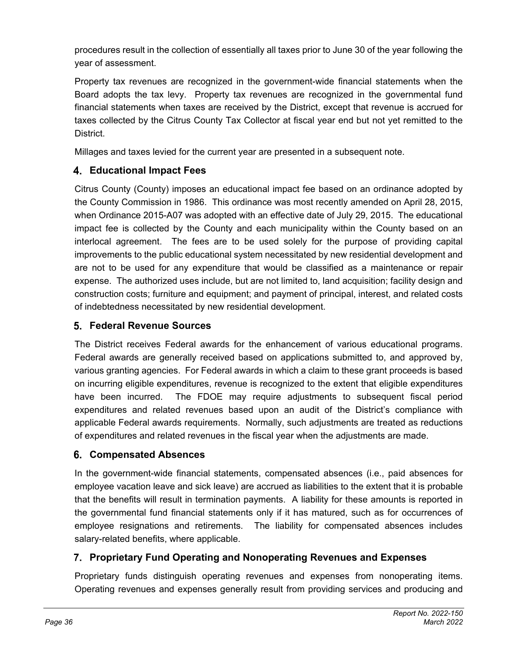procedures result in the collection of essentially all taxes prior to June 30 of the year following the year of assessment.

Property tax revenues are recognized in the government-wide financial statements when the Board adopts the tax levy. Property tax revenues are recognized in the governmental fund financial statements when taxes are received by the District, except that revenue is accrued for taxes collected by the Citrus County Tax Collector at fiscal year end but not yet remitted to the District.

Millages and taxes levied for the current year are presented in a subsequent note.

## **Educational Impact Fees**

Citrus County (County) imposes an educational impact fee based on an ordinance adopted by the County Commission in 1986. This ordinance was most recently amended on April 28, 2015, when Ordinance 2015-A07 was adopted with an effective date of July 29, 2015. The educational impact fee is collected by the County and each municipality within the County based on an interlocal agreement. The fees are to be used solely for the purpose of providing capital improvements to the public educational system necessitated by new residential development and are not to be used for any expenditure that would be classified as a maintenance or repair expense. The authorized uses include, but are not limited to, land acquisition; facility design and construction costs; furniture and equipment; and payment of principal, interest, and related costs of indebtedness necessitated by new residential development.

## **Federal Revenue Sources**

The District receives Federal awards for the enhancement of various educational programs. Federal awards are generally received based on applications submitted to, and approved by, various granting agencies. For Federal awards in which a claim to these grant proceeds is based on incurring eligible expenditures, revenue is recognized to the extent that eligible expenditures have been incurred. The FDOE may require adjustments to subsequent fiscal period expenditures and related revenues based upon an audit of the District's compliance with applicable Federal awards requirements. Normally, such adjustments are treated as reductions of expenditures and related revenues in the fiscal year when the adjustments are made.

## **Compensated Absences**

In the government-wide financial statements, compensated absences (i.e., paid absences for employee vacation leave and sick leave) are accrued as liabilities to the extent that it is probable that the benefits will result in termination payments. A liability for these amounts is reported in the governmental fund financial statements only if it has matured, such as for occurrences of employee resignations and retirements. The liability for compensated absences includes salary-related benefits, where applicable.

## **Proprietary Fund Operating and Nonoperating Revenues and Expenses**

Proprietary funds distinguish operating revenues and expenses from nonoperating items. Operating revenues and expenses generally result from providing services and producing and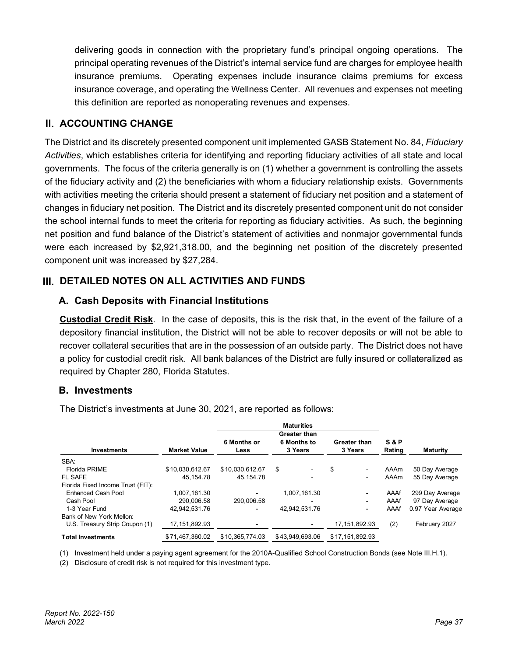delivering goods in connection with the proprietary fund's principal ongoing operations. The principal operating revenues of the District's internal service fund are charges for employee health insurance premiums. Operating expenses include insurance claims premiums for excess insurance coverage, and operating the Wellness Center. All revenues and expenses not meeting this definition are reported as nonoperating revenues and expenses.

## **II. ACCOUNTING CHANGE**

The District and its discretely presented component unit implemented GASB Statement No. 84, *Fiduciary Activities*, which establishes criteria for identifying and reporting fiduciary activities of all state and local governments. The focus of the criteria generally is on (1) whether a government is controlling the assets of the fiduciary activity and (2) the beneficiaries with whom a fiduciary relationship exists. Governments with activities meeting the criteria should present a statement of fiduciary net position and a statement of changes in fiduciary net position. The District and its discretely presented component unit do not consider the school internal funds to meet the criteria for reporting as fiduciary activities. As such, the beginning net position and fund balance of the District's statement of activities and nonmajor governmental funds were each increased by \$2,921,318.00, and the beginning net position of the discretely presented component unit was increased by \$27,284.

## **DETAILED NOTES ON ALL ACTIVITIES AND FUNDS**

## **A. Cash Deposits with Financial Institutions**

**Custodial Credit Risk**. In the case of deposits, this is the risk that, in the event of the failure of a depository financial institution, the District will not be able to recover deposits or will not be able to recover collateral securities that are in the possession of an outside party. The District does not have a policy for custodial credit risk. All bank balances of the District are fully insured or collateralized as required by Chapter 280, Florida Statutes.

## **B. Investments**

The District's investments at June 30, 2021, are reported as follows:

|                                   |                     | <b>Maturities</b>        |                     |                     |                |                   |
|-----------------------------------|---------------------|--------------------------|---------------------|---------------------|----------------|-------------------|
|                                   |                     |                          | <b>Greater than</b> |                     |                |                   |
|                                   |                     | 6 Months or              | 6 Months to         | <b>Greater than</b> | <b>S&amp;P</b> |                   |
| <b>Investments</b>                | <b>Market Value</b> | Less                     | 3 Years             | 3 Years             | Rating         | <b>Maturity</b>   |
| SBA:                              |                     |                          |                     |                     |                |                   |
| Florida PRIME                     | \$10,030,612.67     | \$10.030.612.67          | \$                  | \$<br>Ξ.            | AAAm           | 50 Day Average    |
| <b>FL SAFE</b>                    | 45.154.78           | 45.154.78                |                     |                     | AAAm           | 55 Day Average    |
| Florida Fixed Income Trust (FIT): |                     |                          |                     |                     |                |                   |
| <b>Enhanced Cash Pool</b>         | 1.007.161.30        |                          | 1.007.161.30        |                     | AAAf           | 299 Day Average   |
| Cash Pool                         | 290.006.58          | 290.006.58               |                     |                     | AAAf           | 97 Day Average    |
| 1-3 Year Fund                     | 42.942.531.76       | $\overline{\phantom{a}}$ | 42.942.531.76       |                     | AAAf           | 0.97 Year Average |
| Bank of New York Mellon:          |                     |                          |                     |                     |                |                   |
| U.S. Treasury Strip Coupon (1)    | 17, 151, 892. 93    |                          |                     | 17, 151, 892. 93    | (2)            | February 2027     |
| <b>Total Investments</b>          | \$71.467.360.02     | \$10.365.774.03          | \$43.949.693.06     | \$17.151.892.93     |                |                   |

(1) Investment held under a paying agent agreement for the 2010A-Qualified School Construction Bonds (see Note III.H.1).

(2) Disclosure of credit risk is not required for this investment type.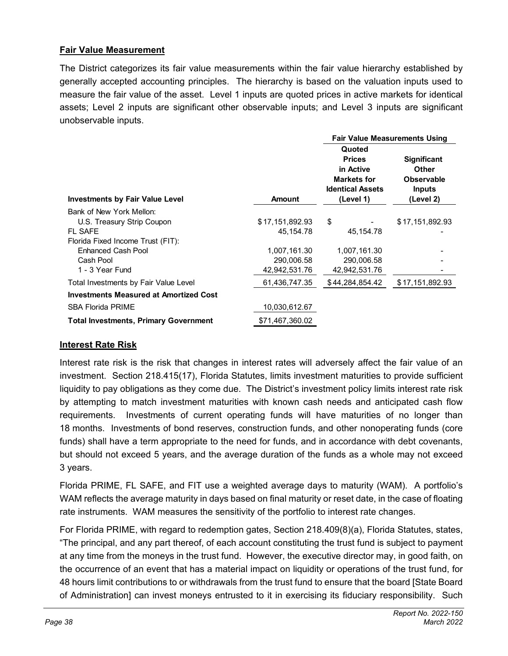#### **Fair Value Measurement**

The District categorizes its fair value measurements within the fair value hierarchy established by generally accepted accounting principles. The hierarchy is based on the valuation inputs used to measure the fair value of the asset. Level 1 inputs are quoted prices in active markets for identical assets; Level 2 inputs are significant other observable inputs; and Level 3 inputs are significant unobservable inputs.

|                                               |                                | <b>Fair Value Measurements Using</b>                                                               |                                                                                       |  |
|-----------------------------------------------|--------------------------------|----------------------------------------------------------------------------------------------------|---------------------------------------------------------------------------------------|--|
| <b>Investments by Fair Value Level</b>        | <b>Amount</b>                  | Quoted<br><b>Prices</b><br>in Active<br><b>Markets for</b><br><b>Identical Assets</b><br>(Level 1) | <b>Significant</b><br><b>Other</b><br><b>Observable</b><br><b>Inputs</b><br>(Level 2) |  |
| Bank of New York Mellon:                      |                                |                                                                                                    |                                                                                       |  |
| U.S. Treasury Strip Coupon<br>FL SAFE         | \$17,151,892.93<br>45, 154. 78 | \$<br>45, 154. 78                                                                                  | \$17,151,892.93                                                                       |  |
| Florida Fixed Income Trust (FIT):             |                                |                                                                                                    |                                                                                       |  |
| <b>Enhanced Cash Pool</b>                     | 1,007,161.30                   | 1,007,161.30                                                                                       |                                                                                       |  |
| Cash Pool                                     | 290,006.58                     | 290,006.58                                                                                         |                                                                                       |  |
| 1 - 3 Year Fund                               | 42,942,531.76                  | 42,942,531.76                                                                                      |                                                                                       |  |
| Total Investments by Fair Value Level         | 61,436,747.35                  | \$44,284,854.42                                                                                    | \$17,151,892.93                                                                       |  |
| <b>Investments Measured at Amortized Cost</b> |                                |                                                                                                    |                                                                                       |  |
| <b>SBA Florida PRIME</b>                      | 10,030,612.67                  |                                                                                                    |                                                                                       |  |
| <b>Total Investments, Primary Government</b>  | \$71,467,360.02                |                                                                                                    |                                                                                       |  |

#### **Interest Rate Risk**

Interest rate risk is the risk that changes in interest rates will adversely affect the fair value of an investment. Section 218.415(17), Florida Statutes, limits investment maturities to provide sufficient liquidity to pay obligations as they come due. The District's investment policy limits interest rate risk by attempting to match investment maturities with known cash needs and anticipated cash flow requirements. Investments of current operating funds will have maturities of no longer than 18 months. Investments of bond reserves, construction funds, and other nonoperating funds (core funds) shall have a term appropriate to the need for funds, and in accordance with debt covenants, but should not exceed 5 years, and the average duration of the funds as a whole may not exceed 3 years.

Florida PRIME, FL SAFE, and FIT use a weighted average days to maturity (WAM). A portfolio's WAM reflects the average maturity in days based on final maturity or reset date, in the case of floating rate instruments. WAM measures the sensitivity of the portfolio to interest rate changes.

For Florida PRIME, with regard to redemption gates, Section 218.409(8)(a), Florida Statutes, states, "The principal, and any part thereof, of each account constituting the trust fund is subject to payment at any time from the moneys in the trust fund. However, the executive director may, in good faith, on the occurrence of an event that has a material impact on liquidity or operations of the trust fund, for 48 hours limit contributions to or withdrawals from the trust fund to ensure that the board [State Board of Administration] can invest moneys entrusted to it in exercising its fiduciary responsibility. Such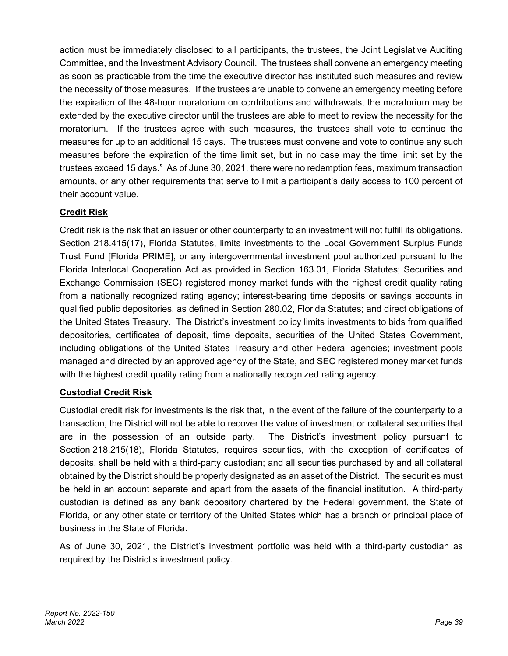action must be immediately disclosed to all participants, the trustees, the Joint Legislative Auditing Committee, and the Investment Advisory Council. The trustees shall convene an emergency meeting as soon as practicable from the time the executive director has instituted such measures and review the necessity of those measures. If the trustees are unable to convene an emergency meeting before the expiration of the 48-hour moratorium on contributions and withdrawals, the moratorium may be extended by the executive director until the trustees are able to meet to review the necessity for the moratorium. If the trustees agree with such measures, the trustees shall vote to continue the measures for up to an additional 15 days. The trustees must convene and vote to continue any such measures before the expiration of the time limit set, but in no case may the time limit set by the trustees exceed 15 days." As of June 30, 2021, there were no redemption fees, maximum transaction amounts, or any other requirements that serve to limit a participant's daily access to 100 percent of their account value.

## **Credit Risk**

Credit risk is the risk that an issuer or other counterparty to an investment will not fulfill its obligations. Section 218.415(17), Florida Statutes, limits investments to the Local Government Surplus Funds Trust Fund [Florida PRIME], or any intergovernmental investment pool authorized pursuant to the Florida Interlocal Cooperation Act as provided in Section 163.01, Florida Statutes; Securities and Exchange Commission (SEC) registered money market funds with the highest credit quality rating from a nationally recognized rating agency; interest-bearing time deposits or savings accounts in qualified public depositories, as defined in Section 280.02, Florida Statutes; and direct obligations of the United States Treasury. The District's investment policy limits investments to bids from qualified depositories, certificates of deposit, time deposits, securities of the United States Government, including obligations of the United States Treasury and other Federal agencies; investment pools managed and directed by an approved agency of the State, and SEC registered money market funds with the highest credit quality rating from a nationally recognized rating agency.

## **Custodial Credit Risk**

Custodial credit risk for investments is the risk that, in the event of the failure of the counterparty to a transaction, the District will not be able to recover the value of investment or collateral securities that are in the possession of an outside party. The District's investment policy pursuant to Section 218.215(18), Florida Statutes, requires securities, with the exception of certificates of deposits, shall be held with a third-party custodian; and all securities purchased by and all collateral obtained by the District should be properly designated as an asset of the District. The securities must be held in an account separate and apart from the assets of the financial institution. A third-party custodian is defined as any bank depository chartered by the Federal government, the State of Florida, or any other state or territory of the United States which has a branch or principal place of business in the State of Florida.

As of June 30, 2021, the District's investment portfolio was held with a third-party custodian as required by the District's investment policy.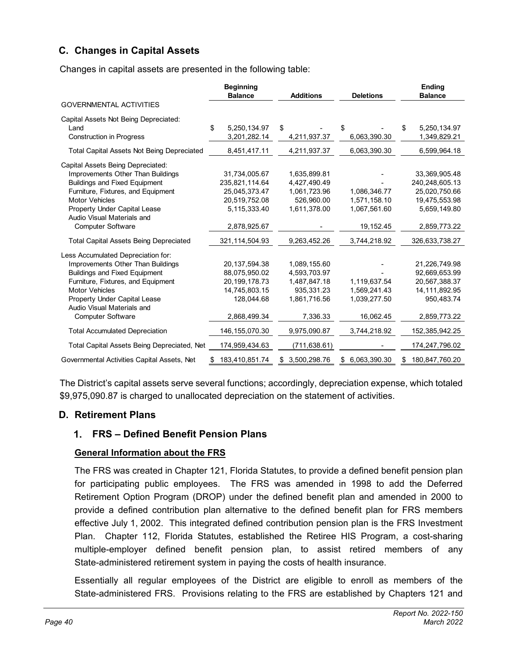## **C. Changes in Capital Assets**

Changes in capital assets are presented in the following table:

|                                                                                                                                                                                                                                                                         | <b>Beginning</b><br><b>Balance</b>                                                                | <b>Additions</b>                                                           | <b>Deletions</b>                                           | <b>Ending</b><br><b>Balance</b>                                                                   |
|-------------------------------------------------------------------------------------------------------------------------------------------------------------------------------------------------------------------------------------------------------------------------|---------------------------------------------------------------------------------------------------|----------------------------------------------------------------------------|------------------------------------------------------------|---------------------------------------------------------------------------------------------------|
| <b>GOVERNMENTAL ACTIVITIES</b>                                                                                                                                                                                                                                          |                                                                                                   |                                                                            |                                                            |                                                                                                   |
| Capital Assets Not Being Depreciated:<br>Land<br><b>Construction in Progress</b>                                                                                                                                                                                        | 5,250,134.97<br>\$<br>3,201,282.14                                                                | \$<br>4,211,937.37                                                         | \$<br>6,063,390.30                                         | \$<br>5,250,134.97<br>1,349,829.21                                                                |
| <b>Total Capital Assets Not Being Depreciated</b>                                                                                                                                                                                                                       | 8,451,417.11                                                                                      | 4,211,937.37                                                               | 6,063,390.30                                               | 6,599,964.18                                                                                      |
| Capital Assets Being Depreciated:<br>Improvements Other Than Buildings<br><b>Buildings and Fixed Equipment</b><br>Furniture, Fixtures, and Equipment<br><b>Motor Vehicles</b><br>Property Under Capital Lease<br>Audio Visual Materials and<br><b>Computer Software</b> | 31,734,005.67<br>235,821,114.64<br>25,045,373.47<br>20,519,752.08<br>5,115,333.40<br>2,878,925.67 | 1,635,899.81<br>4,427,490.49<br>1,061,723.96<br>526,960.00<br>1,611,378.00 | 1,086,346.77<br>1,571,158.10<br>1,067,561.60<br>19, 152.45 | 33,369,905.48<br>240,248,605.13<br>25,020,750.66<br>19,475,553.98<br>5.659,149.80<br>2,859,773.22 |
|                                                                                                                                                                                                                                                                         |                                                                                                   |                                                                            |                                                            |                                                                                                   |
| <b>Total Capital Assets Being Depreciated</b><br>Less Accumulated Depreciation for:                                                                                                                                                                                     | 321, 114, 504. 93                                                                                 | 9,263,452.26                                                               | 3,744,218.92                                               | 326,633,738.27                                                                                    |
| Improvements Other Than Buildings<br><b>Buildings and Fixed Equipment</b><br>Furniture, Fixtures, and Equipment<br><b>Motor Vehicles</b><br><b>Property Under Capital Lease</b><br>Audio Visual Materials and                                                           | 20, 137, 594. 38<br>88,075,950.02<br>20, 199, 178.73<br>14,745,803.15<br>128,044.68               | 1,089,155.60<br>4,593,703.97<br>1,487,847.18<br>935.331.23<br>1,861,716.56 | 1,119,637.54<br>1,569,241.43<br>1,039,277.50               | 21,226,749.98<br>92,669,653.99<br>20,567,388.37<br>14, 111, 892.95<br>950,483.74                  |
| <b>Computer Software</b>                                                                                                                                                                                                                                                | 2,868,499.34                                                                                      | 7,336.33                                                                   | 16,062.45                                                  | 2,859,773.22                                                                                      |
| <b>Total Accumulated Depreciation</b>                                                                                                                                                                                                                                   | 146, 155, 070.30                                                                                  | 9,975,090.87                                                               | 3,744,218.92                                               | 152,385,942.25                                                                                    |
| Total Capital Assets Being Depreciated, Net                                                                                                                                                                                                                             | 174,959,434.63                                                                                    | (711, 638.61)                                                              |                                                            | 174,247,796.02                                                                                    |
| Governmental Activities Capital Assets, Net                                                                                                                                                                                                                             | 183,410,851.74<br>\$                                                                              | \$ 3,500,298.76                                                            | \$ 6,063,390.30                                            | \$<br>180,847,760.20                                                                              |

The District's capital assets serve several functions; accordingly, depreciation expense, which totaled \$9,975,090.87 is charged to unallocated depreciation on the statement of activities.

#### **D. Retirement Plans**

## **FRS – Defined Benefit Pension Plans**

#### **General Information about the FRS**

The FRS was created in Chapter 121, Florida Statutes, to provide a defined benefit pension plan for participating public employees. The FRS was amended in 1998 to add the Deferred Retirement Option Program (DROP) under the defined benefit plan and amended in 2000 to provide a defined contribution plan alternative to the defined benefit plan for FRS members effective July 1, 2002. This integrated defined contribution pension plan is the FRS Investment Plan. Chapter 112, Florida Statutes, established the Retiree HIS Program, a cost-sharing multiple-employer defined benefit pension plan, to assist retired members of any State-administered retirement system in paying the costs of health insurance.

Essentially all regular employees of the District are eligible to enroll as members of the State-administered FRS. Provisions relating to the FRS are established by Chapters 121 and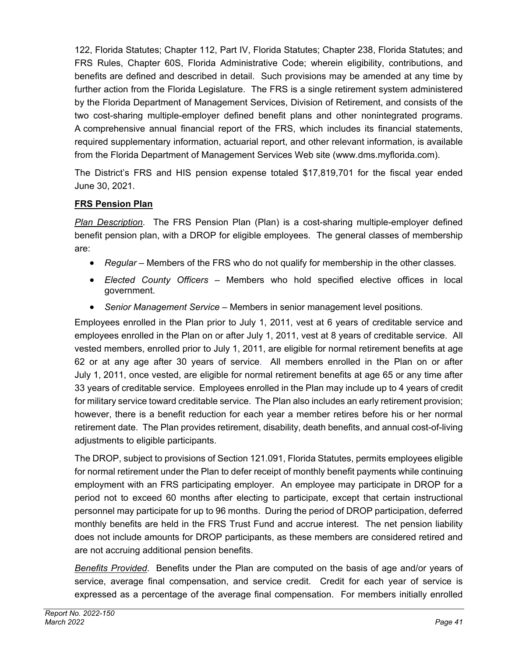122, Florida Statutes; Chapter 112, Part IV, Florida Statutes; Chapter 238, Florida Statutes; and FRS Rules, Chapter 60S, Florida Administrative Code; wherein eligibility, contributions, and benefits are defined and described in detail. Such provisions may be amended at any time by further action from the Florida Legislature. The FRS is a single retirement system administered by the Florida Department of Management Services, Division of Retirement, and consists of the two cost-sharing multiple-employer defined benefit plans and other nonintegrated programs. A comprehensive annual financial report of the FRS, which includes its financial statements, required supplementary information, actuarial report, and other relevant information, is available from the Florida Department of Management Services Web site (www.dms.myflorida.com).

The District's FRS and HIS pension expense totaled \$17,819,701 for the fiscal year ended June 30, 2021.

### **FRS Pension Plan**

*Plan Description*. The FRS Pension Plan (Plan) is a cost-sharing multiple-employer defined benefit pension plan, with a DROP for eligible employees. The general classes of membership are:

- *Regular* Members of the FRS who do not qualify for membership in the other classes.
- *Elected County Officers* Members who hold specified elective offices in local government.
- *Senior Management Service*  Members in senior management level positions.

Employees enrolled in the Plan prior to July 1, 2011, vest at 6 years of creditable service and employees enrolled in the Plan on or after July 1, 2011, vest at 8 years of creditable service. All vested members, enrolled prior to July 1, 2011, are eligible for normal retirement benefits at age 62 or at any age after 30 years of service. All members enrolled in the Plan on or after July 1, 2011, once vested, are eligible for normal retirement benefits at age 65 or any time after 33 years of creditable service. Employees enrolled in the Plan may include up to 4 years of credit for military service toward creditable service. The Plan also includes an early retirement provision; however, there is a benefit reduction for each year a member retires before his or her normal retirement date. The Plan provides retirement, disability, death benefits, and annual cost-of-living adjustments to eligible participants.

The DROP, subject to provisions of Section 121.091, Florida Statutes, permits employees eligible for normal retirement under the Plan to defer receipt of monthly benefit payments while continuing employment with an FRS participating employer. An employee may participate in DROP for a period not to exceed 60 months after electing to participate, except that certain instructional personnel may participate for up to 96 months. During the period of DROP participation, deferred monthly benefits are held in the FRS Trust Fund and accrue interest. The net pension liability does not include amounts for DROP participants, as these members are considered retired and are not accruing additional pension benefits.

*Benefits Provided*. Benefits under the Plan are computed on the basis of age and/or years of service, average final compensation, and service credit. Credit for each year of service is expressed as a percentage of the average final compensation. For members initially enrolled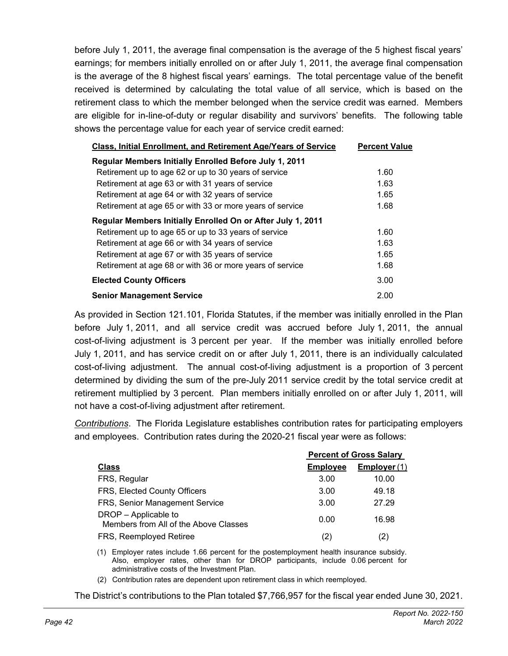before July 1, 2011, the average final compensation is the average of the 5 highest fiscal years' earnings; for members initially enrolled on or after July 1, 2011, the average final compensation is the average of the 8 highest fiscal years' earnings. The total percentage value of the benefit received is determined by calculating the total value of all service, which is based on the retirement class to which the member belonged when the service credit was earned. Members are eligible for in-line-of-duty or regular disability and survivors' benefits. The following table shows the percentage value for each year of service credit earned:

| Class, Initial Enrollment, and Retirement Age/Years of Service | <b>Percent Value</b> |
|----------------------------------------------------------------|----------------------|
| Regular Members Initially Enrolled Before July 1, 2011         |                      |
| Retirement up to age 62 or up to 30 years of service           | 1.60                 |
| Retirement at age 63 or with 31 years of service               | 1.63                 |
| Retirement at age 64 or with 32 years of service               | 1.65                 |
| Retirement at age 65 or with 33 or more years of service       | 1.68                 |
| Regular Members Initially Enrolled On or After July 1, 2011    |                      |
| Retirement up to age 65 or up to 33 years of service           | 1.60                 |
| Retirement at age 66 or with 34 years of service               | 1.63                 |
| Retirement at age 67 or with 35 years of service               | 1.65                 |
| Retirement at age 68 or with 36 or more years of service       | 1.68                 |
| <b>Elected County Officers</b>                                 | 3.00                 |
| <b>Senior Management Service</b>                               | 2.00                 |

As provided in Section 121.101, Florida Statutes, if the member was initially enrolled in the Plan before July 1, 2011, and all service credit was accrued before July 1, 2011, the annual cost-of-living adjustment is 3 percent per year. If the member was initially enrolled before July 1, 2011, and has service credit on or after July 1, 2011, there is an individually calculated cost-of-living adjustment. The annual cost-of-living adjustment is a proportion of 3 percent determined by dividing the sum of the pre-July 2011 service credit by the total service credit at retirement multiplied by 3 percent. Plan members initially enrolled on or after July 1, 2011, will not have a cost-of-living adjustment after retirement.

*Contributions*. The Florida Legislature establishes contribution rates for participating employers and employees. Contribution rates during the 2020-21 fiscal year were as follows:

|                                                               | <b>Percent of Gross Salary</b> |             |  |
|---------------------------------------------------------------|--------------------------------|-------------|--|
| <b>Class</b>                                                  | <b>Employee</b>                | Emplover(1) |  |
| FRS, Regular                                                  | 3.00                           | 10.00       |  |
| FRS, Elected County Officers                                  | 3.00                           | 49.18       |  |
| FRS, Senior Management Service                                | 3.00                           | 27.29       |  |
| DROP - Applicable to<br>Members from All of the Above Classes | 0.00                           | 16.98       |  |
| FRS, Reemployed Retiree                                       | (2)                            | (2)         |  |

(1) Employer rates include 1.66 percent for the postemployment health insurance subsidy. Also, employer rates, other than for DROP participants, include 0.06 percent for administrative costs of the Investment Plan.

(2) Contribution rates are dependent upon retirement class in which reemployed.

The District's contributions to the Plan totaled \$7,766,957 for the fiscal year ended June 30, 2021.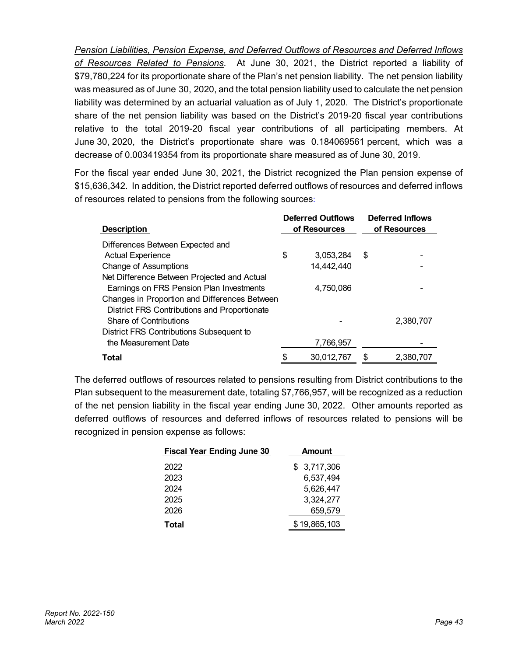*Pension Liabilities, Pension Expense, and Deferred Outflows of Resources and Deferred Inflows of Resources Related to Pensions*. At June 30, 2021, the District reported a liability of \$79,780,224 for its proportionate share of the Plan's net pension liability. The net pension liability was measured as of June 30, 2020, and the total pension liability used to calculate the net pension liability was determined by an actuarial valuation as of July 1, 2020. The District's proportionate share of the net pension liability was based on the District's 2019-20 fiscal year contributions relative to the total 2019-20 fiscal year contributions of all participating members. At June 30, 2020, the District's proportionate share was 0.184069561 percent, which was a decrease of 0.003419354 from its proportionate share measured as of June 30, 2019.

For the fiscal year ended June 30, 2021, the District recognized the Plan pension expense of \$15,636,342. In addition, the District reported deferred outflows of resources and deferred inflows of resources related to pensions from the following sources:

|                                               | <b>Deferred Outflows</b> |              | <b>Deferred Inflows</b> |              |
|-----------------------------------------------|--------------------------|--------------|-------------------------|--------------|
| <b>Description</b>                            |                          | of Resources |                         | of Resources |
| Differences Between Expected and              |                          |              |                         |              |
| <b>Actual Experience</b>                      | \$                       | 3,053,284    | \$                      |              |
| Change of Assumptions                         |                          | 14,442,440   |                         |              |
| Net Difference Between Projected and Actual   |                          |              |                         |              |
| Earnings on FRS Pension Plan Investments      |                          | 4,750,086    |                         |              |
| Changes in Proportion and Differences Between |                          |              |                         |              |
| District FRS Contributions and Proportionate  |                          |              |                         |              |
| <b>Share of Contributions</b>                 |                          |              |                         | 2,380,707    |
| District FRS Contributions Subsequent to      |                          |              |                         |              |
| the Measurement Date                          |                          | 7,766,957    |                         |              |
| <b>Total</b>                                  |                          | 30,012,767   |                         | 2.380.707    |

The deferred outflows of resources related to pensions resulting from District contributions to the Plan subsequent to the measurement date, totaling \$7,766,957, will be recognized as a reduction of the net pension liability in the fiscal year ending June 30, 2022. Other amounts reported as deferred outflows of resources and deferred inflows of resources related to pensions will be recognized in pension expense as follows:

| <b>Fiscal Year Ending June 30</b><br>Amount |              |
|---------------------------------------------|--------------|
| 2022                                        | \$3,717,306  |
| 2023                                        | 6,537,494    |
| 2024                                        | 5,626,447    |
| 2025                                        | 3,324,277    |
| 2026                                        | 659,579      |
| Total                                       | \$19,865,103 |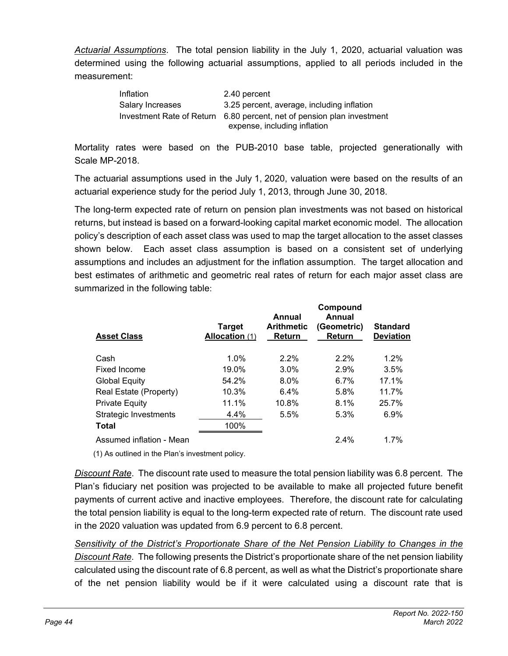*Actuarial Assumptions*. The total pension liability in the July 1, 2020, actuarial valuation was determined using the following actuarial assumptions, applied to all periods included in the measurement:

| Inflation        | 2.40 percent                                                           |
|------------------|------------------------------------------------------------------------|
| Salary Increases | 3.25 percent, average, including inflation                             |
|                  | Investment Rate of Return 6.80 percent, net of pension plan investment |
|                  | expense, including inflation                                           |

Mortality rates were based on the PUB-2010 base table, projected generationally with Scale MP-2018.

The actuarial assumptions used in the July 1, 2020, valuation were based on the results of an actuarial experience study for the period July 1, 2013, through June 30, 2018.

The long-term expected rate of return on pension plan investments was not based on historical returns, but instead is based on a forward-looking capital market economic model. The allocation policy's description of each asset class was used to map the target allocation to the asset classes shown below. Each asset class assumption is based on a consistent set of underlying assumptions and includes an adjustment for the inflation assumption. The target allocation and best estimates of arithmetic and geometric real rates of return for each major asset class are summarized in the following table:

| <b>Asset Class</b>           | <b>Target</b><br>Allocation (1) | Annual<br><b>Arithmetic</b><br><b>Return</b> | Compound<br>Annual<br>(Geometric)<br>Return | <b>Standard</b><br><b>Deviation</b> |
|------------------------------|---------------------------------|----------------------------------------------|---------------------------------------------|-------------------------------------|
| Cash                         | 1.0%                            | $2.2\%$                                      | $2.2\%$                                     | $1.2\%$                             |
| Fixed Income                 | 19.0%                           | 3.0%                                         | 2.9%                                        | 3.5%                                |
| <b>Global Equity</b>         | 54.2%                           | $8.0\%$                                      | 6.7%                                        | 17.1%                               |
| Real Estate (Property)       | 10.3%                           | 6.4%                                         | 5.8%                                        | 11.7%                               |
| <b>Private Equity</b>        | 11.1%                           | 10.8%                                        | 8.1%                                        | 25.7%                               |
| <b>Strategic Investments</b> | 4.4%                            | 5.5%                                         | 5.3%                                        | 6.9%                                |
| <b>Total</b>                 | 100%                            |                                              |                                             |                                     |
| Assumed inflation - Mean     |                                 |                                              | 2.4%                                        | 1.7%                                |

(1) As outlined in the Plan's investment policy.

*Discount Rate*. The discount rate used to measure the total pension liability was 6.8 percent. The Plan's fiduciary net position was projected to be available to make all projected future benefit payments of current active and inactive employees. Therefore, the discount rate for calculating the total pension liability is equal to the long-term expected rate of return. The discount rate used in the 2020 valuation was updated from 6.9 percent to 6.8 percent.

*Sensitivity of the District's Proportionate Share of the Net Pension Liability to Changes in the Discount Rate*. The following presents the District's proportionate share of the net pension liability calculated using the discount rate of 6.8 percent, as well as what the District's proportionate share of the net pension liability would be if it were calculated using a discount rate that is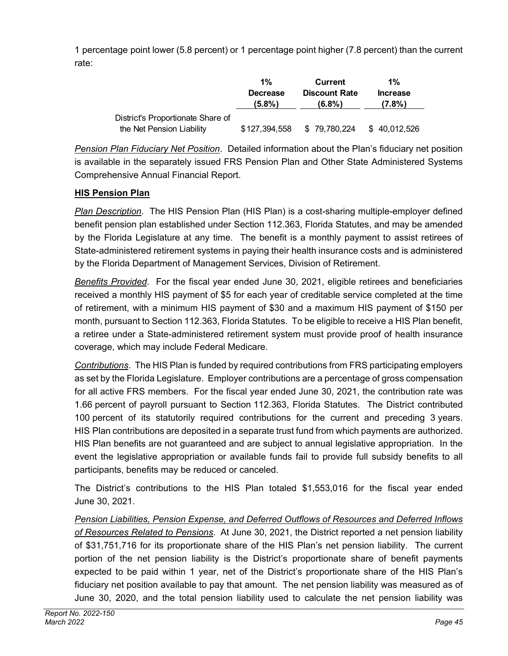1 percentage point lower (5.8 percent) or 1 percentage point higher (7.8 percent) than the current rate:

|                                   | 1%                        | <b>Current</b>                    | $1\%$                        |
|-----------------------------------|---------------------------|-----------------------------------|------------------------------|
|                                   | <b>Decrease</b><br>(5.8%) | <b>Discount Rate</b><br>$(6.8\%)$ | <b>Increase</b><br>$(7.8\%)$ |
| District's Proportionate Share of |                           |                                   |                              |
| the Net Pension Liability         | \$127,394,558             | \$79,780,224                      | \$40,012,526                 |

*Pension Plan Fiduciary Net Position*. Detailed information about the Plan's fiduciary net position is available in the separately issued FRS Pension Plan and Other State Administered Systems Comprehensive Annual Financial Report.

## **HIS Pension Plan**

*Plan Description*. The HIS Pension Plan (HIS Plan) is a cost-sharing multiple-employer defined benefit pension plan established under Section 112.363, Florida Statutes, and may be amended by the Florida Legislature at any time. The benefit is a monthly payment to assist retirees of State-administered retirement systems in paying their health insurance costs and is administered by the Florida Department of Management Services, Division of Retirement.

*Benefits Provided*. For the fiscal year ended June 30, 2021, eligible retirees and beneficiaries received a monthly HIS payment of \$5 for each year of creditable service completed at the time of retirement, with a minimum HIS payment of \$30 and a maximum HIS payment of \$150 per month, pursuant to Section 112.363, Florida Statutes. To be eligible to receive a HIS Plan benefit, a retiree under a State-administered retirement system must provide proof of health insurance coverage, which may include Federal Medicare.

*Contributions*. The HIS Plan is funded by required contributions from FRS participating employers as set by the Florida Legislature. Employer contributions are a percentage of gross compensation for all active FRS members. For the fiscal year ended June 30, 2021, the contribution rate was 1.66 percent of payroll pursuant to Section 112.363, Florida Statutes. The District contributed 100 percent of its statutorily required contributions for the current and preceding 3 years. HIS Plan contributions are deposited in a separate trust fund from which payments are authorized. HIS Plan benefits are not guaranteed and are subject to annual legislative appropriation. In the event the legislative appropriation or available funds fail to provide full subsidy benefits to all participants, benefits may be reduced or canceled.

The District's contributions to the HIS Plan totaled \$1,553,016 for the fiscal year ended June 30, 2021.

*Pension Liabilities, Pension Expense, and Deferred Outflows of Resources and Deferred Inflows of Resources Related to Pensions*. At June 30, 2021, the District reported a net pension liability of \$31,751,716 for its proportionate share of the HIS Plan's net pension liability. The current portion of the net pension liability is the District's proportionate share of benefit payments expected to be paid within 1 year, net of the District's proportionate share of the HIS Plan's fiduciary net position available to pay that amount. The net pension liability was measured as of June 30, 2020, and the total pension liability used to calculate the net pension liability was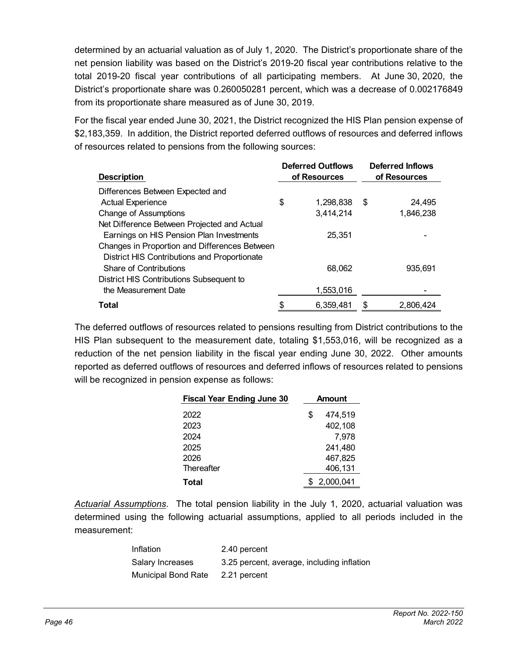determined by an actuarial valuation as of July 1, 2020. The District's proportionate share of the net pension liability was based on the District's 2019-20 fiscal year contributions relative to the total 2019-20 fiscal year contributions of all participating members. At June 30, 2020, the District's proportionate share was 0.260050281 percent, which was a decrease of 0.002176849 from its proportionate share measured as of June 30, 2019.

For the fiscal year ended June 30, 2021, the District recognized the HIS Plan pension expense of \$2,183,359. In addition, the District reported deferred outflows of resources and deferred inflows of resources related to pensions from the following sources:

|                                               | <b>Deferred Outflows</b> |              | <b>Deferred Inflows</b> |              |
|-----------------------------------------------|--------------------------|--------------|-------------------------|--------------|
| <b>Description</b>                            |                          | of Resources |                         | of Resources |
| Differences Between Expected and              |                          |              |                         |              |
| <b>Actual Experience</b>                      | \$                       | 1,298,838    | \$                      | 24,495       |
| <b>Change of Assumptions</b>                  |                          | 3,414,214    |                         | 1,846,238    |
| Net Difference Between Projected and Actual   |                          |              |                         |              |
| Earnings on HIS Pension Plan Investments      |                          | 25,351       |                         |              |
| Changes in Proportion and Differences Between |                          |              |                         |              |
| District HIS Contributions and Proportionate  |                          |              |                         |              |
| <b>Share of Contributions</b>                 |                          | 68,062       |                         | 935,691      |
| District HIS Contributions Subsequent to      |                          |              |                         |              |
| the Measurement Date                          |                          | 1,553,016    |                         |              |
| <b>Total</b>                                  | \$                       | 6,359,481    | \$                      | 2,806,424    |

The deferred outflows of resources related to pensions resulting from District contributions to the HIS Plan subsequent to the measurement date, totaling \$1,553,016, will be recognized as a reduction of the net pension liability in the fiscal year ending June 30, 2022. Other amounts reported as deferred outflows of resources and deferred inflows of resources related to pensions will be recognized in pension expense as follows:

| <b>Fiscal Year Ending June 30</b> | Amount    |         |  |
|-----------------------------------|-----------|---------|--|
| 2022                              | S         | 474,519 |  |
| 2023                              |           | 402,108 |  |
| 2024                              |           | 7,978   |  |
| 2025                              | 241,480   |         |  |
| 2026                              | 467,825   |         |  |
| Thereafter                        | 406,131   |         |  |
| Total                             | 2,000,041 |         |  |

*Actuarial Assumptions*. The total pension liability in the July 1, 2020, actuarial valuation was determined using the following actuarial assumptions, applied to all periods included in the measurement:

| Inflation           | 2.40 percent                               |
|---------------------|--------------------------------------------|
| Salary Increases    | 3.25 percent, average, including inflation |
| Municipal Bond Rate | 2.21 percent                               |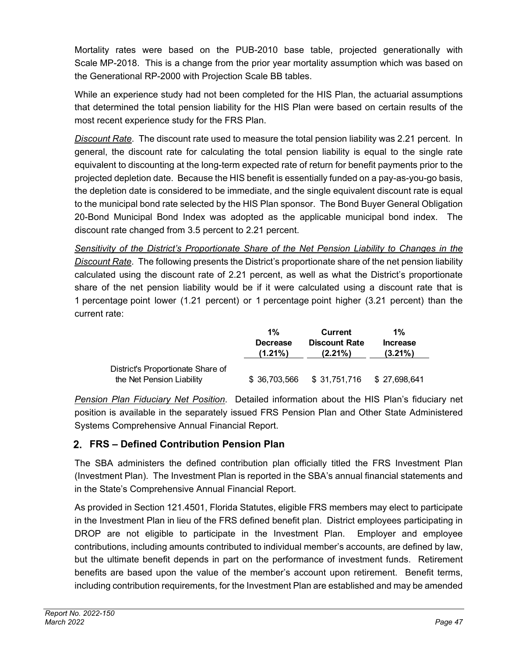Mortality rates were based on the PUB-2010 base table, projected generationally with Scale MP-2018. This is a change from the prior year mortality assumption which was based on the Generational RP-2000 with Projection Scale BB tables.

While an experience study had not been completed for the HIS Plan, the actuarial assumptions that determined the total pension liability for the HIS Plan were based on certain results of the most recent experience study for the FRS Plan.

*Discount Rate*. The discount rate used to measure the total pension liability was 2.21 percent. In general, the discount rate for calculating the total pension liability is equal to the single rate equivalent to discounting at the long-term expected rate of return for benefit payments prior to the projected depletion date. Because the HIS benefit is essentially funded on a pay-as-you-go basis, the depletion date is considered to be immediate, and the single equivalent discount rate is equal to the municipal bond rate selected by the HIS Plan sponsor. The Bond Buyer General Obligation 20-Bond Municipal Bond Index was adopted as the applicable municipal bond index. The discount rate changed from 3.5 percent to 2.21 percent.

*Sensitivity of the District's Proportionate Share of the Net Pension Liability to Changes in the Discount Rate*. The following presents the District's proportionate share of the net pension liability calculated using the discount rate of 2.21 percent, as well as what the District's proportionate share of the net pension liability would be if it were calculated using a discount rate that is 1 percentage point lower (1.21 percent) or 1 percentage point higher (3.21 percent) than the current rate:

|                                                                | $1\%$                         | <b>Current</b>                     | $1\%$                         |
|----------------------------------------------------------------|-------------------------------|------------------------------------|-------------------------------|
|                                                                | <b>Decrease</b><br>$(1.21\%)$ | <b>Discount Rate</b><br>$(2.21\%)$ | <b>Increase</b><br>$(3.21\%)$ |
| District's Proportionate Share of<br>the Net Pension Liability | \$36,703,566                  | \$31,751,716                       | \$27,698,641                  |
|                                                                |                               |                                    |                               |

*Pension Plan Fiduciary Net Position*. Detailed information about the HIS Plan's fiduciary net position is available in the separately issued FRS Pension Plan and Other State Administered Systems Comprehensive Annual Financial Report.

## **FRS – Defined Contribution Pension Plan**

The SBA administers the defined contribution plan officially titled the FRS Investment Plan (Investment Plan). The Investment Plan is reported in the SBA's annual financial statements and in the State's Comprehensive Annual Financial Report.

As provided in Section 121.4501, Florida Statutes, eligible FRS members may elect to participate in the Investment Plan in lieu of the FRS defined benefit plan. District employees participating in DROP are not eligible to participate in the Investment Plan. Employer and employee contributions, including amounts contributed to individual member's accounts, are defined by law, but the ultimate benefit depends in part on the performance of investment funds. Retirement benefits are based upon the value of the member's account upon retirement. Benefit terms, including contribution requirements, for the Investment Plan are established and may be amended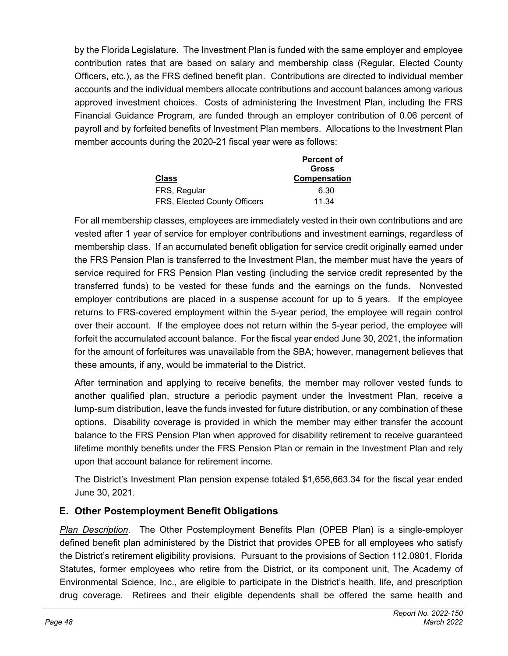by the Florida Legislature. The Investment Plan is funded with the same employer and employee contribution rates that are based on salary and membership class (Regular, Elected County Officers, etc.), as the FRS defined benefit plan. Contributions are directed to individual member accounts and the individual members allocate contributions and account balances among various approved investment choices. Costs of administering the Investment Plan, including the FRS Financial Guidance Program, are funded through an employer contribution of 0.06 percent of payroll and by forfeited benefits of Investment Plan members. Allocations to the Investment Plan member accounts during the 2020-21 fiscal year were as follows:

|                                     | <b>Percent of</b>            |
|-------------------------------------|------------------------------|
| <b>Class</b>                        | <b>Gross</b><br>Compensation |
| FRS, Regular                        | 6.30                         |
| <b>FRS, Elected County Officers</b> | 11.34                        |

For all membership classes, employees are immediately vested in their own contributions and are vested after 1 year of service for employer contributions and investment earnings, regardless of membership class. If an accumulated benefit obligation for service credit originally earned under the FRS Pension Plan is transferred to the Investment Plan, the member must have the years of service required for FRS Pension Plan vesting (including the service credit represented by the transferred funds) to be vested for these funds and the earnings on the funds. Nonvested employer contributions are placed in a suspense account for up to 5 years. If the employee returns to FRS-covered employment within the 5-year period, the employee will regain control over their account. If the employee does not return within the 5-year period, the employee will forfeit the accumulated account balance. For the fiscal year ended June 30, 2021, the information for the amount of forfeitures was unavailable from the SBA; however, management believes that these amounts, if any, would be immaterial to the District.

After termination and applying to receive benefits, the member may rollover vested funds to another qualified plan, structure a periodic payment under the Investment Plan, receive a lump-sum distribution, leave the funds invested for future distribution, or any combination of these options. Disability coverage is provided in which the member may either transfer the account balance to the FRS Pension Plan when approved for disability retirement to receive guaranteed lifetime monthly benefits under the FRS Pension Plan or remain in the Investment Plan and rely upon that account balance for retirement income.

The District's Investment Plan pension expense totaled \$1,656,663.34 for the fiscal year ended June 30, 2021.

## **E. Other Postemployment Benefit Obligations**

*Plan Description*. The Other Postemployment Benefits Plan (OPEB Plan) is a single-employer defined benefit plan administered by the District that provides OPEB for all employees who satisfy the District's retirement eligibility provisions. Pursuant to the provisions of Section 112.0801, Florida Statutes, former employees who retire from the District, or its component unit, The Academy of Environmental Science, Inc., are eligible to participate in the District's health, life, and prescription drug coverage. Retirees and their eligible dependents shall be offered the same health and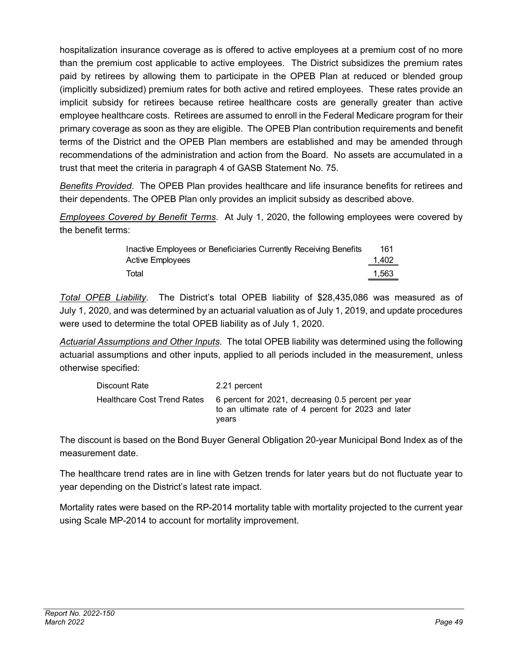hospitalization insurance coverage as is offered to active employees at a premium cost of no more than the premium cost applicable to active employees. The District subsidizes the premium rates paid by retirees by allowing them to participate in the OPEB Plan at reduced or blended group (implicitly subsidized) premium rates for both active and retired employees. These rates provide an implicit subsidy for retirees because retiree healthcare costs are generally greater than active employee healthcare costs. Retirees are assumed to enroll in the Federal Medicare program for their primary coverage as soon as they are eligible. The OPEB Plan contribution requirements and benefit terms of the District and the OPEB Plan members are established and may be amended through recommendations of the administration and action from the Board. No assets are accumulated in a trust that meet the criteria in paragraph 4 of GASB Statement No. 75.

*Benefits Provided*.The OPEB Plan provides healthcare and life insurance benefits for retirees and their dependents. The OPEB Plan only provides an implicit subsidy as described above.

*Employees Covered by Benefit Terms*. At July 1, 2020, the following employees were covered by the benefit terms:

| Inactive Employees or Beneficiaries Currently Receiving Benefits | 161   |
|------------------------------------------------------------------|-------|
| <b>Active Employees</b>                                          | 1,402 |
| Total                                                            | 1,563 |

*Total OPEB Liability*. The District's total OPEB liability of \$28,435,086 was measured as of July 1, 2020, and was determined by an actuarial valuation as of July 1, 2019, and update procedures were used to determine the total OPEB liability as of July 1, 2020.

*Actuarial Assumptions and Other Inputs*. The total OPEB liability was determined using the following actuarial assumptions and other inputs, applied to all periods included in the measurement, unless otherwise specified:

| Discount Rate               | 2.21 percent                                                                                                        |
|-----------------------------|---------------------------------------------------------------------------------------------------------------------|
| Healthcare Cost Trend Rates | 6 percent for 2021, decreasing 0.5 percent per year<br>to an ultimate rate of 4 percent for 2023 and later<br>vears |

The discount is based on the Bond Buyer General Obligation 20-year Municipal Bond Index as of the measurement date.

The healthcare trend rates are in line with Getzen trends for later years but do not fluctuate year to year depending on the District's latest rate impact.

Mortality rates were based on the RP-2014 mortality table with mortality projected to the current year using Scale MP-2014 to account for mortality improvement.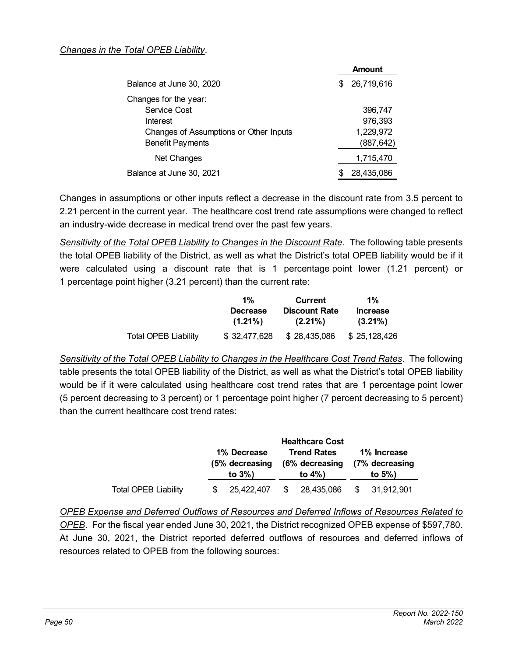#### *Changes in the Total OPEB Liability*.

|                                        |   | <b>Amount</b> |
|----------------------------------------|---|---------------|
| Balance at June 30, 2020               | S | 26,719,616    |
| Changes for the year:                  |   |               |
| <b>Service Cost</b>                    |   | 396,747       |
| Interest                               |   | 976,393       |
| Changes of Assumptions or Other Inputs |   | 1,229,972     |
| <b>Benefit Payments</b>                |   | (887, 642)    |
| Net Changes                            |   | 1,715,470     |
| Balance at June 30, 2021               |   | 28,435,086    |

Changes in assumptions or other inputs reflect a decrease in the discount rate from 3.5 percent to 2.21 percent in the current year. The healthcare cost trend rate assumptions were changed to reflect an industry-wide decrease in medical trend over the past few years.

*Sensitivity of the Total OPEB Liability to Changes in the Discount Rate*. The following table presents the total OPEB liability of the District, as well as what the District's total OPEB liability would be if it were calculated using a discount rate that is 1 percentage point lower (1.21 percent) or 1 percentage point higher (3.21 percent) than the current rate:

| $1\%$<br><b>Decrease</b>    |              | <b>Current</b><br><b>Discount Rate</b> | $1\%$<br><b>Increase</b> |  |
|-----------------------------|--------------|----------------------------------------|--------------------------|--|
|                             | $(1.21\%)$   | $(2.21\%)$                             | $(3.21\%)$               |  |
| <b>Total OPEB Liability</b> | \$32,477,628 | \$28,435,086                           | \$25,128,426             |  |

*Sensitivity of the Total OPEB Liability to Changes in the Healthcare Cost Trend Rates*. The following table presents the total OPEB liability of the District, as well as what the District's total OPEB liability would be if it were calculated using healthcare cost trend rates that are 1 percentage point lower (5 percent decreasing to 3 percent) or 1 percentage point higher (7 percent decreasing to 5 percent) than the current healthcare cost trend rates:

|                             | <b>Healthcare Cost</b> |                              |    |                              |  |                              |  |
|-----------------------------|------------------------|------------------------------|----|------------------------------|--|------------------------------|--|
|                             | 1% Decrease            |                              |    | <b>Trend Rates</b>           |  | 1% Increase                  |  |
|                             |                        | (5% decreasing<br>to $3\%$ ) |    | (6% decreasing<br>to $4\%$ ) |  | (7% decreasing<br>to $5\%$ ) |  |
|                             |                        |                              |    |                              |  |                              |  |
| <b>Total OPEB Liability</b> |                        | 25,422,407                   | \$ | 28,435,086                   |  | \$31,912,901                 |  |

*OPEB Expense and Deferred Outflows of Resources and Deferred Inflows of Resources Related to OPEB*. For the fiscal year ended June 30, 2021, the District recognized OPEB expense of \$597,780. At June 30, 2021, the District reported deferred outflows of resources and deferred inflows of resources related to OPEB from the following sources: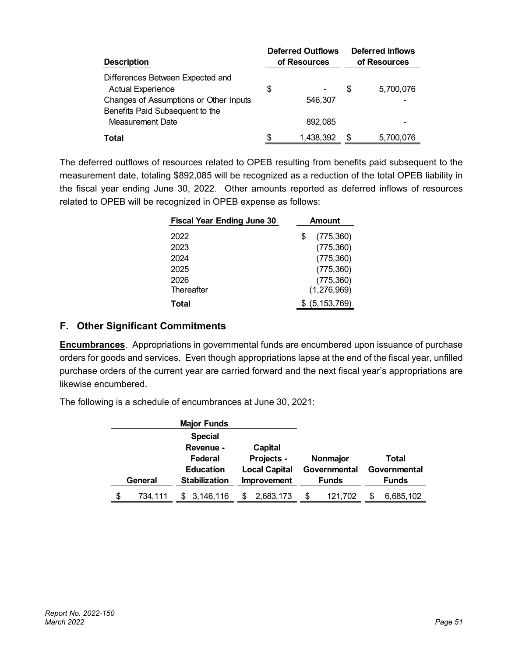| <b>Description</b>                                                        |    | <b>Deferred Outflows</b><br>of Resources | <b>Deferred Inflows</b><br>of Resources |           |  |
|---------------------------------------------------------------------------|----|------------------------------------------|-----------------------------------------|-----------|--|
| Differences Between Expected and<br><b>Actual Experience</b>              | \$ | -                                        | S                                       | 5,700,076 |  |
| Changes of Assumptions or Other Inputs<br>Benefits Paid Subsequent to the |    | 546,307                                  |                                         |           |  |
| Measurement Date                                                          |    | 892,085                                  |                                         |           |  |
| Total                                                                     |    | 1,438,392                                | S                                       | 5,700,076 |  |

The deferred outflows of resources related to OPEB resulting from benefits paid subsequent to the measurement date, totaling \$892,085 will be recognized as a reduction of the total OPEB liability in the fiscal year ending June 30, 2022. Other amounts reported as deferred inflows of resources related to OPEB will be recognized in OPEB expense as follows:

| <b>Fiscal Year Ending June 30</b><br><b>Amount</b> |    |               |  |  |
|----------------------------------------------------|----|---------------|--|--|
| 2022                                               | \$ | (775, 360)    |  |  |
| 2023                                               |    | (775, 360)    |  |  |
| 2024                                               |    | (775, 360)    |  |  |
| 2025                                               |    | (775, 360)    |  |  |
| 2026                                               |    | (775, 360)    |  |  |
| Thereafter                                         |    | (1,276,969)   |  |  |
| Total                                              |    | (5, 153, 769) |  |  |
|                                                    |    |               |  |  |

### **F. Other Significant Commitments**

**Encumbrances**. Appropriations in governmental funds are encumbered upon issuance of purchase orders for goods and services. Even though appropriations lapse at the end of the fiscal year, unfilled purchase orders of the current year are carried forward and the next fiscal year's appropriations are likewise encumbered.

The following is a schedule of encumbrances at June 30, 2021:

|               | <b>Major Funds</b>   |                      |   |              |              |
|---------------|----------------------|----------------------|---|--------------|--------------|
|               | <b>Special</b>       |                      |   |              |              |
|               | Revenue -            | Capital              |   |              |              |
|               | Federal              | Projects -           |   | Nonmajor     | Total        |
|               | <b>Education</b>     | <b>Local Capital</b> |   | Governmental | Governmental |
| General       | <b>Stabilization</b> | <b>Improvement</b>   |   | <b>Funds</b> | <b>Funds</b> |
| \$<br>734,111 | 3,146,116            | 2,683,173            | S | 121,702      | 6,685,102    |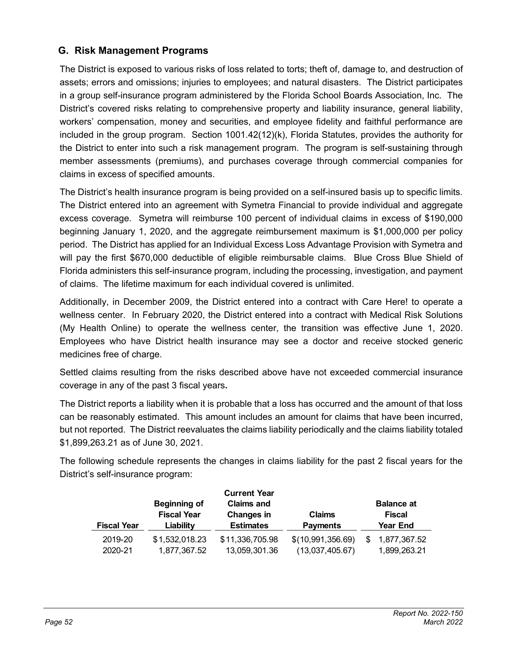## **G. Risk Management Programs**

The District is exposed to various risks of loss related to torts; theft of, damage to, and destruction of assets; errors and omissions; injuries to employees; and natural disasters. The District participates in a group self-insurance program administered by the Florida School Boards Association, Inc. The District's covered risks relating to comprehensive property and liability insurance, general liability, workers' compensation, money and securities, and employee fidelity and faithful performance are included in the group program. Section 1001.42(12)(k), Florida Statutes, provides the authority for the District to enter into such a risk management program. The program is self-sustaining through member assessments (premiums), and purchases coverage through commercial companies for claims in excess of specified amounts.

The District's health insurance program is being provided on a self-insured basis up to specific limits. The District entered into an agreement with Symetra Financial to provide individual and aggregate excess coverage. Symetra will reimburse 100 percent of individual claims in excess of \$190,000 beginning January 1, 2020, and the aggregate reimbursement maximum is \$1,000,000 per policy period. The District has applied for an Individual Excess Loss Advantage Provision with Symetra and will pay the first \$670,000 deductible of eligible reimbursable claims. Blue Cross Blue Shield of Florida administers this self-insurance program, including the processing, investigation, and payment of claims. The lifetime maximum for each individual covered is unlimited.

Additionally, in December 2009, the District entered into a contract with Care Here! to operate a wellness center. In February 2020, the District entered into a contract with Medical Risk Solutions (My Health Online) to operate the wellness center, the transition was effective June 1, 2020. Employees who have District health insurance may see a doctor and receive stocked generic medicines free of charge.

Settled claims resulting from the risks described above have not exceeded commercial insurance coverage in any of the past 3 fiscal years**.**

The District reports a liability when it is probable that a loss has occurred and the amount of that loss can be reasonably estimated. This amount includes an amount for claims that have been incurred, but not reported. The District reevaluates the claims liability periodically and the claims liability totaled \$1,899,263.21 as of June 30, 2021.

The following schedule represents the changes in claims liability for the past 2 fiscal years for the District's self-insurance program:

| <b>Fiscal Year</b> | <b>Beginning of</b><br><b>Fiscal Year</b><br>Liability | <b>Current Year</b><br><b>Claims and</b><br>Changes in<br><b>Estimates</b> | <b>Claims</b><br><b>Payments</b> | <b>Balance at</b><br><b>Fiscal</b><br><b>Year End</b> |
|--------------------|--------------------------------------------------------|----------------------------------------------------------------------------|----------------------------------|-------------------------------------------------------|
| 2019-20            | \$1,532,018.23                                         | \$11,336,705.98                                                            | \$(10,991,356.69)                | 1,877,367.52                                          |
| 2020-21            | 1,877,367.52                                           | 13,059,301.36                                                              | (13,037,405.67)                  | 1,899,263.21                                          |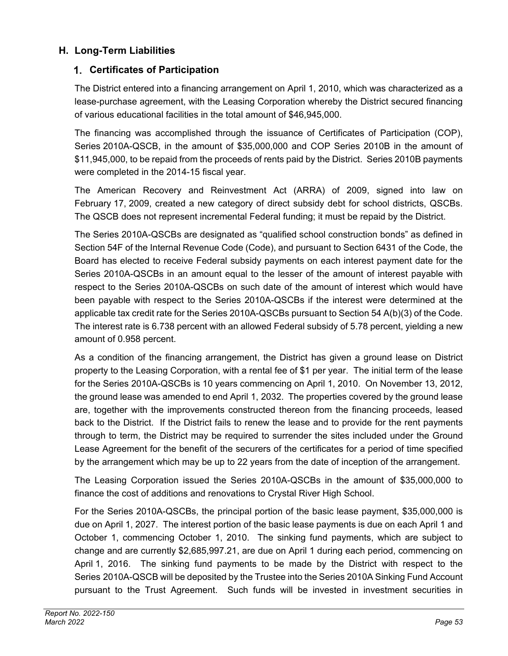## **H. Long-Term Liabilities**

## **Certificates of Participation**

The District entered into a financing arrangement on April 1, 2010, which was characterized as a lease-purchase agreement, with the Leasing Corporation whereby the District secured financing of various educational facilities in the total amount of \$46,945,000.

The financing was accomplished through the issuance of Certificates of Participation (COP), Series 2010A-QSCB, in the amount of \$35,000,000 and COP Series 2010B in the amount of \$11,945,000, to be repaid from the proceeds of rents paid by the District. Series 2010B payments were completed in the 2014-15 fiscal year.

The American Recovery and Reinvestment Act (ARRA) of 2009, signed into law on February 17, 2009, created a new category of direct subsidy debt for school districts, QSCBs. The QSCB does not represent incremental Federal funding; it must be repaid by the District.

The Series 2010A-QSCBs are designated as "qualified school construction bonds" as defined in Section 54F of the Internal Revenue Code (Code), and pursuant to Section 6431 of the Code, the Board has elected to receive Federal subsidy payments on each interest payment date for the Series 2010A-QSCBs in an amount equal to the lesser of the amount of interest payable with respect to the Series 2010A-QSCBs on such date of the amount of interest which would have been payable with respect to the Series 2010A-QSCBs if the interest were determined at the applicable tax credit rate for the Series 2010A-QSCBs pursuant to Section 54 A(b)(3) of the Code. The interest rate is 6.738 percent with an allowed Federal subsidy of 5.78 percent, yielding a new amount of 0.958 percent.

As a condition of the financing arrangement, the District has given a ground lease on District property to the Leasing Corporation, with a rental fee of \$1 per year. The initial term of the lease for the Series 2010A-QSCBs is 10 years commencing on April 1, 2010. On November 13, 2012, the ground lease was amended to end April 1, 2032. The properties covered by the ground lease are, together with the improvements constructed thereon from the financing proceeds, leased back to the District. If the District fails to renew the lease and to provide for the rent payments through to term, the District may be required to surrender the sites included under the Ground Lease Agreement for the benefit of the securers of the certificates for a period of time specified by the arrangement which may be up to 22 years from the date of inception of the arrangement.

The Leasing Corporation issued the Series 2010A-QSCBs in the amount of \$35,000,000 to finance the cost of additions and renovations to Crystal River High School.

For the Series 2010A-QSCBs, the principal portion of the basic lease payment, \$35,000,000 is due on April 1, 2027. The interest portion of the basic lease payments is due on each April 1 and October 1, commencing October 1, 2010. The sinking fund payments, which are subject to change and are currently \$2,685,997.21, are due on April 1 during each period, commencing on April 1, 2016. The sinking fund payments to be made by the District with respect to the Series 2010A-QSCB will be deposited by the Trustee into the Series 2010A Sinking Fund Account pursuant to the Trust Agreement. Such funds will be invested in investment securities in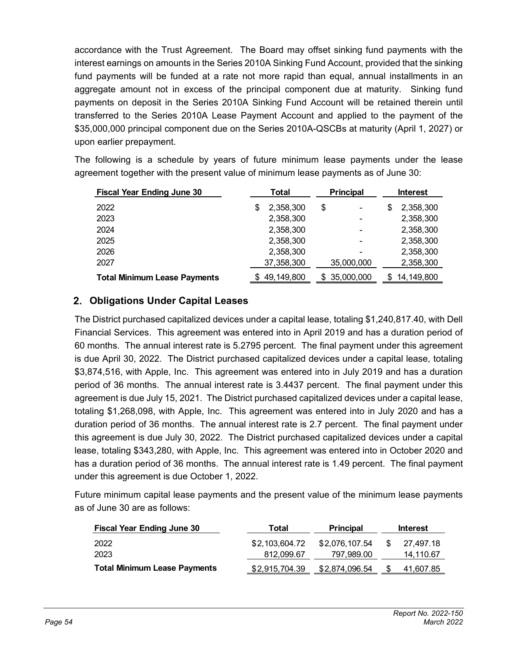accordance with the Trust Agreement. The Board may offset sinking fund payments with the interest earnings on amounts in the Series 2010A Sinking Fund Account, provided that the sinking fund payments will be funded at a rate not more rapid than equal, annual installments in an aggregate amount not in excess of the principal component due at maturity. Sinking fund payments on deposit in the Series 2010A Sinking Fund Account will be retained therein until transferred to the Series 2010A Lease Payment Account and applied to the payment of the \$35,000,000 principal component due on the Series 2010A-QSCBs at maturity (April 1, 2027) or upon earlier prepayment.

The following is a schedule by years of future minimum lease payments under the lease agreement together with the present value of minimum lease payments as of June 30:

| <b>Fiscal Year Ending June 30</b>   |   | Total      | <b>Principal</b> | <b>Interest</b> |              |  |
|-------------------------------------|---|------------|------------------|-----------------|--------------|--|
| 2022                                | S | 2,358,300  | \$               | \$              | 2,358,300    |  |
| 2023                                |   | 2,358,300  |                  |                 | 2,358,300    |  |
| 2024                                |   | 2,358,300  |                  |                 | 2,358,300    |  |
| 2025                                |   | 2,358,300  |                  |                 | 2,358,300    |  |
| 2026                                |   | 2,358,300  |                  |                 | 2,358,300    |  |
| 2027                                |   | 37,358,300 | 35,000,000       |                 | 2,358,300    |  |
| <b>Total Minimum Lease Payments</b> |   | 49,149,800 | \$<br>35,000,000 |                 | 14, 149, 800 |  |

## **Obligations Under Capital Leases**

The District purchased capitalized devices under a capital lease, totaling \$1,240,817.40, with Dell Financial Services. This agreement was entered into in April 2019 and has a duration period of 60 months. The annual interest rate is 5.2795 percent. The final payment under this agreement is due April 30, 2022. The District purchased capitalized devices under a capital lease, totaling \$3,874,516, with Apple, Inc. This agreement was entered into in July 2019 and has a duration period of 36 months. The annual interest rate is 3.4437 percent. The final payment under this agreement is due July 15, 2021. The District purchased capitalized devices under a capital lease, totaling \$1,268,098, with Apple, Inc. This agreement was entered into in July 2020 and has a duration period of 36 months. The annual interest rate is 2.7 percent. The final payment under this agreement is due July 30, 2022. The District purchased capitalized devices under a capital lease, totaling \$343,280, with Apple, Inc. This agreement was entered into in October 2020 and has a duration period of 36 months. The annual interest rate is 1.49 percent. The final payment under this agreement is due October 1, 2022.

Future minimum capital lease payments and the present value of the minimum lease payments as of June 30 are as follows:

| <b>Fiscal Year Ending June 30</b>   | Total          | <b>Principal</b> | <b>Interest</b> |           |  |  |  |
|-------------------------------------|----------------|------------------|-----------------|-----------|--|--|--|
| 2022                                | \$2,103,604.72 | \$2.076.107.54   |                 | 27.497.18 |  |  |  |
| 2023                                | 812.099.67     | 797.989.00       |                 | 14,110.67 |  |  |  |
| <b>Total Minimum Lease Payments</b> | \$2,915,704.39 | \$2,874,096.54   |                 | 41,607.85 |  |  |  |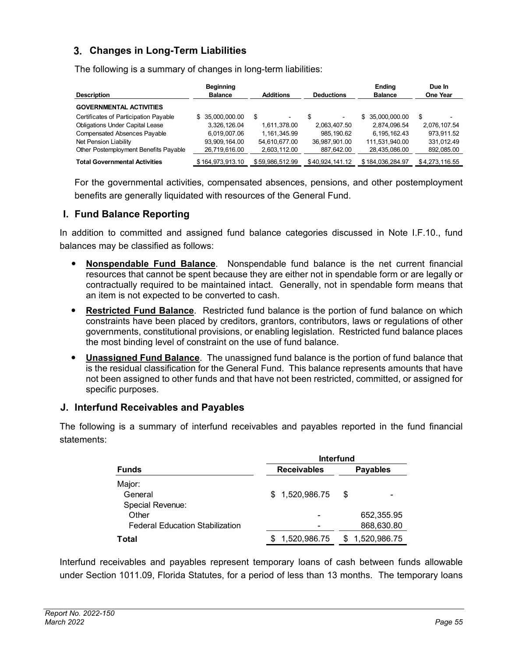## **Changes in Long-Term Liabilities**

| <b>Description</b>                     | <b>Beginning</b><br><b>Balance</b> | <b>Additions</b> | <b>Deductions</b> | <b>Ending</b><br><b>Balance</b> | Due In<br>One Year            |
|----------------------------------------|------------------------------------|------------------|-------------------|---------------------------------|-------------------------------|
| <b>GOVERNMENTAL ACTIVITIES</b>         |                                    |                  |                   |                                 |                               |
| Certificates of Participation Payable  | \$ 35,000,000.00                   | S                | -                 | \$ 35,000,000.00                | S<br>$\overline{\phantom{0}}$ |
| <b>Obligations Under Capital Lease</b> | 3.326.126.04                       | 1.611.378.00     | 2.063.407.50      | 2.874.096.54                    | 2,076,107.54                  |
| <b>Compensated Absences Payable</b>    | 6.019.007.06                       | 1.161.345.99     | 985.190.62        | 6.195.162.43                    | 973.911.52                    |
| Net Pension Liability                  | 93,909,164.00                      | 54.610.677.00    | 36.987.901.00     | 111.531.940.00                  | 331,012.49                    |
| Other Postemployment Benefits Payable  | 26,719,616.00                      | 2,603,112.00     | 887,642.00        | 28,435,086.00                   | 892,085.00                    |
| <b>Total Governmental Activities</b>   | \$164,973,913.10                   | \$59,986,512.99  | \$40,924,141.12   | \$184,036,284.97                | \$4,273,116.55                |

The following is a summary of changes in long-term liabilities:

For the governmental activities, compensated absences, pensions, and other postemployment benefits are generally liquidated with resources of the General Fund.

#### **I. Fund Balance Reporting**

In addition to committed and assigned fund balance categories discussed in Note I.F.10., fund balances may be classified as follows:

- **Nonspendable Fund Balance**. Nonspendable fund balance is the net current financial resources that cannot be spent because they are either not in spendable form or are legally or contractually required to be maintained intact. Generally, not in spendable form means that an item is not expected to be converted to cash.
- **Restricted Fund Balance**. Restricted fund balance is the portion of fund balance on which constraints have been placed by creditors, grantors, contributors, laws or regulations of other governments, constitutional provisions, or enabling legislation. Restricted fund balance places the most binding level of constraint on the use of fund balance.
- **Unassigned Fund Balance**. The unassigned fund balance is the portion of fund balance that is the residual classification for the General Fund. This balance represents amounts that have not been assigned to other funds and that have not been restricted, committed, or assigned for specific purposes.

#### **J. Interfund Receivables and Payables**

The following is a summary of interfund receivables and payables reported in the fund financial statements:

|                                        | <b>Interfund</b>   |                 |  |  |  |  |  |  |  |  |
|----------------------------------------|--------------------|-----------------|--|--|--|--|--|--|--|--|
| <b>Funds</b>                           | <b>Receivables</b> | <b>Payables</b> |  |  |  |  |  |  |  |  |
| Major:                                 |                    |                 |  |  |  |  |  |  |  |  |
| General                                | \$1,520,986.75     | S               |  |  |  |  |  |  |  |  |
| Special Revenue:                       |                    |                 |  |  |  |  |  |  |  |  |
| Other                                  |                    | 652,355.95      |  |  |  |  |  |  |  |  |
| <b>Federal Education Stabilization</b> |                    | 868,630.80      |  |  |  |  |  |  |  |  |
| Total                                  | 1,520,986.75       | 1,520,986.75    |  |  |  |  |  |  |  |  |

Interfund receivables and payables represent temporary loans of cash between funds allowable under Section 1011.09, Florida Statutes, for a period of less than 13 months. The temporary loans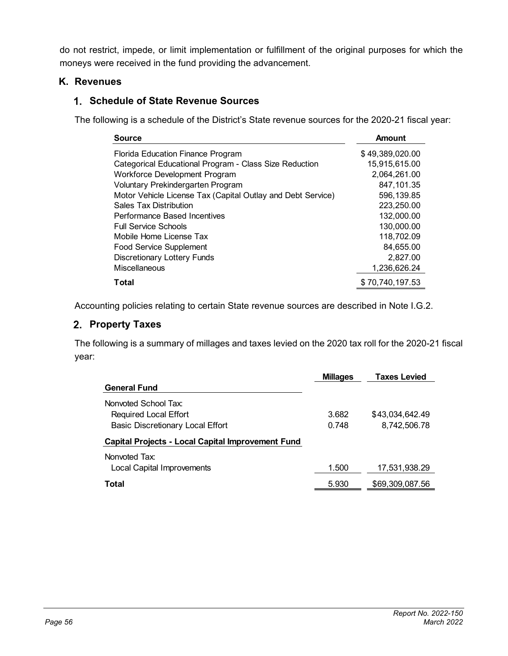do not restrict, impede, or limit implementation or fulfillment of the original purposes for which the moneys were received in the fund providing the advancement.

## **K. Revenues**

## **Schedule of State Revenue Sources**

The following is a schedule of the District's State revenue sources for the 2020-21 fiscal year:

| <b>Source</b>                                               | Amount          |
|-------------------------------------------------------------|-----------------|
| Florida Education Finance Program                           | \$49,389,020.00 |
| Categorical Educational Program - Class Size Reduction      | 15,915,615.00   |
| Workforce Development Program                               | 2,064,261.00    |
| <b>Voluntary Prekindergarten Program</b>                    | 847,101.35      |
| Motor Vehicle License Tax (Capital Outlay and Debt Service) | 596,139.85      |
| <b>Sales Tax Distribution</b>                               | 223,250.00      |
| Performance Based Incentives                                | 132,000.00      |
| <b>Full Service Schools</b>                                 | 130,000.00      |
| Mobile Home License Tax                                     | 118,702.09      |
| Food Service Supplement                                     | 84,655.00       |
| <b>Discretionary Lottery Funds</b>                          | 2,827.00        |
| Miscellaneous                                               | 1,236,626.24    |
| Total                                                       | \$70,740,197.53 |

Accounting policies relating to certain State revenue sources are described in Note I.G.2.

## **Property Taxes**

The following is a summary of millages and taxes levied on the 2020 tax roll for the 2020-21 fiscal year:

|                                                          | <b>Millages</b> | <b>Taxes Levied</b> |
|----------------------------------------------------------|-----------------|---------------------|
| <b>General Fund</b>                                      |                 |                     |
| Nonvoted School Tax:                                     |                 |                     |
| Required Local Effort                                    | 3.682           | \$43,034,642.49     |
| <b>Basic Discretionary Local Effort</b>                  | 0.748           | 8,742,506.78        |
| <b>Capital Projects - Local Capital Improvement Fund</b> |                 |                     |
| Nonvoted Tax:                                            |                 |                     |
| Local Capital Improvements                               | 1.500           | 17,531,938.29       |
| <b>Total</b>                                             | 5.930           | \$69,309,087.56     |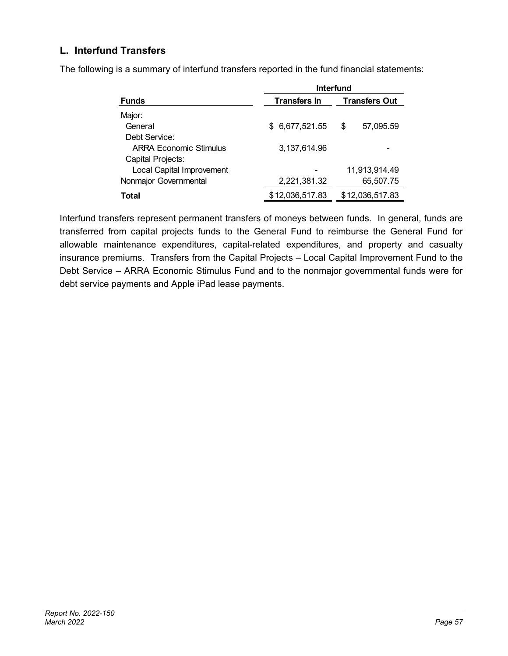## **L. Interfund Transfers**

|                                  | <b>Interfund</b>    |                      |  |  |  |  |  |  |  |
|----------------------------------|---------------------|----------------------|--|--|--|--|--|--|--|
| <b>Funds</b>                     | <b>Transfers In</b> | <b>Transfers Out</b> |  |  |  |  |  |  |  |
| Major:                           |                     |                      |  |  |  |  |  |  |  |
| General                          | \$6,677,521.55      | \$<br>57,095.59      |  |  |  |  |  |  |  |
| Debt Service:                    |                     |                      |  |  |  |  |  |  |  |
| <b>ARRA Fconomic Stimulus</b>    | 3,137,614.96        |                      |  |  |  |  |  |  |  |
| Capital Projects:                |                     |                      |  |  |  |  |  |  |  |
| <b>Local Capital Improvement</b> |                     | 11,913,914.49        |  |  |  |  |  |  |  |
| Nonmajor Governmental            | 2,221,381.32        | 65,507.75            |  |  |  |  |  |  |  |
| Total                            | \$12,036,517.83     | \$12,036,517.83      |  |  |  |  |  |  |  |

The following is a summary of interfund transfers reported in the fund financial statements:

Interfund transfers represent permanent transfers of moneys between funds. In general, funds are transferred from capital projects funds to the General Fund to reimburse the General Fund for allowable maintenance expenditures, capital-related expenditures, and property and casualty insurance premiums. Transfers from the Capital Projects – Local Capital Improvement Fund to the Debt Service – ARRA Economic Stimulus Fund and to the nonmajor governmental funds were for debt service payments and Apple iPad lease payments.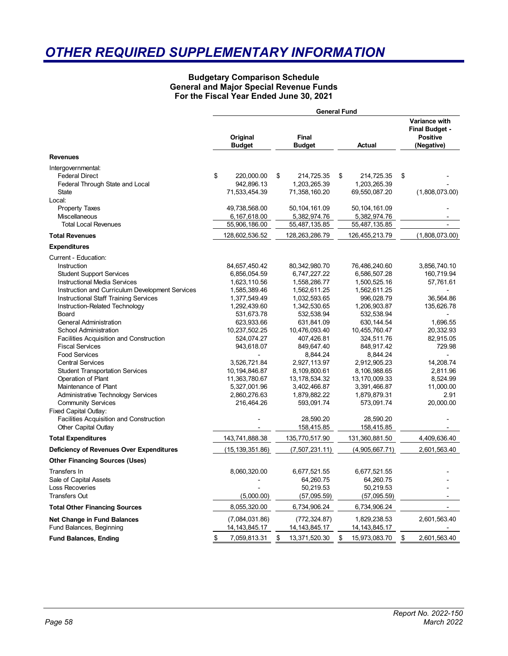## *OTHER REQUIRED SUPPLEMENTARY INFORMATION*

#### **Budgetary Comparison Schedule General and Major Special Revenue Funds For the Fiscal Year Ended June 30, 2021**

|                                                                  |                            | <b>General Fund</b>           |                            |                                                                  |
|------------------------------------------------------------------|----------------------------|-------------------------------|----------------------------|------------------------------------------------------------------|
|                                                                  | Original<br><b>Budget</b>  | <b>Final</b><br><b>Budget</b> | Actual                     | Variance with<br>Final Budget -<br><b>Positive</b><br>(Negative) |
| <b>Revenues</b>                                                  |                            |                               |                            |                                                                  |
| Intergovernmental:                                               |                            |                               |                            |                                                                  |
| <b>Federal Direct</b>                                            | \$<br>220,000.00           | \$<br>214,725.35              | \$<br>214,725.35           | \$                                                               |
| Federal Through State and Local                                  | 942,896.13                 | 1,203,265.39                  | 1,203,265.39               |                                                                  |
| State                                                            | 71,533,454.39              | 71,358,160.20                 | 69,550,087.20              | (1,808,073.00)                                                   |
| Local:                                                           |                            |                               |                            |                                                                  |
| <b>Property Taxes</b>                                            | 49,738,568.00              | 50, 104, 161.09               | 50, 104, 161.09            |                                                                  |
| Miscellaneous<br><b>Total Local Revenues</b>                     | 6,167,618.00               | 5,382,974.76                  | 5,382,974.76               |                                                                  |
|                                                                  | 55,906,186.00              | 55,487,135.85                 | 55,487,135.85              |                                                                  |
| <b>Total Revenues</b>                                            | 128,602,536.52             | 128,263,286.79                | 126,455,213.79             | (1,808,073.00)                                                   |
| <b>Expenditures</b>                                              |                            |                               |                            |                                                                  |
| Current - Education:                                             |                            |                               |                            |                                                                  |
| Instruction                                                      | 84,657,450.42              | 80,342,980.70                 | 76,486,240.60              | 3,856,740.10                                                     |
| <b>Student Support Services</b>                                  | 6,856,054.59               | 6,747,227.22                  | 6,586,507.28               | 160,719.94                                                       |
| <b>Instructional Media Services</b>                              | 1,623,110.56               | 1,558,286.77                  | 1,500,525.16               | 57,761.61                                                        |
| Instruction and Curriculum Development Services                  | 1,585,389.46               | 1,562,611.25                  | 1,562,611.25               |                                                                  |
| Instructional Staff Training Services                            | 1,377,549.49               | 1,032,593.65                  | 996,028.79                 | 36,564.86                                                        |
| Instruction-Related Technology<br>Board                          | 1,292,439.60<br>531,673.78 | 1,342,530.65<br>532,538.94    | 1,206,903.87<br>532,538.94 | 135,626.78                                                       |
| <b>General Administration</b>                                    | 623,933.66                 | 631,841.09                    | 630, 144.54                | 1,696.55                                                         |
| School Administration                                            | 10,237,502.25              | 10,476,093.40                 | 10,455,760.47              | 20,332.93                                                        |
| <b>Facilities Acquisition and Construction</b>                   | 524,074.27                 | 407,426.81                    | 324,511.76                 | 82,915.05                                                        |
| <b>Fiscal Services</b>                                           | 943,618.07                 | 849,647.40                    | 848,917.42                 | 729.98                                                           |
| <b>Food Services</b>                                             |                            | 8,844.24                      | 8,844.24                   |                                                                  |
| <b>Central Services</b>                                          | 3,526,721.84               | 2,927,113.97                  | 2,912,905.23               | 14,208.74                                                        |
| <b>Student Transportation Services</b>                           | 10, 194, 846.87            | 8,109,800.61                  | 8,106,988.65               | 2,811.96                                                         |
| Operation of Plant                                               | 11,363,780.67              | 13, 178, 534. 32              | 13, 170, 009. 33           | 8,524.99                                                         |
| Maintenance of Plant                                             | 5,327,001.96               | 3,402,466.87                  | 3,391,466.87               | 11,000.00                                                        |
| Administrative Technology Services                               | 2,860,276.63               | 1,879,882.22                  | 1,879,879.31               | 2.91                                                             |
| <b>Community Services</b>                                        | 216,464.26                 | 593,091.74                    | 573,091.74                 | 20,000.00                                                        |
| Fixed Capital Outlay:<br>Facilities Acquisition and Construction |                            | 28,590.20                     | 28,590.20                  |                                                                  |
| Other Capital Outlay                                             |                            | 158,415.85                    | 158,415.85                 |                                                                  |
| <b>Total Expenditures</b>                                        | 143,741,888.38             | 135,770,517.90                | 131,360,881.50             | 4,409,636.40                                                     |
| Deficiency of Revenues Over Expenditures                         | (15, 139, 351.86)          | (7,507,231.11)                | (4,905,667.71)             | 2,601,563.40                                                     |
| <b>Other Financing Sources (Uses)</b>                            |                            |                               |                            |                                                                  |
| Transfers In                                                     |                            |                               |                            |                                                                  |
|                                                                  | 8,060,320.00               | 6,677,521.55<br>64,260.75     | 6,677,521.55<br>64,260.75  |                                                                  |
| Sale of Capital Assets<br>Loss Recoveries                        |                            | 50,219.53                     | 50,219.53                  |                                                                  |
| <b>Transfers Out</b>                                             | (5,000.00)                 | (57,095.59)                   | (57,095.59)                |                                                                  |
| <b>Total Other Financing Sources</b>                             | 8,055,320.00               | 6,734,906.24                  | 6,734,906.24               |                                                                  |
| Net Change in Fund Balances                                      | (7,084,031.86)             | (772, 324.87)                 | 1,829,238.53               | 2,601,563.40                                                     |
| Fund Balances, Beginning                                         | 14, 143, 845. 17           | 14, 143, 845. 17              | 14, 143, 845. 17           |                                                                  |
| <b>Fund Balances, Ending</b>                                     | \$<br>7,059,813.31         | \$<br>13,371,520.30           | \$<br>15,973,083.70        | \$<br>2,601,563.40                                               |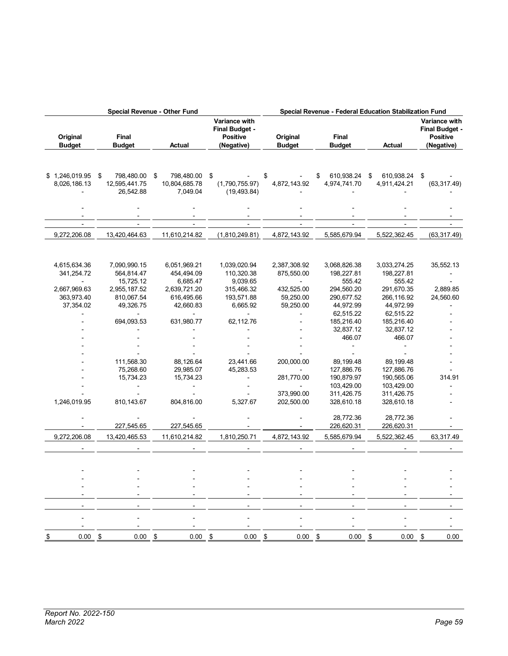|                           | Special Revenue - Other Fund |                     |                                                                  | Special Revenue - Federal Education Stabilization Fund |                           |    |                        |     |                         |    |                                                                         |
|---------------------------|------------------------------|---------------------|------------------------------------------------------------------|--------------------------------------------------------|---------------------------|----|------------------------|-----|-------------------------|----|-------------------------------------------------------------------------|
| Original<br><b>Budget</b> | Final<br><b>Budget</b>       | Actual              | Variance with<br>Final Budget -<br><b>Positive</b><br>(Negative) |                                                        | Original<br><b>Budget</b> |    | Final<br><b>Budget</b> |     | <b>Actual</b>           |    | <b>Variance with</b><br>Final Budget -<br><b>Positive</b><br>(Negative) |
|                           |                              |                     |                                                                  |                                                        |                           |    |                        |     |                         |    |                                                                         |
|                           |                              |                     |                                                                  |                                                        |                           |    |                        |     |                         |    |                                                                         |
| $$1,246,019.95$ \$        | 798,480.00                   | \$<br>798,480.00 \$ |                                                                  | \$                                                     |                           | \$ | 610,938.24             | -\$ | 610,938.24              | \$ |                                                                         |
| 8,026,186.13              | 12,595,441.75                | 10,804,685.78       | (1,790,755.97)                                                   |                                                        | 4,872,143.92              |    | 4,974,741.70           |     | 4,911,424.21            |    | (63, 317.49)                                                            |
|                           | 26,542.88                    | 7,049.04            | (19, 493.84)                                                     |                                                        |                           |    |                        |     |                         |    |                                                                         |
|                           |                              |                     |                                                                  |                                                        |                           |    |                        |     |                         |    |                                                                         |
|                           |                              |                     |                                                                  |                                                        |                           |    |                        |     |                         |    |                                                                         |
| $\overline{a}$            |                              | $\mathbf{r}$        |                                                                  |                                                        |                           |    |                        |     |                         |    |                                                                         |
|                           |                              |                     |                                                                  |                                                        |                           |    |                        |     |                         |    |                                                                         |
| 9,272,206.08              | 13,420,464.63                | 11,610,214.82       | (1,810,249.81)                                                   |                                                        | 4,872,143.92              |    | 5,585,679.94           |     | 5,522,362.45            |    | (63, 317.49)                                                            |
|                           |                              |                     |                                                                  |                                                        |                           |    |                        |     |                         |    |                                                                         |
|                           |                              |                     |                                                                  |                                                        |                           |    |                        |     |                         |    |                                                                         |
| 4,615,634.36              | 7,090,990.15                 | 6,051,969.21        | 1,039,020.94                                                     |                                                        | 2,387,308.92              |    | 3,068,826.38           |     | 3,033,274.25            |    | 35,552.13                                                               |
| 341,254.72                | 564,814.47                   | 454,494.09          | 110,320.38                                                       |                                                        | 875,550.00                |    | 198,227.81             |     | 198,227.81              |    |                                                                         |
|                           | 15,725.12                    | 6,685.47            | 9,039.65                                                         |                                                        |                           |    | 555.42                 |     | 555.42                  |    |                                                                         |
| 2,667,969.63              | 2,955,187.52                 | 2,639,721.20        | 315,466.32                                                       |                                                        | 432,525.00                |    | 294,560.20             |     | 291,670.35              |    | 2,889.85                                                                |
| 363,973.40                | 810,067.54                   | 616,495.66          | 193,571.88                                                       |                                                        | 59,250.00                 |    | 290,677.52             |     | 266,116.92              |    | 24,560.60                                                               |
| 37,354.02                 | 49,326.75                    | 42,660.83           | 6,665.92                                                         |                                                        | 59,250.00                 |    | 44,972.99              |     | 44,972.99               |    |                                                                         |
|                           |                              |                     |                                                                  |                                                        |                           |    | 62,515.22              |     | 62,515.22               |    |                                                                         |
|                           | 694,093.53                   | 631,980.77          | 62,112.76                                                        |                                                        |                           |    | 185,216.40             |     | 185,216.40              |    |                                                                         |
|                           |                              |                     |                                                                  |                                                        |                           |    | 32,837.12              |     | 32,837.12               |    |                                                                         |
|                           |                              |                     |                                                                  |                                                        |                           |    | 466.07                 |     | 466.07                  |    |                                                                         |
|                           |                              |                     |                                                                  |                                                        |                           |    |                        |     |                         |    |                                                                         |
|                           |                              |                     |                                                                  |                                                        |                           |    |                        |     |                         |    |                                                                         |
|                           | 111,568.30                   | 88,126.64           | 23,441.66                                                        |                                                        | 200,000.00                |    | 89,199.48              |     | 89,199.48               |    |                                                                         |
|                           |                              |                     |                                                                  |                                                        |                           |    |                        |     |                         |    |                                                                         |
|                           | 75,268.60                    | 29,985.07           | 45,283.53                                                        |                                                        |                           |    | 127,886.76             |     | 127,886.76              |    |                                                                         |
|                           | 15,734.23                    | 15,734.23           |                                                                  |                                                        | 281,770.00                |    | 190,879.97             |     | 190,565.06              |    | 314.91                                                                  |
|                           |                              |                     |                                                                  |                                                        |                           |    | 103,429.00             |     | 103,429.00              |    |                                                                         |
|                           |                              |                     |                                                                  |                                                        | 373,990.00                |    | 311,426.75             |     | 311,426.75              |    |                                                                         |
| 1,246,019.95              | 810, 143.67                  | 804,816.00          | 5,327.67                                                         |                                                        | 202,500.00                |    | 328,610.18             |     | 328,610.18              |    |                                                                         |
|                           |                              |                     |                                                                  |                                                        |                           |    | 28,772.36              |     |                         |    |                                                                         |
|                           | 227,545.65                   | 227,545.65          |                                                                  |                                                        |                           |    | 226,620.31             |     | 28,772.36<br>226,620.31 |    |                                                                         |
| 9,272,206.08              | 13,420,465.53                | 11,610,214.82       | 1,810,250.71                                                     |                                                        | 4,872,143.92              |    | 5,585,679.94           |     | 5,522,362.45            |    | 63,317.49                                                               |
|                           |                              |                     |                                                                  |                                                        |                           |    |                        |     |                         |    |                                                                         |
|                           |                              |                     |                                                                  |                                                        |                           |    |                        |     |                         |    |                                                                         |
|                           |                              |                     |                                                                  |                                                        |                           |    |                        |     |                         |    |                                                                         |
|                           |                              |                     |                                                                  |                                                        |                           |    |                        |     |                         |    |                                                                         |
|                           |                              |                     |                                                                  |                                                        |                           |    |                        |     |                         |    |                                                                         |
|                           |                              |                     |                                                                  |                                                        |                           |    |                        |     |                         |    |                                                                         |
|                           |                              |                     |                                                                  |                                                        |                           |    |                        |     |                         |    |                                                                         |
|                           |                              |                     |                                                                  |                                                        |                           |    |                        |     |                         |    |                                                                         |
|                           |                              |                     |                                                                  |                                                        |                           |    |                        |     |                         |    |                                                                         |
|                           |                              |                     |                                                                  |                                                        |                           |    |                        |     |                         |    |                                                                         |
| $0.00$ \$                 | $0.00$ \$                    | $0.00$ \$           | $0.00\,$ \$                                                      |                                                        | $0.00$ \$                 |    | $0.00\,$ \$            |     | $0.00\,$ \$             |    | 0.00                                                                    |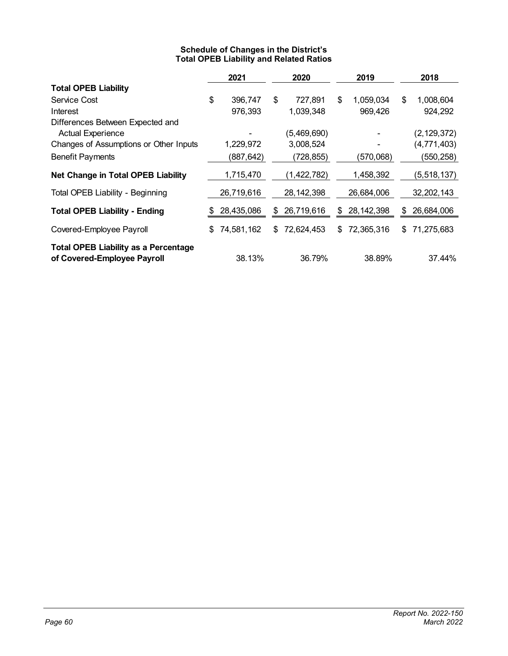#### **Schedule of Changes in the District's Total OPEB Liability and Related Ratios**

|                                                                            |    | 2021       | 2020             |    | 2019         | 2018             |
|----------------------------------------------------------------------------|----|------------|------------------|----|--------------|------------------|
| <b>Total OPEB Liability</b>                                                |    |            |                  |    |              |                  |
| Service Cost                                                               | \$ | 396,747    | \$<br>727,891    | \$ | 1,059,034    | \$<br>1,008,604  |
| Interest                                                                   |    | 976,393    | 1,039,348        |    | 969,426      | 924,292          |
| Differences Between Expected and                                           |    |            |                  |    |              |                  |
| <b>Actual Experience</b>                                                   |    |            | (5,469,690)      |    |              | (2, 129, 372)    |
| Changes of Assumptions or Other Inputs                                     |    | 1,229,972  | 3,008,524        |    |              | (4,771,403)      |
| <b>Benefit Payments</b>                                                    |    | (887,642)  | (728, 855)       |    | (570,068)    | (550, 258)       |
| <b>Net Change in Total OPEB Liability</b>                                  |    | 1,715,470  | (1, 422, 782)    |    | 1,458,392    | (5, 518, 137)    |
| Total OPEB Liability - Beginning                                           |    | 26,719,616 | 28, 142, 398     |    | 26,684,006   | 32, 202, 143     |
| <b>Total OPEB Liability - Ending</b>                                       | æ. | 28,435,086 | \$<br>26,719,616 | \$ | 28, 142, 398 | \$<br>26,684,006 |
| Covered-Employee Payroll                                                   | \$ | 74,581,162 | \$<br>72,624,453 | S. | 72,365,316   | \$<br>71,275,683 |
| <b>Total OPEB Liability as a Percentage</b><br>of Covered-Employee Payroll |    | 38.13%     | 36.79%           |    | 38.89%       | 37.44%           |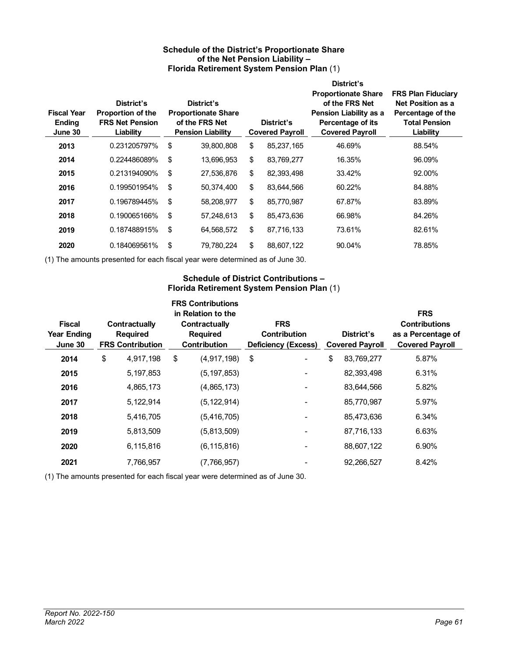#### **Schedule of the District's Proportionate Share of the Net Pension Liability – Florida Retirement System Pension Plan** (1)

| <b>Fiscal Year</b>       | District's<br><b>Proportion of the</b> | District's<br><b>Proportionate Share</b>   |                                      | District's<br><b>Proportionate Share</b><br>of the FRS Net<br>Pension Liability as a | <b>FRS Plan Fiduciary</b><br>Net Position as a<br>Percentage of the |
|--------------------------|----------------------------------------|--------------------------------------------|--------------------------------------|--------------------------------------------------------------------------------------|---------------------------------------------------------------------|
| <b>Ending</b><br>June 30 | <b>FRS Net Pension</b><br>Liability    | of the FRS Net<br><b>Pension Liability</b> | District's<br><b>Covered Payroll</b> | Percentage of its<br><b>Covered Payroll</b>                                          | <b>Total Pension</b><br>Liability                                   |
| 2013                     | 0.231205797%                           | \$<br>39,800,808                           | \$<br>85,237,165                     | 46.69%                                                                               | 88.54%                                                              |
| 2014                     | 0.224486089%                           | \$<br>13,696,953                           | \$<br>83,769,277                     | 16.35%                                                                               | 96.09%                                                              |
| 2015                     | 0.213194090%                           | \$<br>27,536,876                           | \$<br>82,393,498                     | 33.42%                                                                               | 92.00%                                                              |
| 2016                     | 0.199501954%                           | \$<br>50,374,400                           | \$<br>83,644,566                     | 60.22%                                                                               | 84.88%                                                              |
| 2017                     | 0.196789445%                           | \$<br>58,208,977                           | \$<br>85,770,987                     | 67.87%                                                                               | 83.89%                                                              |
| 2018                     | 0.190065166%                           | \$<br>57,248,613                           | \$<br>85,473,636                     | 66.98%                                                                               | 84.26%                                                              |
| 2019                     | 0.187488915%                           | \$<br>64,568,572                           | \$<br>87,716,133                     | 73.61%                                                                               | 82.61%                                                              |
| 2020                     | 0.184069561%                           | \$<br>79,780,224                           | \$<br>88,607,122                     | 90.04%                                                                               | 78.85%                                                              |

(1) The amounts presented for each fiscal year were determined as of June 30.

#### **Schedule of District Contributions – Florida Retirement System Pension Plan** (1)

| <b>Fiscal</b><br><b>Year Ending</b><br>June 30 | Contractually<br><b>Required</b><br><b>FRS Contribution</b> | <b>FRS Contributions</b><br>in Relation to the<br>Contractually<br><b>Required</b><br><b>Contribution</b> | <b>FRS</b><br><b>Contribution</b><br>Deficiency (Excess) | District's<br><b>Covered Payroll</b> | <b>FRS</b><br><b>Contributions</b><br>as a Percentage of<br><b>Covered Payroll</b> |
|------------------------------------------------|-------------------------------------------------------------|-----------------------------------------------------------------------------------------------------------|----------------------------------------------------------|--------------------------------------|------------------------------------------------------------------------------------|
| 2014                                           | \$<br>4,917,198                                             | \$<br>(4,917,198)                                                                                         | \$<br>-                                                  | \$<br>83,769,277                     | 5.87%                                                                              |
| 2015                                           | 5,197,853                                                   | (5, 197, 853)                                                                                             |                                                          | 82,393,498                           | 6.31%                                                                              |
| 2016                                           | 4,865,173                                                   | (4,865,173)                                                                                               |                                                          | 83,644,566                           | 5.82%                                                                              |
| 2017                                           | 5,122,914                                                   | (5, 122, 914)                                                                                             | -                                                        | 85,770,987                           | 5.97%                                                                              |
| 2018                                           | 5,416,705                                                   | (5,416,705)                                                                                               | -                                                        | 85,473,636                           | 6.34%                                                                              |
| 2019                                           | 5,813,509                                                   | (5,813,509)                                                                                               | -                                                        | 87,716,133                           | 6.63%                                                                              |
| 2020                                           | 6,115,816                                                   | (6, 115, 816)                                                                                             |                                                          | 88,607,122                           | 6.90%                                                                              |
| 2021                                           | 7,766,957                                                   | (7,766,957)                                                                                               |                                                          | 92,266,527                           | 8.42%                                                                              |
|                                                |                                                             |                                                                                                           |                                                          |                                      |                                                                                    |

(1) The amounts presented for each fiscal year were determined as of June 30.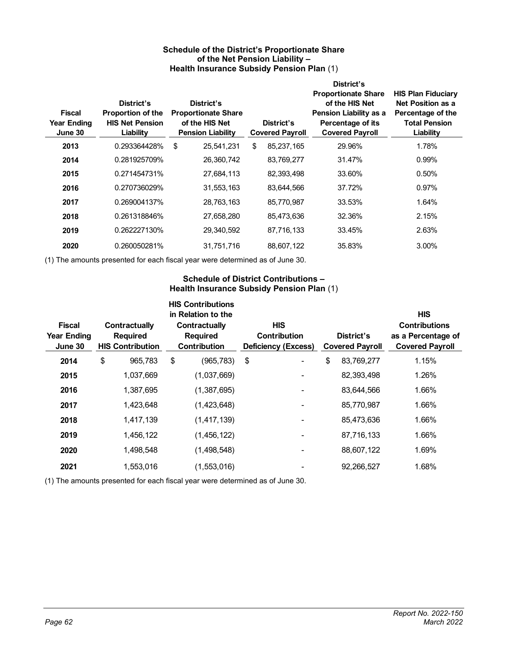#### **Schedule of the District's Proportionate Share of the Net Pension Liability – Health Insurance Subsidy Pension Plan** (1)

| <b>Fiscal</b><br><b>Year Ending</b><br>June 30 | District's<br><b>Proportion of the</b><br><b>HIS Net Pension</b><br>Liability | District's<br><b>Proportionate Share</b><br>of the HIS Net<br><b>Pension Liability</b> | District's<br><b>Covered Payroll</b> | District's<br><b>Proportionate Share</b><br>of the HIS Net<br>Pension Liability as a<br>Percentage of its<br><b>Covered Payroll</b> | <b>HIS Plan Fiduciary</b><br>Net Position as a<br>Percentage of the<br><b>Total Pension</b><br>Liability |
|------------------------------------------------|-------------------------------------------------------------------------------|----------------------------------------------------------------------------------------|--------------------------------------|-------------------------------------------------------------------------------------------------------------------------------------|----------------------------------------------------------------------------------------------------------|
| 2013                                           | 0.293364428%                                                                  | \$<br>25,541,231                                                                       | \$<br>85,237,165                     | 29.96%                                                                                                                              | 1.78%                                                                                                    |
| 2014                                           | 0.281925709%                                                                  | 26,360,742                                                                             | 83,769,277                           | 31.47%                                                                                                                              | $0.99\%$                                                                                                 |
| 2015                                           | 0.271454731%                                                                  | 27,684,113                                                                             | 82,393,498                           | 33.60%                                                                                                                              | 0.50%                                                                                                    |
| 2016                                           | 0.270736029%                                                                  | 31,553,163                                                                             | 83,644,566                           | 37.72%                                                                                                                              | 0.97%                                                                                                    |
| 2017                                           | 0.269004137%                                                                  | 28,763,163                                                                             | 85,770,987                           | 33.53%                                                                                                                              | 1.64%                                                                                                    |
| 2018                                           | 0.261318846%                                                                  | 27,658,280                                                                             | 85,473,636                           | 32.36%                                                                                                                              | 2.15%                                                                                                    |
| 2019                                           | 0.262227130%                                                                  | 29,340,592                                                                             | 87,716,133                           | 33.45%                                                                                                                              | 2.63%                                                                                                    |
| 2020                                           | 0.260050281%                                                                  | 31,751,716                                                                             | 88,607,122                           | 35.83%                                                                                                                              | 3.00%                                                                                                    |

(1) The amounts presented for each fiscal year were determined as of June 30.

#### **Schedule of District Contributions – Health Insurance Subsidy Pension Plan** (1)

| <b>Fiscal</b><br><b>Year Ending</b><br>June 30 | <b>Contractually</b><br><b>Required</b><br><b>HIS Contribution</b> | <b>HIS Contributions</b><br>in Relation to the<br>Contractually<br><b>Required</b><br>Contribution |               | <b>HIS</b><br><b>Contribution</b><br><b>Deficiency (Excess)</b> |  | District's<br><b>Covered Payroll</b> |            | <b>HIS</b><br><b>Contributions</b><br>as a Percentage of<br><b>Covered Payroll</b> |
|------------------------------------------------|--------------------------------------------------------------------|----------------------------------------------------------------------------------------------------|---------------|-----------------------------------------------------------------|--|--------------------------------------|------------|------------------------------------------------------------------------------------|
| 2014                                           | \$<br>965,783                                                      | \$                                                                                                 | (965, 783)    | \$                                                              |  | \$                                   | 83,769,277 | 1.15%                                                                              |
| 2015                                           | 1,037,669                                                          |                                                                                                    | (1,037,669)   |                                                                 |  |                                      | 82,393,498 | 1.26%                                                                              |
| 2016                                           | 1,387,695                                                          |                                                                                                    | (1,387,695)   |                                                                 |  |                                      | 83,644,566 | 1.66%                                                                              |
| 2017                                           | 1,423,648                                                          |                                                                                                    | (1,423,648)   |                                                                 |  |                                      | 85,770,987 | 1.66%                                                                              |
| 2018                                           | 1,417,139                                                          |                                                                                                    | (1, 417, 139) |                                                                 |  |                                      | 85,473,636 | 1.66%                                                                              |
| 2019                                           | 1,456,122                                                          |                                                                                                    | (1,456,122)   |                                                                 |  |                                      | 87,716,133 | 1.66%                                                                              |
| 2020                                           | 1,498,548                                                          |                                                                                                    | (1,498,548)   |                                                                 |  |                                      | 88,607,122 | 1.69%                                                                              |
| 2021                                           | 1,553,016                                                          |                                                                                                    | (1,553,016)   |                                                                 |  |                                      | 92,266,527 | 1.68%                                                                              |

(1) The amounts presented for each fiscal year were determined as of June 30.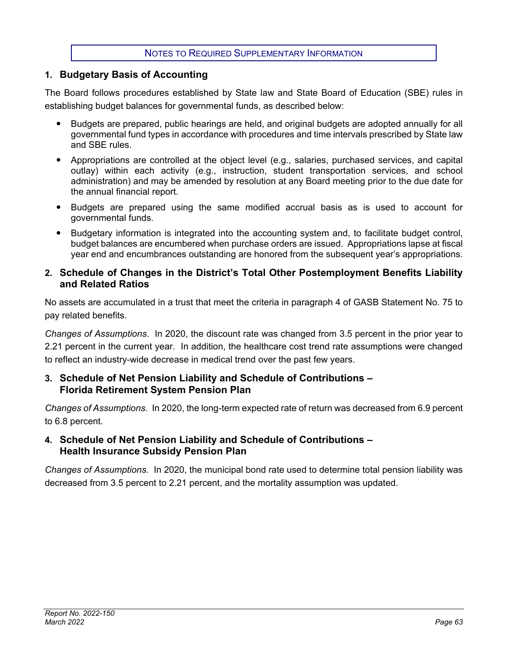#### NOTES TO REQUIRED SUPPLEMENTARY INFORMATION

### **1. Budgetary Basis of Accounting**

The Board follows procedures established by State law and State Board of Education (SBE) rules in establishing budget balances for governmental funds, as described below:

- Budgets are prepared, public hearings are held, and original budgets are adopted annually for all governmental fund types in accordance with procedures and time intervals prescribed by State law and SBE rules.
- Appropriations are controlled at the object level (e.g., salaries, purchased services, and capital outlay) within each activity (e.g., instruction, student transportation services, and school administration) and may be amended by resolution at any Board meeting prior to the due date for the annual financial report.
- Budgets are prepared using the same modified accrual basis as is used to account for governmental funds.
- Budgetary information is integrated into the accounting system and, to facilitate budget control, budget balances are encumbered when purchase orders are issued. Appropriations lapse at fiscal year end and encumbrances outstanding are honored from the subsequent year's appropriations.

#### **2. Schedule of Changes in the District's Total Other Postemployment Benefits Liability and Related Ratios**

No assets are accumulated in a trust that meet the criteria in paragraph 4 of GASB Statement No. 75 to pay related benefits.

*Changes of Assumptions*. In 2020, the discount rate was changed from 3.5 percent in the prior year to 2.21 percent in the current year. In addition, the healthcare cost trend rate assumptions were changed to reflect an industry-wide decrease in medical trend over the past few years.

#### **3. Schedule of Net Pension Liability and Schedule of Contributions – Florida Retirement System Pension Plan**

*Changes of Assumptions.* In 2020, the long-term expected rate of return was decreased from 6.9 percent to 6.8 percent.

#### **4. Schedule of Net Pension Liability and Schedule of Contributions – Health Insurance Subsidy Pension Plan**

*Changes of Assumptions.* In 2020, the municipal bond rate used to determine total pension liability was decreased from 3.5 percent to 2.21 percent, and the mortality assumption was updated.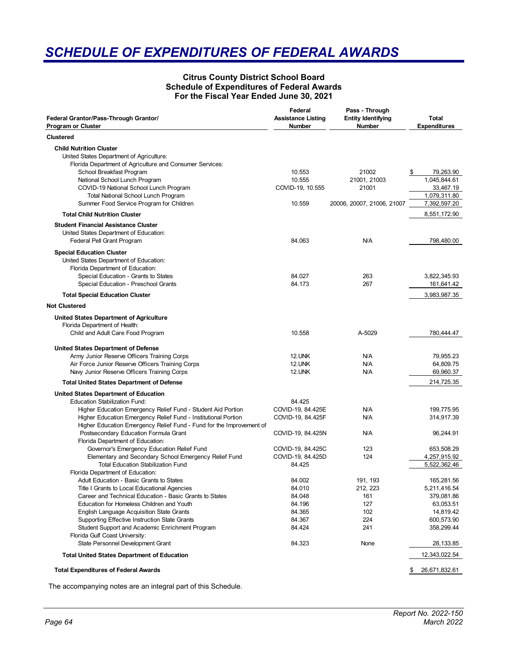## *SCHEDULE OF EXPENDITURES OF FEDERAL AWARDS*

#### **Citrus County District School Board Schedule of Expenditures of Federal Awards For the Fiscal Year Ended June 30, 2021**

| Federal Grantor/Pass-Through Grantor/<br><b>Program or Cluster</b>            | Federal<br><b>Assistance Listing</b><br>Number | Pass - Through<br><b>Entity Identifying</b><br><b>Number</b> | <b>Total</b><br><b>Expenditures</b> |
|-------------------------------------------------------------------------------|------------------------------------------------|--------------------------------------------------------------|-------------------------------------|
| <b>Clustered</b>                                                              |                                                |                                                              |                                     |
| <b>Child Nutrition Cluster</b>                                                |                                                |                                                              |                                     |
| United States Department of Agriculture:                                      |                                                |                                                              |                                     |
| Florida Department of Agriculture and Consumer Services:                      |                                                |                                                              |                                     |
| School Breakfast Program                                                      | 10.553                                         | 21002                                                        | 79,263.90<br>\$                     |
| National School Lunch Program                                                 | 10.555                                         | 21001, 21003                                                 | 1,045,844.61                        |
| COVID-19 National School Lunch Program                                        | COVID-19, 10.555                               | 21001                                                        | 33,467.19                           |
| Total National School Lunch Program                                           |                                                |                                                              | 1,079,311.80                        |
| Summer Food Service Program for Children                                      | 10.559                                         | 20006, 20007, 21006, 21007                                   | 7,392,597.20                        |
| <b>Total Child Nutrition Cluster</b>                                          |                                                |                                                              | 8,551,172.90                        |
| <b>Student Financial Assistance Cluster</b>                                   |                                                |                                                              |                                     |
| United States Department of Education:                                        |                                                |                                                              |                                     |
| Federal Pell Grant Program                                                    | 84.063                                         | <b>N/A</b>                                                   | 798,480.00                          |
| <b>Special Education Cluster</b>                                              |                                                |                                                              |                                     |
| United States Department of Education:                                        |                                                |                                                              |                                     |
| Florida Department of Education:                                              |                                                |                                                              |                                     |
| Special Education - Grants to States                                          | 84.027                                         | 263                                                          | 3,822,345.93                        |
| Special Education - Preschool Grants                                          | 84.173                                         | 267                                                          | 161,641.42                          |
| <b>Total Special Education Cluster</b>                                        |                                                |                                                              | 3,983,987.35                        |
| <b>Not Clustered</b>                                                          |                                                |                                                              |                                     |
| <b>United States Department of Agriculture</b>                                |                                                |                                                              |                                     |
| Florida Department of Health:                                                 |                                                |                                                              |                                     |
| Child and Adult Care Food Program                                             | 10.558                                         | A-5029                                                       | 780,444.47                          |
|                                                                               |                                                |                                                              |                                     |
| <b>United States Department of Defense</b>                                    |                                                |                                                              |                                     |
| Army Junior Reserve Officers Training Corps                                   | <b>12.UNK</b>                                  | N/A                                                          | 79,955.23                           |
| Air Force Junior Reserve Officers Training Corps                              | <b>12.UNK</b>                                  | <b>N/A</b>                                                   | 64,809.75                           |
| Navy Junior Reserve Officers Training Corps                                   | <b>12.UNK</b>                                  | N/A                                                          | 69,960.37                           |
| <b>Total United States Department of Defense</b>                              |                                                |                                                              | 214,725.35                          |
| United States Department of Education                                         |                                                |                                                              |                                     |
| <b>Education Stabilization Fund:</b>                                          | 84.425                                         |                                                              |                                     |
| Higher Education Emergency Relief Fund - Student Aid Portion                  | COVID-19, 84.425E                              | <b>N/A</b>                                                   | 199,775.95                          |
| Higher Education Emergency Relief Fund - Institutional Portion                | COVID-19, 84.425F                              | N/A                                                          | 314,917.39                          |
| Higher Education Emergency Relief Fund - Fund for the Improvement of          |                                                |                                                              |                                     |
| Postsecondary Education Formula Grant                                         | COVID-19, 84.425N                              | N/A                                                          | 96,244.91                           |
| Florida Department of Education:                                              |                                                |                                                              |                                     |
| Governor's Emergency Education Relief Fund                                    | COVID-19, 84.425C                              | 123                                                          | 653,508.29                          |
| Elementary and Secondary School Emergency Relief Fund                         | COVID-19, 84.425D                              | 124                                                          | 4,257,915.92                        |
| <b>Total Education Stabilization Fund</b><br>Florida Department of Education: | 84.425                                         |                                                              | 5,522,362.46                        |
| Adult Education - Basic Grants to States                                      | 84.002                                         | 191, 193                                                     | 165,281.56                          |
| Title I Grants to Local Educational Agencies                                  | 84.010                                         | 212, 223                                                     | 5,211,416.54                        |
| Career and Technical Education - Basic Grants to States                       | 84.048                                         | 161                                                          | 379,081.86                          |
| Education for Homeless Children and Youth                                     | 84.196                                         | 127                                                          | 63,053.51                           |
| English Language Acquisition State Grants                                     | 84.365                                         | 102                                                          | 14,819.42                           |
| Supporting Effective Instruction State Grants                                 | 84.367                                         | 224                                                          | 600,573.90                          |
|                                                                               | 84.424                                         | 241                                                          |                                     |
| Student Support and Academic Enrichment Program                               |                                                |                                                              | 358,299.44                          |
| Florida Gulf Coast University:<br>State Personnel Development Grant           |                                                | None                                                         |                                     |
|                                                                               | 84.323                                         |                                                              | 28,133.85                           |
| <b>Total United States Department of Education</b>                            |                                                |                                                              | 12,343,022.54                       |
| <b>Total Expenditures of Federal Awards</b>                                   |                                                |                                                              | 26,671,832.61<br>\$                 |

The accompanying notes are an integral part of this Schedule.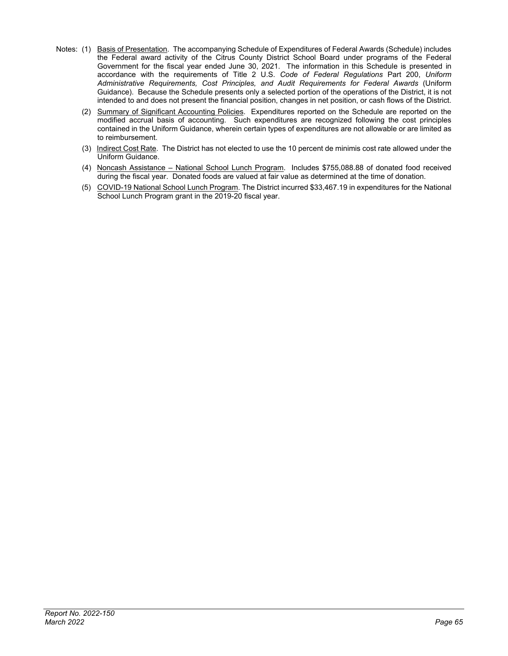- Notes: (1) Basis of Presentation. The accompanying Schedule of Expenditures of Federal Awards (Schedule) includes the Federal award activity of the Citrus County District School Board under programs of the Federal Government for the fiscal year ended June 30, 2021. The information in this Schedule is presented in accordance with the requirements of Title 2 U.S. *Code of Federal Regulations* Part 200, *Uniform Administrative Requirements, Cost Principles, and Audit Requirements for Federal Awards* (Uniform Guidance). Because the Schedule presents only a selected portion of the operations of the District, it is not intended to and does not present the financial position, changes in net position, or cash flows of the District.
	- (2) Summary of Significant Accounting Policies. Expenditures reported on the Schedule are reported on the modified accrual basis of accounting. Such expenditures are recognized following the cost principles contained in the Uniform Guidance, wherein certain types of expenditures are not allowable or are limited as to reimbursement.
	- (3) Indirect Cost Rate. The District has not elected to use the 10 percent de minimis cost rate allowed under the Uniform Guidance.
	- (4) Noncash Assistance National School Lunch Program. Includes \$755,088.88 of donated food received during the fiscal year. Donated foods are valued at fair value as determined at the time of donation.
	- (5) COVID-19 National School Lunch Program. The District incurred \$33,467.19 in expenditures for the National School Lunch Program grant in the 2019-20 fiscal year.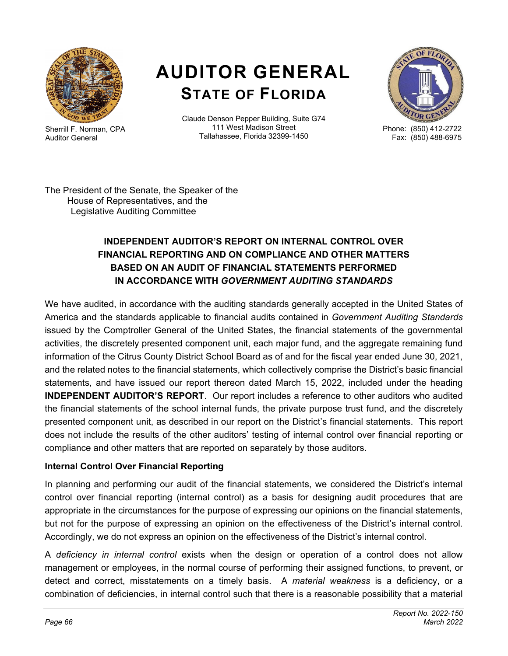

Sherrill F. Norman, CPA Auditor General

# **AUDITOR GENERAL STATE OF FLORIDA**

Claude Denson Pepper Building, Suite G74 111 West Madison Street Tallahassee, Florida 32399-1450



Phone: (850) 412-2722 Fax: (850) 488-6975

The President of the Senate, the Speaker of the House of Representatives, and the Legislative Auditing Committee

## **INDEPENDENT AUDITOR'S REPORT ON INTERNAL CONTROL OVER FINANCIAL REPORTING AND ON COMPLIANCE AND OTHER MATTERS BASED ON AN AUDIT OF FINANCIAL STATEMENTS PERFORMED IN ACCORDANCE WITH** *GOVERNMENT AUDITING STANDARDS*

We have audited, in accordance with the auditing standards generally accepted in the United States of America and the standards applicable to financial audits contained in *Government Auditing Standards* issued by the Comptroller General of the United States, the financial statements of the governmental activities, the discretely presented component unit, each major fund, and the aggregate remaining fund information of the Citrus County District School Board as of and for the fiscal year ended June 30, 2021, and the related notes to the financial statements, which collectively comprise the District's basic financial statements, and have issued our report thereon dated March 15, 2022, included under the heading **INDEPENDENT AUDITOR'S REPORT**. Our report includes a reference to other auditors who audited the financial statements of the school internal funds, the private purpose trust fund, and the discretely presented component unit, as described in our report on the District's financial statements. This report does not include the results of the other auditors' testing of internal control over financial reporting or compliance and other matters that are reported on separately by those auditors.

#### **Internal Control Over Financial Reporting**

In planning and performing our audit of the financial statements, we considered the District's internal control over financial reporting (internal control) as a basis for designing audit procedures that are appropriate in the circumstances for the purpose of expressing our opinions on the financial statements, but not for the purpose of expressing an opinion on the effectiveness of the District's internal control. Accordingly, we do not express an opinion on the effectiveness of the District's internal control.

A *deficiency in internal control* exists when the design or operation of a control does not allow management or employees, in the normal course of performing their assigned functions, to prevent, or detect and correct, misstatements on a timely basis. A *material weakness* is a deficiency, or a combination of deficiencies, in internal control such that there is a reasonable possibility that a material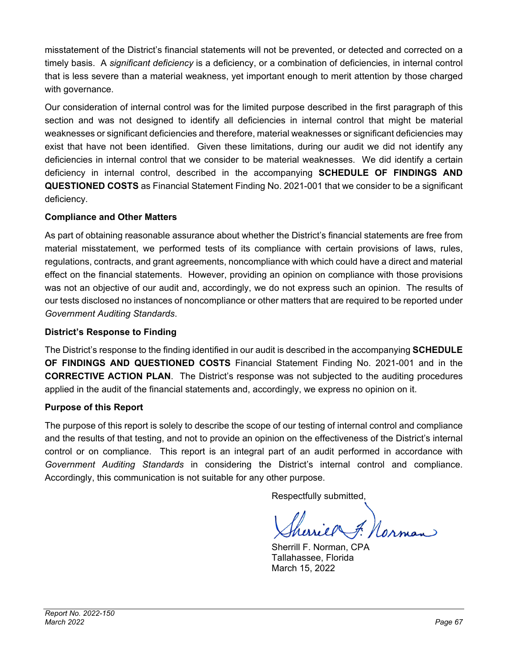misstatement of the District's financial statements will not be prevented, or detected and corrected on a timely basis. A *significant deficiency* is a deficiency, or a combination of deficiencies, in internal control that is less severe than a material weakness, yet important enough to merit attention by those charged with governance.

Our consideration of internal control was for the limited purpose described in the first paragraph of this section and was not designed to identify all deficiencies in internal control that might be material weaknesses or significant deficiencies and therefore, material weaknesses or significant deficiencies may exist that have not been identified. Given these limitations, during our audit we did not identify any deficiencies in internal control that we consider to be material weaknesses. We did identify a certain deficiency in internal control, described in the accompanying **SCHEDULE OF FINDINGS AND QUESTIONED COSTS** as Financial Statement Finding No. 2021-001 that we consider to be a significant deficiency.

#### **Compliance and Other Matters**

As part of obtaining reasonable assurance about whether the District's financial statements are free from material misstatement, we performed tests of its compliance with certain provisions of laws, rules, regulations, contracts, and grant agreements, noncompliance with which could have a direct and material effect on the financial statements. However, providing an opinion on compliance with those provisions was not an objective of our audit and, accordingly, we do not express such an opinion. The results of our tests disclosed no instances of noncompliance or other matters that are required to be reported under *Government Auditing Standards*.

#### **District's Response to Finding**

The District's response to the finding identified in our audit is described in the accompanying **SCHEDULE OF FINDINGS AND QUESTIONED COSTS** Financial Statement Finding No. 2021-001 and in the **CORRECTIVE ACTION PLAN**. The District's response was not subjected to the auditing procedures applied in the audit of the financial statements and, accordingly, we express no opinion on it.

#### **Purpose of this Report**

The purpose of this report is solely to describe the scope of our testing of internal control and compliance and the results of that testing, and not to provide an opinion on the effectiveness of the District's internal control or on compliance. This report is an integral part of an audit performed in accordance with *Government Auditing Standards* in considering the District's internal control and compliance. Accordingly, this communication is not suitable for any other purpose.

Respectfully submitted,

Sherrill F. Norman, CPA Tallahassee, Florida March 15, 2022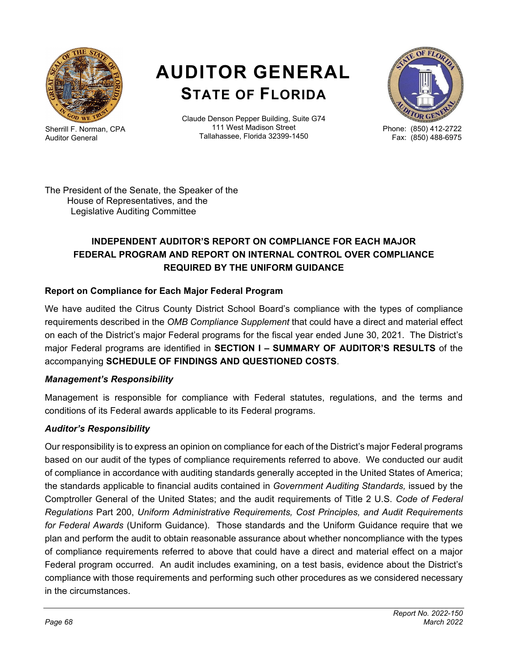

Sherrill F. Norman, CPA Auditor General

# **AUDITOR GENERAL STATE OF FLORIDA**

Claude Denson Pepper Building, Suite G74 111 West Madison Street Tallahassee, Florida 32399-1450



Phone: (850) 412-2722 Fax: (850) 488-6975

The President of the Senate, the Speaker of the House of Representatives, and the Legislative Auditing Committee

#### **INDEPENDENT AUDITOR'S REPORT ON COMPLIANCE FOR EACH MAJOR FEDERAL PROGRAM AND REPORT ON INTERNAL CONTROL OVER COMPLIANCE REQUIRED BY THE UNIFORM GUIDANCE**

#### **Report on Compliance for Each Major Federal Program**

We have audited the Citrus County District School Board's compliance with the types of compliance requirements described in the *OMB Compliance Supplement* that could have a direct and material effect on each of the District's major Federal programs for the fiscal year ended June 30, 2021. The District's major Federal programs are identified in **SECTION I – SUMMARY OF AUDITOR'S RESULTS** of the accompanying **SCHEDULE OF FINDINGS AND QUESTIONED COSTS**.

#### *Management's Responsibility*

Management is responsible for compliance with Federal statutes, regulations, and the terms and conditions of its Federal awards applicable to its Federal programs.

#### *Auditor's Responsibility*

Our responsibility is to express an opinion on compliance for each of the District's major Federal programs based on our audit of the types of compliance requirements referred to above. We conducted our audit of compliance in accordance with auditing standards generally accepted in the United States of America; the standards applicable to financial audits contained in *Government Auditing Standards,* issued by the Comptroller General of the United States; and the audit requirements of Title 2 U.S. *Code of Federal Regulations* Part 200, *Uniform Administrative Requirements, Cost Principles, and Audit Requirements for Federal Awards* (Uniform Guidance). Those standards and the Uniform Guidance require that we plan and perform the audit to obtain reasonable assurance about whether noncompliance with the types of compliance requirements referred to above that could have a direct and material effect on a major Federal program occurred. An audit includes examining, on a test basis, evidence about the District's compliance with those requirements and performing such other procedures as we considered necessary in the circumstances.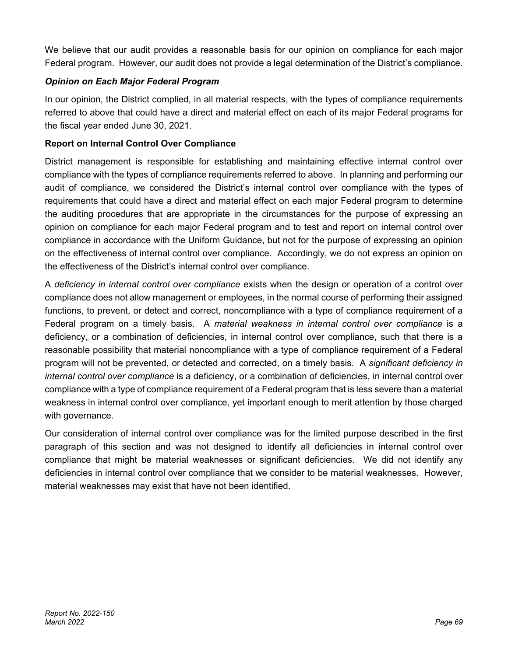We believe that our audit provides a reasonable basis for our opinion on compliance for each major Federal program. However, our audit does not provide a legal determination of the District's compliance.

#### *Opinion on Each Major Federal Program*

In our opinion, the District complied, in all material respects, with the types of compliance requirements referred to above that could have a direct and material effect on each of its major Federal programs for the fiscal year ended June 30, 2021.

#### **Report on Internal Control Over Compliance**

District management is responsible for establishing and maintaining effective internal control over compliance with the types of compliance requirements referred to above. In planning and performing our audit of compliance, we considered the District's internal control over compliance with the types of requirements that could have a direct and material effect on each major Federal program to determine the auditing procedures that are appropriate in the circumstances for the purpose of expressing an opinion on compliance for each major Federal program and to test and report on internal control over compliance in accordance with the Uniform Guidance, but not for the purpose of expressing an opinion on the effectiveness of internal control over compliance. Accordingly, we do not express an opinion on the effectiveness of the District's internal control over compliance.

A *deficiency in internal control over compliance* exists when the design or operation of a control over compliance does not allow management or employees, in the normal course of performing their assigned functions, to prevent, or detect and correct, noncompliance with a type of compliance requirement of a Federal program on a timely basis. A *material weakness in internal control over compliance* is a deficiency, or a combination of deficiencies, in internal control over compliance, such that there is a reasonable possibility that material noncompliance with a type of compliance requirement of a Federal program will not be prevented, or detected and corrected, on a timely basis. A *significant deficiency in internal control over compliance* is a deficiency, or a combination of deficiencies, in internal control over compliance with a type of compliance requirement of a Federal program that is less severe than a material weakness in internal control over compliance, yet important enough to merit attention by those charged with governance.

Our consideration of internal control over compliance was for the limited purpose described in the first paragraph of this section and was not designed to identify all deficiencies in internal control over compliance that might be material weaknesses or significant deficiencies. We did not identify any deficiencies in internal control over compliance that we consider to be material weaknesses. However, material weaknesses may exist that have not been identified.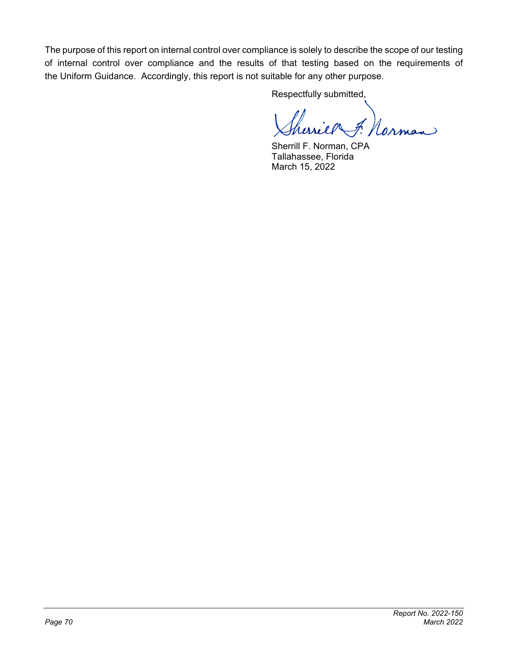The purpose of this report on internal control over compliance is solely to describe the scope of our testing of internal control over compliance and the results of that testing based on the requirements of the Uniform Guidance. Accordingly, this report is not suitable for any other purpose.

Respectfully submitted,

F. Norman

Sherrill F. Norman, CPA Tallahassee, Florida March 15, 2022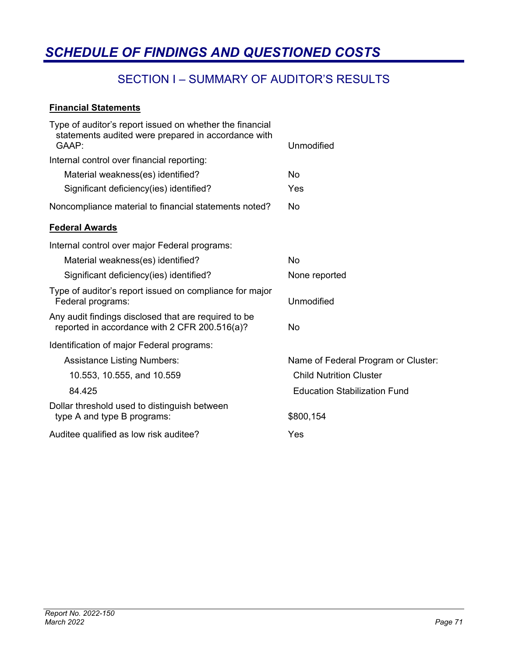# *SCHEDULE OF FINDINGS AND QUESTIONED COSTS*

### SECTION I – SUMMARY OF AUDITOR'S RESULTS

#### **Financial Statements**

| Type of auditor's report issued on whether the financial<br>statements audited were prepared in accordance with<br>GAAP: | Unmodified                          |
|--------------------------------------------------------------------------------------------------------------------------|-------------------------------------|
| Internal control over financial reporting:                                                                               |                                     |
| Material weakness(es) identified?                                                                                        | No                                  |
| Significant deficiency (ies) identified?                                                                                 | Yes                                 |
| Noncompliance material to financial statements noted?                                                                    | No                                  |
| <b>Federal Awards</b>                                                                                                    |                                     |
| Internal control over major Federal programs:                                                                            |                                     |
| Material weakness(es) identified?                                                                                        | No                                  |
| Significant deficiency(ies) identified?                                                                                  | None reported                       |
| Type of auditor's report issued on compliance for major<br>Federal programs:                                             | Unmodified                          |
| Any audit findings disclosed that are required to be<br>reported in accordance with 2 CFR 200.516(a)?                    | No                                  |
| Identification of major Federal programs:                                                                                |                                     |
| <b>Assistance Listing Numbers:</b>                                                                                       | Name of Federal Program or Cluster: |
| 10.553, 10.555, and 10.559                                                                                               | <b>Child Nutrition Cluster</b>      |
| 84.425                                                                                                                   | <b>Education Stabilization Fund</b> |
| Dollar threshold used to distinguish between<br>type A and type B programs:                                              | \$800,154                           |
| Auditee qualified as low risk auditee?                                                                                   | Yes                                 |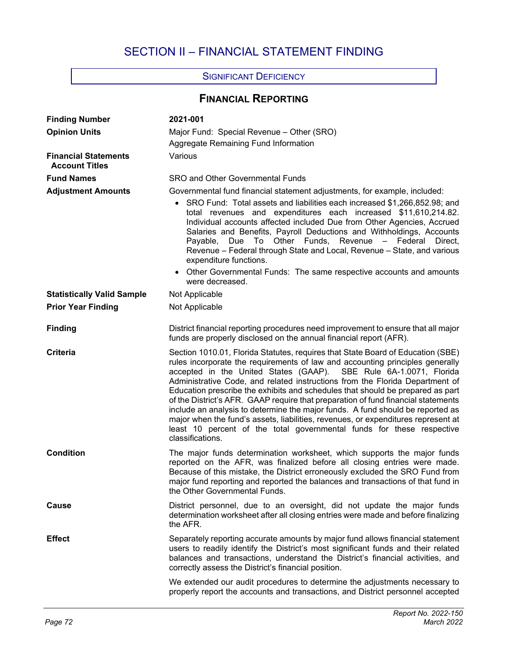### SECTION II – FINANCIAL STATEMENT FINDING

#### SIGNIFICANT DEFICIENCY

#### **FINANCIAL REPORTING**

| <b>Finding Number</b>                                | 2021-001                                                                                                                                                                                                                                                                                                                                                                                                                                                                                                                                                                                                                                                                                                                                                         |
|------------------------------------------------------|------------------------------------------------------------------------------------------------------------------------------------------------------------------------------------------------------------------------------------------------------------------------------------------------------------------------------------------------------------------------------------------------------------------------------------------------------------------------------------------------------------------------------------------------------------------------------------------------------------------------------------------------------------------------------------------------------------------------------------------------------------------|
| <b>Opinion Units</b>                                 | Major Fund: Special Revenue - Other (SRO)                                                                                                                                                                                                                                                                                                                                                                                                                                                                                                                                                                                                                                                                                                                        |
|                                                      | Aggregate Remaining Fund Information                                                                                                                                                                                                                                                                                                                                                                                                                                                                                                                                                                                                                                                                                                                             |
| <b>Financial Statements</b><br><b>Account Titles</b> | Various                                                                                                                                                                                                                                                                                                                                                                                                                                                                                                                                                                                                                                                                                                                                                          |
| <b>Fund Names</b>                                    | <b>SRO and Other Governmental Funds</b>                                                                                                                                                                                                                                                                                                                                                                                                                                                                                                                                                                                                                                                                                                                          |
| <b>Adjustment Amounts</b>                            | Governmental fund financial statement adjustments, for example, included:<br>SRO Fund: Total assets and liabilities each increased \$1,266,852.98; and<br>total revenues and expenditures each increased \$11,610,214.82.<br>Individual accounts affected included Due from Other Agencies, Accrued<br>Salaries and Benefits, Payroll Deductions and Withholdings, Accounts<br>Payable, Due To Other Funds, Revenue - Federal<br>Direct,<br>Revenue - Federal through State and Local, Revenue - State, and various<br>expenditure functions.<br>Other Governmental Funds: The same respective accounts and amounts<br>were decreased.                                                                                                                           |
| <b>Statistically Valid Sample</b>                    | Not Applicable                                                                                                                                                                                                                                                                                                                                                                                                                                                                                                                                                                                                                                                                                                                                                   |
| <b>Prior Year Finding</b>                            | Not Applicable                                                                                                                                                                                                                                                                                                                                                                                                                                                                                                                                                                                                                                                                                                                                                   |
|                                                      |                                                                                                                                                                                                                                                                                                                                                                                                                                                                                                                                                                                                                                                                                                                                                                  |
| <b>Finding</b>                                       | District financial reporting procedures need improvement to ensure that all major<br>funds are properly disclosed on the annual financial report (AFR).                                                                                                                                                                                                                                                                                                                                                                                                                                                                                                                                                                                                          |
| <b>Criteria</b>                                      | Section 1010.01, Florida Statutes, requires that State Board of Education (SBE)<br>rules incorporate the requirements of law and accounting principles generally<br>accepted in the United States (GAAP). SBE Rule 6A-1.0071, Florida<br>Administrative Code, and related instructions from the Florida Department of<br>Education prescribe the exhibits and schedules that should be prepared as part<br>of the District's AFR. GAAP require that preparation of fund financial statements<br>include an analysis to determine the major funds. A fund should be reported as<br>major when the fund's assets, liabilities, revenues, or expenditures represent at<br>least 10 percent of the total governmental funds for these respective<br>classifications. |
| <b>Condition</b>                                     | The major funds determination worksheet, which supports the major funds<br>reported on the AFR, was finalized before all closing entries were made.<br>Because of this mistake, the District erroneously excluded the SRO Fund from<br>major fund reporting and reported the balances and transactions of that fund in<br>the Other Governmental Funds.                                                                                                                                                                                                                                                                                                                                                                                                          |
| Cause                                                | District personnel, due to an oversight, did not update the major funds<br>determination worksheet after all closing entries were made and before finalizing<br>the AFR.                                                                                                                                                                                                                                                                                                                                                                                                                                                                                                                                                                                         |
| <b>Effect</b>                                        | Separately reporting accurate amounts by major fund allows financial statement<br>users to readily identify the District's most significant funds and their related<br>balances and transactions, understand the District's financial activities, and<br>correctly assess the District's financial position.                                                                                                                                                                                                                                                                                                                                                                                                                                                     |
|                                                      | We extended our audit procedures to determine the adjustments necessary to<br>properly report the accounts and transactions, and District personnel accepted                                                                                                                                                                                                                                                                                                                                                                                                                                                                                                                                                                                                     |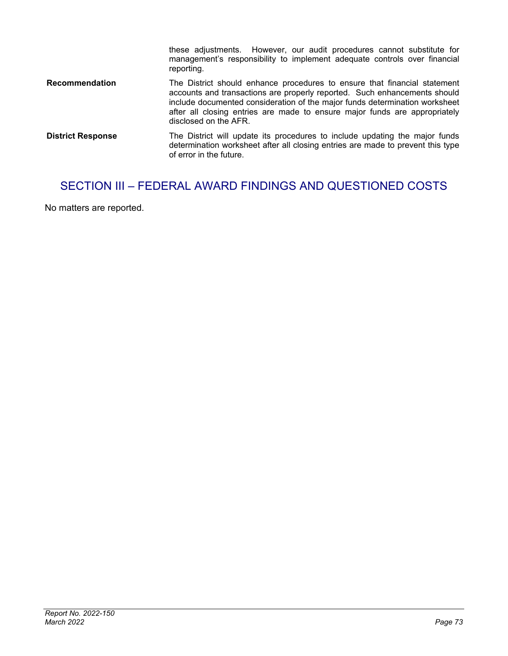|                          | these adjustments. However, our audit procedures cannot substitute for<br>management's responsibility to implement adequate controls over financial<br>reporting.                                                                                                                                                                            |
|--------------------------|----------------------------------------------------------------------------------------------------------------------------------------------------------------------------------------------------------------------------------------------------------------------------------------------------------------------------------------------|
| <b>Recommendation</b>    | The District should enhance procedures to ensure that financial statement<br>accounts and transactions are properly reported. Such enhancements should<br>include documented consideration of the major funds determination worksheet<br>after all closing entries are made to ensure major funds are appropriately<br>disclosed on the AFR. |
| <b>District Response</b> | The District will update its procedures to include updating the major funds<br>determination worksheet after all closing entries are made to prevent this type<br>of error in the future.                                                                                                                                                    |

### SECTION III – FEDERAL AWARD FINDINGS AND QUESTIONED COSTS

No matters are reported.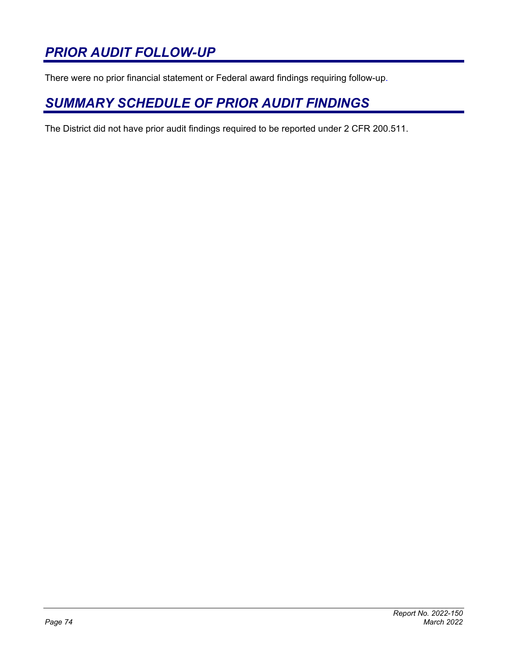# *PRIOR AUDIT FOLLOW-UP*

There were no prior financial statement or Federal award findings requiring follow-up.

# *SUMMARY SCHEDULE OF PRIOR AUDIT FINDINGS*

The District did not have prior audit findings required to be reported under 2 CFR 200.511.